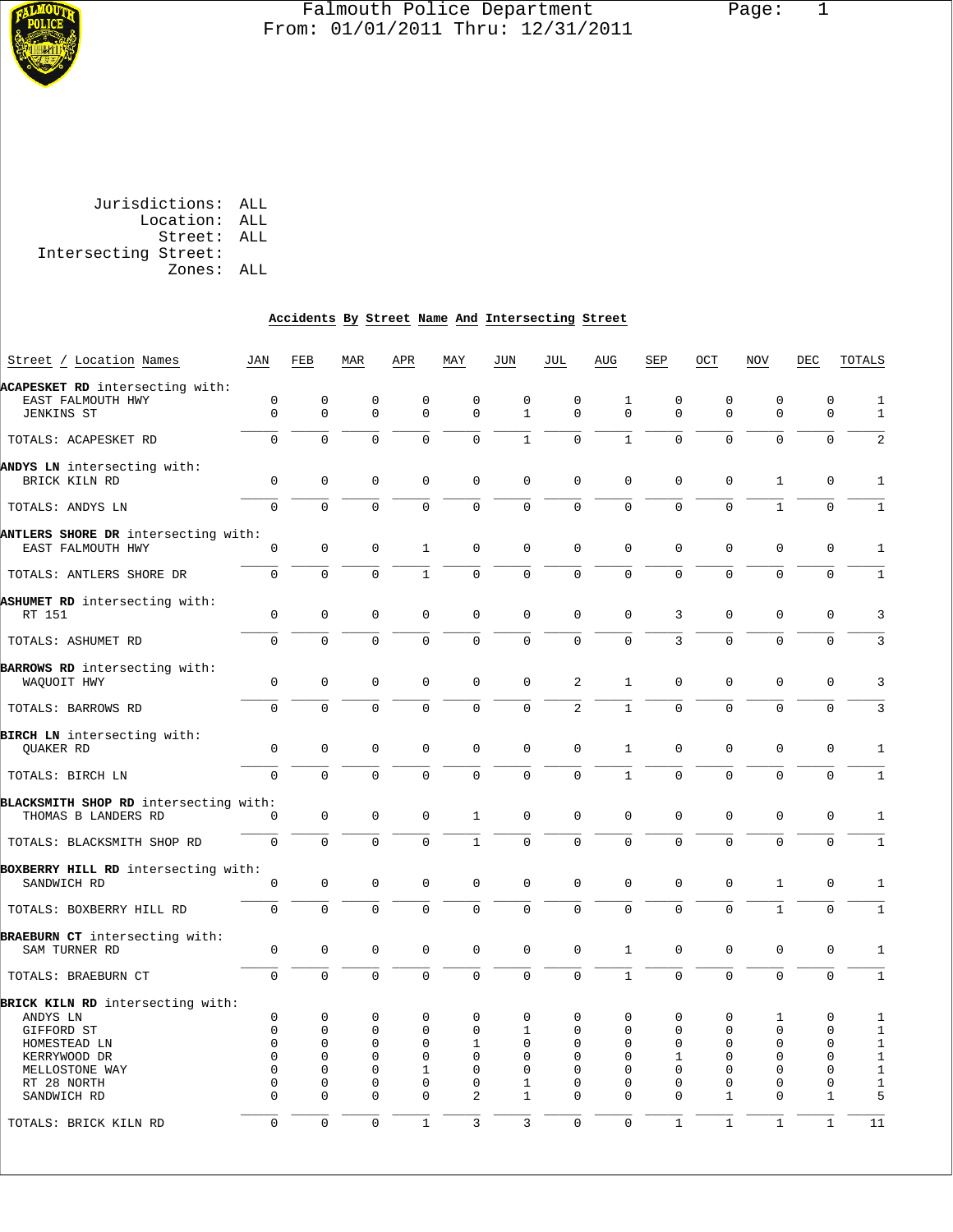

# Falmouth Police Department Page: 1 From: 01/01/2011 Thru: 12/31/2011

 Jurisdictions: ALL Location: ALL Street: ALL Intersecting Street: Zones: ALL

# **Accidents By Street Name And Intersecting Street**

| Street / Location Names               | JAN         | FEB         | MAR            | APR                 | MAY            | JUN                 | JUL            | AUG          | SEP            | OCT          | <b>NOV</b>   | DEC          | TOTALS       |
|---------------------------------------|-------------|-------------|----------------|---------------------|----------------|---------------------|----------------|--------------|----------------|--------------|--------------|--------------|--------------|
|                                       |             |             |                |                     |                |                     |                |              |                |              |              |              |              |
| ACAPESKET RD intersecting with:       |             |             |                |                     |                |                     |                |              |                |              |              |              |              |
| EAST FALMOUTH HWY                     | $\mathbf 0$ | 0           | $\mathbf 0$    | $\mathbf{0}$        | $\mathbf 0$    | $\mathbf 0$         | $\mathbf 0$    | 1            | $\mathbf 0$    | $\mathbf 0$  | $\mathbf 0$  | $\mathbf 0$  | $\mathbf{1}$ |
| JENKINS ST                            | 0           | 0           | $\mathbf 0$    | $\mathbf 0$         | $\mathbf{0}$   | $\mathbf{1}$        | $\mathbf{0}$   | $\mathbf 0$  | $\mathbf 0$    | $\mathbf 0$  | $\mathbf 0$  | $\mathbf 0$  | $\mathbf{1}$ |
|                                       |             |             |                |                     |                |                     |                |              |                |              |              |              |              |
| TOTALS: ACAPESKET RD                  | $\Omega$    | $\Omega$    | $\Omega$       | $\Omega$            | $\Omega$       | $\mathbf{1}$        | $\Omega$       | $\mathbf{1}$ | $\Omega$       | $\Omega$     | $\Omega$     | $\mathbf 0$  | 2            |
|                                       |             |             |                |                     |                |                     |                |              |                |              |              |              |              |
| ANDYS LN intersecting with:           |             |             |                |                     |                |                     |                |              |                |              |              |              |              |
| BRICK KILN RD                         | $\mathbf 0$ | 0           | $\mathbf 0$    | $\mathbf 0$         | $\mathbf{0}$   | $\mathbf 0$         | $\mathbf 0$    | $\mathbf 0$  | $\mathbf 0$    | $\mathbf 0$  | $\mathbf{1}$ | $\mathbf 0$  | $\mathbf{1}$ |
|                                       |             |             |                |                     |                |                     |                |              |                |              |              |              |              |
| TOTALS: ANDYS LN                      | $\mathbf 0$ | $\Omega$    | $\mathbf 0$    | $\Omega$            | $\mathbf 0$    | $\mathbf 0$         | $\mathbf 0$    | $\mathbf 0$  | $\mathbf 0$    | $\mathbf 0$  | $\mathbf{1}$ | $\mathbf 0$  | $\mathbf{1}$ |
| ANTLERS SHORE DR intersecting with:   |             |             |                |                     |                |                     |                |              |                |              |              |              |              |
| EAST FALMOUTH HWY                     | $\mathbf 0$ | 0           | $\mathbf 0$    | 1                   | $\mathbf 0$    | $\mathbf 0$         | $\mathbf 0$    | $\mathbf 0$  | $\mathbf 0$    | $\mathbf 0$  | $\mathbf 0$  | $\mathbf 0$  | $\mathbf{1}$ |
|                                       |             |             |                |                     |                |                     |                |              |                |              |              |              |              |
| TOTALS: ANTLERS SHORE DR              | $\mathbf 0$ | $\Omega$    | $\Omega$       | $\mathbf{1}$        | $\Omega$       | $\Omega$            | $\mathbf 0$    | $\Omega$     | $\Omega$       | $\Omega$     | $\Omega$     | $\Omega$     | $\mathbf{1}$ |
|                                       |             |             |                |                     |                |                     |                |              |                |              |              |              |              |
| ASHUMET RD intersecting with:         |             |             |                |                     |                |                     |                |              |                |              |              |              |              |
| RT 151                                | 0           | $\mathbf 0$ | 0              | $\mathbf 0$         | $\mathsf 0$    | $\mathbf 0$         | $\mathbf 0$    | $\mathbf 0$  | 3              | $\mathbf 0$  | $\mathbf 0$  | $\mathbf 0$  | 3            |
|                                       |             |             |                |                     |                |                     |                |              |                |              |              |              |              |
| TOTALS: ASHUMET RD                    | $\mathbf 0$ | $\Omega$    | $\overline{0}$ | $\mathbf 0$         | $\mathbf 0$    | $\mathbf 0$         | $\mathbf 0$    | $\mathbf 0$  | $\overline{3}$ | $\Omega$     | $\mathbf 0$  | $\mathbf 0$  | $\mathbf{3}$ |
|                                       |             |             |                |                     |                |                     |                |              |                |              |              |              |              |
| BARROWS RD intersecting with:         |             |             |                |                     |                |                     |                |              |                |              |              |              |              |
| WAQUOIT HWY                           | $\mathbf 0$ | 0           | $\mathbf 0$    | $\mathbf 0$         | $\mathbf{0}$   | $\mathbf 0$         | 2              | $\mathbf{1}$ | $\mathbf 0$    | $\mathbf 0$  | $\mathbf 0$  | $\mathbf 0$  | 3            |
|                                       |             |             |                |                     |                |                     |                |              |                |              |              |              |              |
| TOTALS: BARROWS RD                    | $\Omega$    | $\Omega$    | $\mathbf 0$    | $\Omega$            | $\Omega$       | $\mathbf 0$         | $\sqrt{2}$     | $\mathbf{1}$ | $\Omega$       | $\Omega$     | $\Omega$     | $\mathbf 0$  | $\mathbf{3}$ |
|                                       |             |             |                |                     |                |                     |                |              |                |              |              |              |              |
| BIRCH LN intersecting with:           |             |             |                |                     |                |                     |                |              |                |              |              |              |              |
|                                       | $\mathsf 0$ | $\mathbf 0$ | $\mathbf 0$    | $\mathbf 0$         | $\mathbf{0}$   | $\mathbf 0$         | $\mathbf 0$    |              | $\mathbf 0$    |              | $\mathbf 0$  |              |              |
| QUAKER RD                             |             |             |                |                     |                |                     |                | $\mathbf{1}$ |                | $\mathbf 0$  |              | $\mathbf 0$  | $\mathbf{1}$ |
|                                       |             |             |                |                     |                |                     |                |              |                |              |              |              |              |
| TOTALS: BIRCH LN                      | $\Omega$    | $\Omega$    | $\mathbf 0$    | $\mathbf 0$         | $\mathbf{0}$   | $\mathbf 0$         | $\Omega$       | $\mathbf{1}$ | $\Omega$       | $\mathbf 0$  | $\mathbf 0$  | $\mathbf 0$  | $\mathbf{1}$ |
|                                       |             |             |                |                     |                |                     |                |              |                |              |              |              |              |
| BLACKSMITH SHOP RD intersecting with: |             |             |                |                     |                |                     |                |              |                |              |              |              |              |
| THOMAS B LANDERS RD                   | 0           | $\mathbf 0$ | $\mathbf 0$    | $\mathbf 0$         | $\mathbf{1}$   | $\mathbf 0$         | $\mathbf 0$    | $\mathbf 0$  | $\mathsf 0$    | $\mathbf 0$  | $\mathbf 0$  | $\mathbf 0$  | $\mathbf{1}$ |
|                                       |             |             |                |                     |                |                     |                |              |                |              |              |              |              |
| TOTALS: BLACKSMITH SHOP RD            | $\mathsf 0$ | $\Omega$    | $\mathbf 0$    | $\mathsf{O}\xspace$ | $\mathbf{1}$   | $\mathsf{O}\xspace$ | $\mathsf 0$    | $\Omega$     | $\Omega$       | $\Omega$     | $\Omega$     | $\mathsf 0$  | $\mathbf{1}$ |
|                                       |             |             |                |                     |                |                     |                |              |                |              |              |              |              |
| BOXBERRY HILL RD intersecting with:   |             |             |                |                     |                |                     |                |              |                |              |              |              |              |
| SANDWICH RD                           | $\mathbf 0$ | 0           | $\mathbf 0$    | $\mathbf 0$         | $\mathbf{0}$   | $\mathbf 0$         | $\mathbf 0$    | $\mathbf 0$  | $\mathbf 0$    | $\mathbf 0$  | $\mathbf{1}$ | $\mathbf 0$  | $\mathbf{1}$ |
|                                       |             |             |                |                     |                |                     |                |              |                |              |              |              |              |
| TOTALS: BOXBERRY HILL RD              | $\Omega$    | $\Omega$    | $\Omega$       | $\Omega$            | $\Omega$       | $\Omega$            | $\Omega$       | $\Omega$     | $\Omega$       | $\Omega$     | $\mathbf{1}$ | $\Omega$     | $\mathbf{1}$ |
|                                       |             |             |                |                     |                |                     |                |              |                |              |              |              |              |
| BRAEBURN CT intersecting with:        |             |             |                |                     |                |                     |                |              |                |              |              |              |              |
| SAM TURNER RD                         | 0           | 0           | $\mathbf 0$    | $\mathsf 0$         | $\mathbf 0$    | $\mathbf 0$         | $\mathbf 0$    | $\mathbf{1}$ | $\mathbf 0$    | $\mathbf 0$  | $\mathbf 0$  | $\mathsf 0$  | $\mathbf{1}$ |
|                                       |             |             |                |                     |                |                     |                |              |                |              |              |              |              |
| TOTALS: BRAEBURN CT                   | $\mathsf 0$ | $\mathbf 0$ | $\mathbf 0$    | $\mathbf 0$         | $\mathsf 0$    | $\mathsf 0$         | $\mathsf 0$    | $\mathbf{1}$ | $\mathsf 0$    | $\mathbf 0$  | $\mathbf 0$  | 0            | $\mathbf{1}$ |
|                                       |             |             |                |                     |                |                     |                |              |                |              |              |              |              |
| BRICK KILN RD intersecting with:      |             |             |                |                     |                |                     |                |              |                |              |              |              |              |
| ANDYS LN                              | $\mathbf 0$ | 0           | $\mathbf 0$    | $\mathbf 0$         | 0              | $\mathbf 0$         | 0              | $\mathbf 0$  | $\mathbf{0}$   | $\mathbf 0$  | $\mathbf 1$  | $\mathbf 0$  | 1            |
| GIFFORD ST                            | $\mathbf 0$ | 0           | 0              | 0                   | $\mathbf 0$    | 1                   | 0              | 0            | 0              | 0            | $\mathbf 0$  | $\mathsf 0$  | $\mathbf{1}$ |
| HOMESTEAD LN                          | $\Omega$    | 0           | $\mathbf 0$    | $\mathbf 0$         | $\mathbf 1$    | 0                   | 0              | $\mathbf 0$  | 0              | $\mathbf 0$  | $\mathbf 0$  | 0            | $\mathbf{1}$ |
|                                       |             |             |                |                     |                |                     |                |              |                |              |              |              |              |
| KERRYWOOD DR                          | $\Omega$    | $\Omega$    | $\mathbf 0$    | $\mathbf 0$         | $\mathbf 0$    | $\Omega$            | $\Omega$       | $\Omega$     | 1              | $\mathbf 0$  | $\mathbf 0$  | 0            | $\mathbf{1}$ |
| MELLOSTONE WAY                        | $\Omega$    | $\Omega$    | $\mathbf 0$    | $\mathbf{1}$        | $\Omega$       | $\Omega$            | $\Omega$       | $\Omega$     | $\Omega$       | $\Omega$     | $\Omega$     | $\Omega$     | $\mathbf{1}$ |
| RT 28 NORTH                           | $\mathbf 0$ | 0           | 0              | $\mathbf{0}$        | $\mathbf 0$    | 1                   | $\mathbf 0$    | $\mathbf 0$  | $\mathbf 0$    | $\mathbf 0$  | $\mathbf 0$  | $\mathsf 0$  | $\mathbf{1}$ |
| SANDWICH RD                           | $\mathbf 0$ | 0           | $\mathbf 0$    | $\mathbf{0}$        | 2              | $\mathbf{1}$        | $\mathbf 0$    | $\Omega$     | $\mathbf{0}$   | $\mathbf{1}$ | $\mathbf 0$  | $\mathbf{1}$ | 5            |
|                                       |             |             |                |                     |                |                     |                |              |                |              |              |              |              |
| TOTALS: BRICK KILN RD                 | $\mathbf 0$ | $\Omega$    | $\mathbf 0$    | $\mathbf{1}$        | $\overline{3}$ | 3                   | $\overline{0}$ | $\mathbf 0$  | $\mathbf{1}$   | $\mathbf{1}$ | $\mathbf{1}$ | $\mathbf{1}$ | 11           |
|                                       |             |             |                |                     |                |                     |                |              |                |              |              |              |              |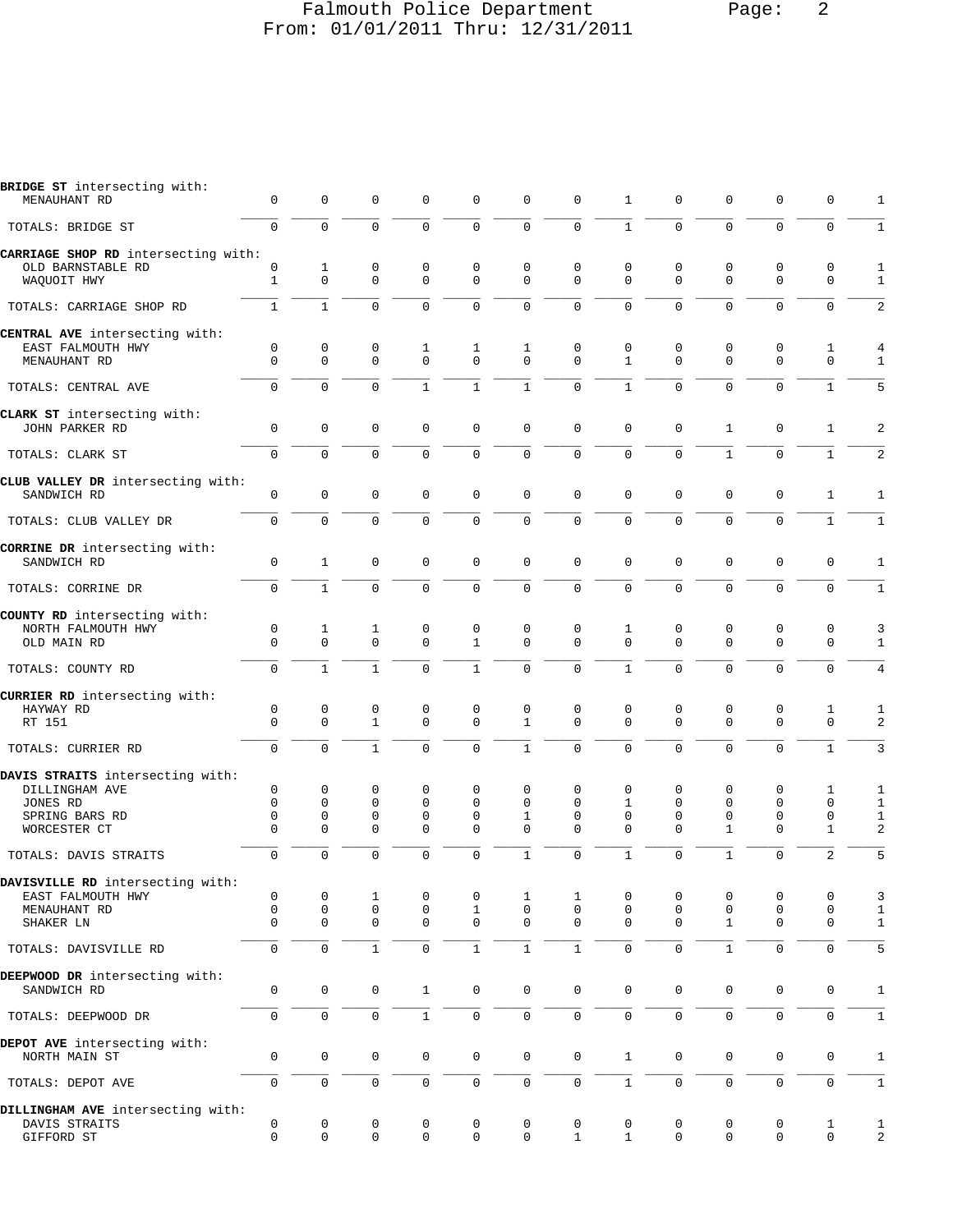## Falmouth Police Department Page: 2 From: 01/01/2011 Thru: 12/31/2011

| 0<br>$\Omega$<br>CARRIAGE SHOP RD intersecting with:<br>0<br>$\mathbf{1}$<br>$\mathbf{1}$<br>0<br>$\Omega$<br>$\Omega$<br>$\mathbf 0$ | $\mathbf 0$<br>$\Omega$<br>1<br>$\mathbf 0$<br>$\mathbf{1}$<br>0<br>$\Omega$<br>$\Omega$ | 0<br>$\mathbf 0$<br>0<br>$\mathbf 0$<br>$\Omega$<br>0<br>$\mathbf 0$<br>$\Omega$ | $\mathbf 0$<br>$\Omega$<br>$\mathbf 0$<br>$\mathbf 0$<br>$\Omega$<br>1<br>$\Omega$ | 0<br>0<br>0<br>$\mathbf{0}$<br>$\Omega$ | 0<br>$\mathbf 0$<br>0<br>$\Omega$<br>$\Omega$ | $\mathbf 0$<br>$\mathbf 0$<br>0<br>$\Omega$<br>$\Omega$ | 1<br>$\mathbf{1}$<br>0<br>$\Omega$<br>$\Omega$         | 0<br>0<br>0<br>$\Omega$<br>0      | 0<br>$\Omega$<br>0<br>$\Omega$                  | 0<br>$\mathbf 0$<br>0<br>$\Omega$<br>$\Omega$ | 0<br>$\Omega$<br>0<br>$\Omega$<br>$\Omega$ | 1<br>$\mathbf{1}$<br>1<br>$\mathbf{1}$ |
|---------------------------------------------------------------------------------------------------------------------------------------|------------------------------------------------------------------------------------------|----------------------------------------------------------------------------------|------------------------------------------------------------------------------------|-----------------------------------------|-----------------------------------------------|---------------------------------------------------------|--------------------------------------------------------|-----------------------------------|-------------------------------------------------|-----------------------------------------------|--------------------------------------------|----------------------------------------|
|                                                                                                                                       |                                                                                          |                                                                                  |                                                                                    |                                         |                                               |                                                         |                                                        |                                   |                                                 |                                               |                                            |                                        |
|                                                                                                                                       |                                                                                          |                                                                                  |                                                                                    |                                         |                                               |                                                         |                                                        |                                   |                                                 |                                               |                                            |                                        |
|                                                                                                                                       |                                                                                          |                                                                                  |                                                                                    |                                         |                                               |                                                         |                                                        |                                   |                                                 |                                               |                                            |                                        |
|                                                                                                                                       |                                                                                          |                                                                                  |                                                                                    |                                         |                                               |                                                         |                                                        |                                   |                                                 |                                               |                                            |                                        |
|                                                                                                                                       |                                                                                          |                                                                                  |                                                                                    |                                         |                                               |                                                         |                                                        |                                   | $\Omega$                                        |                                               |                                            | 2                                      |
|                                                                                                                                       |                                                                                          |                                                                                  |                                                                                    |                                         |                                               |                                                         |                                                        |                                   |                                                 |                                               |                                            |                                        |
|                                                                                                                                       |                                                                                          |                                                                                  |                                                                                    | 1<br>$\Omega$                           | 1<br>$\Omega$                                 | $\mathbf 0$<br>$\Omega$                                 | 0<br>$\mathbf{1}$                                      | 0<br>$\Omega$                     | 0<br>$\Omega$                                   | 0<br>$\Omega$                                 | 1<br>$\Omega$                              | 4<br>$\mathbf{1}$                      |
|                                                                                                                                       |                                                                                          |                                                                                  | $\mathbf{1}$                                                                       | $\mathbf{1}$                            | $\mathbf{1}$                                  | $\Omega$                                                | $\mathbf{1}$                                           | $\Omega$                          | $\Omega$                                        | $\Omega$                                      | $\mathbf{1}$                               | 5                                      |
|                                                                                                                                       |                                                                                          |                                                                                  |                                                                                    |                                         |                                               |                                                         |                                                        |                                   |                                                 |                                               |                                            | 2                                      |
|                                                                                                                                       |                                                                                          |                                                                                  |                                                                                    |                                         |                                               |                                                         |                                                        |                                   |                                                 |                                               |                                            | 2                                      |
|                                                                                                                                       |                                                                                          |                                                                                  |                                                                                    |                                         |                                               |                                                         |                                                        |                                   |                                                 |                                               |                                            |                                        |
| 0                                                                                                                                     | $\mathbf 0$                                                                              | $\mathbf 0$                                                                      | $\Omega$                                                                           | 0                                       | 0                                             | $\mathbf 0$                                             | $\Omega$                                               | 0                                 | $\mathbf 0$                                     | $\mathbf 0$                                   | 1                                          | 1                                      |
| 0                                                                                                                                     | $\mathbf 0$                                                                              | $\mathbf 0$                                                                      | $\mathbf 0$                                                                        | 0                                       | $\mathbf 0$                                   | $\mathbf 0$                                             | $\mathbf{0}$                                           | 0                                 | $\mathbf 0$                                     | $\mathbf 0$                                   | $\mathbf{1}$                               | 1                                      |
| $\mathbf 0$                                                                                                                           | $\mathbf{1}$                                                                             | 0                                                                                | $\mathbf 0$                                                                        | 0                                       | 0                                             | $\mathbf 0$                                             | $\mathbf{0}$                                           | $\mathbf 0$                       | $\mathbf 0$                                     | $\mathbf 0$                                   | $\mathbf 0$                                | 1                                      |
| $\Omega$                                                                                                                              | $\mathbf{1}$                                                                             | $\Omega$                                                                         | $\Omega$                                                                           | $\Omega$                                | $\Omega$                                      | $\Omega$                                                | $\Omega$                                               | 0                                 | $\Omega$                                        | $\Omega$                                      | $\Omega$                                   | $\mathbf{1}$                           |
| 0<br>$\Omega$                                                                                                                         | 1<br>$\Omega$                                                                            | 1<br>$\mathbf 0$                                                                 | $\mathbf 0$<br>$\Omega$                                                            | 0<br>$\mathbf{1}$                       | 0<br>$\Omega$                                 | $\mathbf 0$<br>$\Omega$                                 | 1<br>$\Omega$                                          | 0<br>$\Omega$                     | $\mathbf 0$<br>$\Omega$                         | 0<br>$\Omega$                                 | 0<br>$\Omega$                              | 3<br>$\mathbf{1}$                      |
| $\mathbf 0$                                                                                                                           | $\mathbf{1}$                                                                             | $\mathbf{1}$                                                                     | $\mathbf 0$                                                                        | $\mathbf{1}$                            | $\mathbf 0$                                   | $\mathbf 0$                                             | $\mathbf{1}$                                           | 0                                 | $\Omega$                                        | $\mathbf{0}$                                  | $\mathbf 0$                                | $\overline{4}$                         |
|                                                                                                                                       |                                                                                          |                                                                                  |                                                                                    |                                         |                                               |                                                         |                                                        |                                   |                                                 |                                               |                                            | 1                                      |
| $\mathbf 0$                                                                                                                           | $\mathbf 0$                                                                              | $\mathbf{1}$                                                                     | $\mathbf 0$                                                                        | $\mathbf 0$                             | $\mathbf{1}$                                  | $\mathbf 0$                                             | $\Omega$                                               | $\mathbf 0$                       | $\mathbf 0$                                     | $\mathbf{0}$                                  | $\mathbf 0$                                | 2                                      |
| $\Omega$                                                                                                                              | $\Omega$                                                                                 | $\mathbf{1}$                                                                     | $\Omega$                                                                           | $\mathbf{0}$                            | 1                                             | $\mathbf 0$                                             | $\Omega$                                               | 0                                 | $\Omega$                                        | $\mathbf 0$                                   | $\mathbf{1}$                               | 3                                      |
| 0<br>$\Omega$<br>0<br>0                                                                                                               | 0<br>$\mathbf 0$<br>$\mathbf 0$<br>$\Omega$                                              | 0<br>0<br>$\mathbf 0$<br>$\Omega$                                                | 0<br>$\mathbf 0$<br>$\mathbf 0$<br>$\Omega$                                        | 0<br>0<br>$\mathbf{0}$<br>$\Omega$      | 0<br>$\Omega$<br>1<br>$\Omega$                | $\mathbf 0$<br>$\Omega$<br>$\mathbf 0$<br>$\Omega$      | $\mathbf 0$<br>$\mathbf{1}$<br>$\mathbf 0$<br>$\Omega$ | 0<br>$\Omega$<br>$\mathbf 0$<br>0 | 0<br>$\mathbf 0$<br>$\mathbf 0$<br>$\mathbf{1}$ | 0<br>$\mathbf{0}$<br>$\mathbf 0$<br>$\Omega$  | 1<br>$\mathbf 0$<br>$\mathbf 0$<br>1       | 1<br>$\mathbf{1}$<br>$\mathbf{1}$<br>2 |
| $\mathbf 0$                                                                                                                           | $\Omega$                                                                                 | $\mathbf 0$                                                                      | $\Omega$                                                                           | $\Omega$                                | $\mathbf{1}$                                  | $\mathbf 0$                                             | $\mathbf{1}$                                           | $\Omega$                          | $\mathbf{1}$                                    | $\Omega$                                      | 2                                          | 5                                      |
| 0<br>0<br>0                                                                                                                           | 0<br>$\mathsf 0$<br>$\mathbf 0$                                                          | 1<br>0<br>0                                                                      | 0<br>$\mathbf 0$<br>$\mathbf 0$                                                    | 0<br>$\mathbf{1}$<br>$\mathbf 0$        | 1<br>$\mathbf 0$<br>$\mathbf 0$               | 1<br>$\mathbf 0$<br>$\mathbf 0$                         | 0<br>$\mathbf 0$<br>$\Omega$                           | 0<br>$\mathbf 0$<br>$\Omega$      | 0<br>0<br>$\mathbf{1}$                          | 0<br>0<br>0                                   | 0<br>$\mathbf 0$<br>$\mathbf 0$            | 3<br>$\mathbf{1}$<br>$\mathbf{1}$      |
| $\mathbf 0$                                                                                                                           | $\mathbf 0$                                                                              | $\mathbf{1}$                                                                     | $\mathbf 0$                                                                        | $\mathbf{1}$                            | $\mathbf{1}$                                  | $\mathbf{1}$                                            | $\mathbf 0$                                            | $\mathbf 0$                       | $\mathbf{1}$                                    | $\mathbf 0$                                   | $\mathbf 0$                                | 5                                      |
| 0                                                                                                                                     | $\mathbf 0$                                                                              | 0                                                                                | $\mathbf{1}$                                                                       | $\mathbf 0$                             | 0                                             | $\mathbf 0$                                             | $\mathbf 0$                                            | $\mathbf 0$                       | $\mathbf 0$                                     | $\mathbf 0$                                   | $\mathbf 0$                                | $\mathbf{1}$                           |
| 0                                                                                                                                     | $\mathbf 0$                                                                              | $\mathsf 0$                                                                      | $\mathbf{1}$                                                                       | 0                                       | $\mathsf 0$                                   | $\mathsf 0$                                             | $\mathbf 0$                                            | 0                                 | $\mathsf 0$                                     | $\mathsf{O}\xspace$                           | $\mathbf 0$                                | $\mathbf{1}$                           |
| 0                                                                                                                                     | $\mathbf 0$                                                                              | $\mathsf 0$                                                                      | $\mathsf{O}\xspace$                                                                | 0                                       | 0                                             | $\mathbf 0$                                             | $\mathbf{1}$                                           | 0                                 | $\mathbf 0$                                     | $\mathbf 0$                                   | 0                                          | $\mathbf{1}$                           |
| 0                                                                                                                                     | $\mathbf 0$                                                                              | $\mathsf 0$                                                                      | $\mathsf 0$                                                                        | 0                                       | 0                                             | $\mathsf 0$                                             | $\mathbf{1}$                                           | 0                                 | $\mathbf 0$                                     | $\mathsf{O}\xspace$                           | $\mathbf 0$                                | $1\,$                                  |
| DILLINGHAM AVE intersecting with:<br>$\mathsf{O}\xspace$<br>0                                                                         | $\mathsf{O}\xspace$<br>$\mathbf 0$                                                       | 0<br>0                                                                           | 0<br>$\mathbf 0$                                                                   | 0<br>$\mathbf 0$                        | 0<br>$\mathbf 0$                              | 0<br>$\mathbf{1}$                                       | 0<br>$\mathbf{1}$                                      | 0<br>$\mathbf 0$                  | 0<br>$\Omega$                                   | 0<br>$\mathbf 0$                              | 1<br>$\mathbf 0$                           | $\mathbf{1}$<br>2                      |
| CLUB VALLEY DR intersecting with:                                                                                                     | $\Omega$<br>0                                                                            | $\mathbf 0$<br>$\Omega$<br>0                                                     | $\mathbf 0$<br>$\Omega$<br>0                                                       | $\mathbf 0$<br>$\Omega$<br>0            | 0<br>$\Omega$<br>0                            | 0<br>$\mathbf 0$<br>0                                   | $\mathbf 0$<br>$\mathbf 0$<br>0                        | $\mathbf{0}$<br>$\Omega$<br>0     | $\mathbf 0$<br>$\Omega$<br>0                    | $\mathbf{1}$<br>$\mathbf{1}$<br>$\mathbf 0$   | 0<br>$\Omega$<br>0                         | 1<br>$\mathbf{1}$<br>1                 |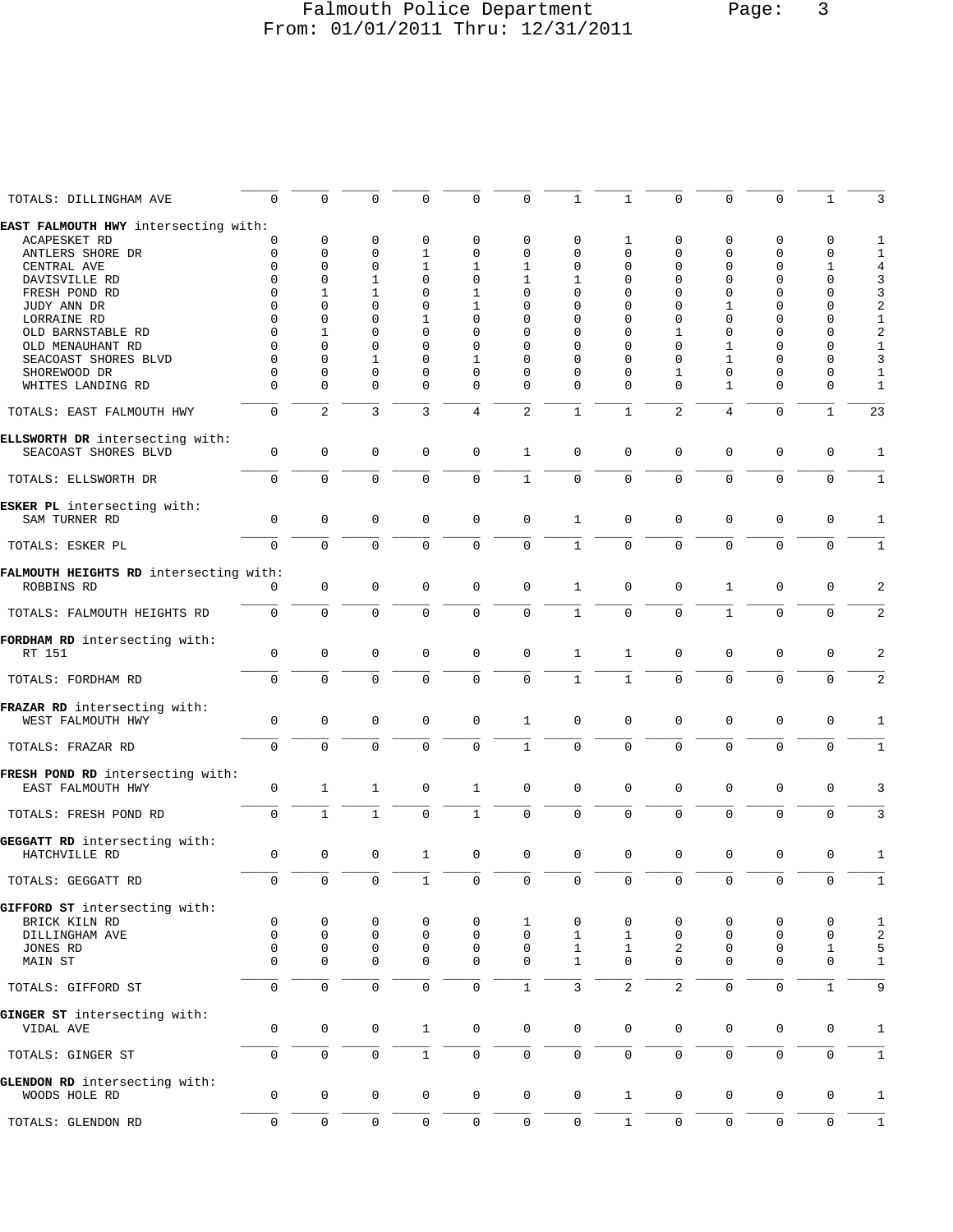### Falmouth Police Department Page: 3 From: 01/01/2011 Thru: 12/31/2011

| TOTALS: DILLINGHAM AVE<br>$\mathbf 0$<br>$\Omega$<br>$\Omega$<br>0<br>0<br>$\mathbf{1}$<br>$\Omega$<br>$\Omega$<br>$\Omega$<br>$\mathbf{1}$<br>0<br>1<br>EAST FALMOUTH HWY intersecting with:<br><b>ACAPESKET RD</b><br>0<br>$\mathbf 0$<br>0<br>0<br>$\mathbf 0$<br>0<br>0<br>0<br>$\mathbf 0$<br>0<br>1<br>0<br>$\Omega$<br>$\mathbf 0$<br>$\mathbf{1}$<br>$\mathbf{0}$<br>$\mathbf 0$<br>$\mathbf 0$<br>$\Omega$<br>$\Omega$<br>$\Omega$<br>$\mathbf{0}$<br>$\mathbf 0$<br>ANTLERS SHORE DR<br>0<br>$\Omega$<br>$\Omega$<br>$\mathbf 0$<br>$\mathbf{1}$<br>$\Omega$<br>$\mathbf{0}$<br>CENTRAL AVE<br>1<br>1<br>0<br>$\Omega$<br>$\Omega$<br>1<br>$\mathbf 1$<br>$\Omega$<br>$\Omega$<br>$\Omega$<br>$\Omega$<br>$\Omega$<br>$\Omega$<br>1<br>1<br>$\Omega$<br>0<br>DAVISVILLE RD<br>$\Omega$<br>$\mathbf{1}$<br>$\mathbf 1$<br>$\Omega$<br>$\mathbf{1}$<br>$\Omega$<br>$\Omega$<br>$\Omega$<br>$\Omega$<br>$\mathbf 0$<br>FRESH POND RD<br>$\Omega$<br>0<br>$\Omega$<br>$\Omega$<br>JUDY ANN DR<br>$\Omega$<br>$\Omega$<br>$\Omega$<br>1<br>0<br>$\Omega$<br>0<br>$\Omega$<br>1<br>$\Omega$<br>0<br>$\Omega$<br>$\Omega$<br>$\Omega$<br>$\Omega$<br>LORRAINE RD<br>$\Omega$<br>$\Omega$<br>$\mathbf{1}$<br>$\Omega$<br>$\Omega$<br>$\Omega$<br>$\Omega$<br>$\Omega$<br>$\Omega$<br>$\Omega$<br>$\Omega$<br>$\mathbf 0$<br>$\Omega$<br>$\mathbf 0$<br>OLD BARNSTABLE RD<br>$\Omega$<br>$\mathbf{1}$<br>0<br>$\Omega$<br>$\mathbf{1}$<br>0<br>$\Omega$<br>$\Omega$<br>OLD MENAUHANT RD<br>$\Omega$<br>$\Omega$<br>$\Omega$<br>$\Omega$<br>$\Omega$<br>$\Omega$<br>$\Omega$<br>1<br>$\Omega$<br>$\Omega$<br>$\mathbf 1$<br>$\mathbf{1}$<br>$\Omega$<br>SEACOAST SHORES BLVD<br>$\Omega$<br>$\Omega$<br>$\Omega$<br>$\Omega$<br>$\Omega$<br>$\mathbf{1}$<br>$\Omega$<br>$\Omega$<br>$\Omega$<br>$\Omega$<br>$\Omega$<br>$\Omega$<br>$\Omega$<br>$\mathbf 1$<br>$\Omega$<br>$\Omega$<br>$\Omega$<br>SHOREWOOD DR<br>$\Omega$<br>$\Omega$<br>0<br>0<br>$\Omega$<br>$\Omega$<br>WHITES LANDING RD<br>$\Omega$<br>0<br>$\Omega$<br>$\mathbf 0$<br>0<br>$\Omega$<br>$\Omega$<br>1<br>$\Omega$<br>0<br>2<br>$\overline{3}$<br>3<br>2<br>$\mathbf{1}$<br>$\overline{a}$<br>$\mathbf{1}$<br>$\Omega$<br>4<br>$\mathbf{1}$<br>$\mathbf{0}$<br>TOTALS: EAST FALMOUTH HWY<br>4<br>ELLSWORTH DR intersecting with:<br>$\mathbf{1}$<br>SEACOAST SHORES BLVD<br>$\mathbf 0$<br>$\mathbf 0$<br>$\mathbf 0$<br>$\mathbf 0$<br>$\mathbf 0$<br>$\mathbf 0$<br>$\Omega$<br>$\Omega$<br>$\mathbf 0$<br>$\Omega$<br>$\mathbf 0$<br>$\mathbf 0$<br>$\mathbf 0$<br>$\mathbf 0$<br>$\Omega$<br>$\Omega$<br>$\mathbf{1}$<br>$\mathbf 0$<br>$\mathbf{0}$<br>$\mathbf 0$<br>$\mathbf 0$<br>$\Omega$<br>$\Omega$<br>TOTALS: ELLSWORTH DR<br>ESKER PL intersecting with:<br>SAM TURNER RD<br>$\mathbf 0$<br>$\mathbf 0$<br>$\mathbf 0$<br>$\mathbf 0$<br>$\mathbf 0$<br>$\mathbf{1}$<br>$\mathbf 0$<br>$\mathbf 0$<br>$\mathbf{0}$<br>$\Omega$<br>0<br>0<br>$\Omega$<br>$\Omega$<br>$\Omega$<br>$\Omega$<br>$\Omega$<br>$\mathbf{1}$<br>$\Omega$<br>$\Omega$<br>$\Omega$<br>$\Omega$<br>$\Omega$<br>$\Omega$<br>TOTALS: ESKER PL<br>FALMOUTH HEIGHTS RD intersecting with:<br>ROBBINS RD<br>$\mathbf 0$<br>$\mathbf 0$<br>$\mathbf 0$<br>$\mathbf{0}$<br>$\mathbf 0$<br>$\mathbf{1}$<br>$\Omega$<br>$\mathbf{1}$<br>$\mathbf{0}$<br>$\mathbf 0$<br>$\Omega$<br>$\Omega$<br>$\Omega$<br>$\Omega$<br>$\Omega$<br>$\Omega$<br>$\Omega$<br>$\mathbf 0$<br>$\mathbf{1}$<br>$\Omega$<br>$\mathbf 0$<br>$\mathbf{1}$<br>$\Omega$<br>$\Omega$<br>TOTALS: FALMOUTH HEIGHTS RD<br>$\mathbf 0$<br>$\mathbf 0$<br>$\mathbf 0$<br>$\mathbf{1}$<br>$\mathbf 0$<br>$\mathbf 0$<br>RT 151<br>0<br>0<br>$\mathbf 0$<br>1<br>0<br>0<br>$\mathbf{1}$<br>$\Omega$<br>$\Omega$<br>$\Omega$<br>$\Omega$<br>$\Omega$<br>$\Omega$<br>$\mathbf{1}$<br>$\Omega$<br>$\Omega$<br>$\Omega$<br>TOTALS: FORDHAM RD<br>$\Omega$<br>FRAZAR RD intersecting with:<br>$\mathbf 0$<br>$\mathbf 0$<br>WEST FALMOUTH HWY<br>$\mathbf 0$<br>$\mathbf 0$<br>$\mathbf 1$<br>$\mathbf 0$<br>$\mathbf 0$<br>$\mathbf{0}$<br>$\mathbf 0$<br>$\mathbf 0$<br>$\mathbf 0$<br>0<br>$\mathbf 0$<br>$\mathbf 0$<br>$\mathbf 0$<br>$\Omega$<br>$\mathbf 0$<br>$\mathbf{1}$<br>$\mathbf 0$<br>$\Omega$<br>$\mathbf 0$<br>$\mathbf{0}$<br>$\mathbf 0$<br>$\Omega$<br>TOTALS: FRAZAR RD<br>EAST FALMOUTH HWY<br>$\mathbf 0$<br>$\mathbf{1}$<br>$\mathbf{1}$<br>$\mathbf 0$<br>$\mathbf{1}$<br>$\mathbf 0$<br>$\mathbf 0$<br>$\mathbf 0$<br>$\mathbf 0$<br>$\mathbf 0$<br>$\mathbf{0}$<br>$\mathbf 0$<br>$\mathbf{1}$<br>$\mathbf 0$<br>$\mathbf 0$<br>$\mathbf 0$<br>$\mathbf{1}$<br>$\Omega$<br>$\mathbf{1}$<br>$\mathbf 0$<br>$\mathbf 0$<br>$\mathbf 0$<br>$\mathbf{0}$<br>$\Omega$<br>TOTALS: FRESH POND RD<br>$\mathbf 0$<br>$\mathbf 0$<br>$\mathbf 0$<br>$\mathbf{1}$<br>$\mathbf 0$<br>$\mathbf 0$<br>$\mathbf 0$<br>$\mathbf 0$<br>$\mathbf 0$<br>$\mathbf 0$<br>$\mathbf 0$<br>$\mathbf 0$<br>HATCHVILLE RD<br>TOTALS: GEGGATT RD<br>BRICK KILN RD<br>0<br>0<br>0<br>0<br>0<br>0<br>1<br>0<br>0<br>0<br>0<br>0<br>$\mathbf 0$<br>0<br>$\mathbf{0}$<br>1<br>0<br>$\mathsf 0$<br>DILLINGHAM AVE<br>$\mathbf 0$<br>0<br>0<br>1<br>0<br>0<br>0<br>$\mathbf 0$<br>0<br>0<br>$\mathsf 0$<br>0<br>$\mathbf{1}$<br>2<br>$\mathbf 0$<br>$\mathbf{1}$<br>JONES RD<br>1<br>0<br>$\mathbf 0$<br>$\mathbf{1}$<br>MAIN ST<br>$\Omega$<br>$\mathbf 0$<br>0<br>$\mathbf 0$<br>0<br>$\Omega$<br>$\Omega$<br>0<br>$\mathbf 0$<br>0<br>$\mathbf 0$<br>$\mathbf 0$<br>$\mathbf{1}$<br>3<br>2<br>2<br>$\mathbf{1}$<br>TOTALS: GIFFORD ST<br>$\mathbf 0$<br>$\mathbf 0$<br>$\mathbf 0$<br>$\mathbf 0$<br>$\mathbf{0}$<br>GINGER ST intersecting with:<br>$\mathsf 0$<br>$\mathsf{O}\xspace$<br>$\mathsf 0$<br>0<br>$\mathsf{O}\xspace$<br>$\mathbf{1}$<br>0<br>$\mathbf 0$<br>0<br>0<br>0<br>VIDAL AVE<br>0<br>0<br>$\mathsf 0$<br>$\mathbf{1}$<br>0<br>0<br>$\mathsf 0$<br>0<br>$\mathsf{O}\xspace$<br>$\mathbf 0$<br>0<br>0<br>0<br>TOTALS: GINGER ST<br>$\mathbf 0$<br>$\mathsf{O}\xspace$<br>$\mathsf 0$<br>$\mathbf{1}$<br>$\mathsf{O}$<br>0<br>$\mathbf 0$<br>0<br>0<br>0<br>$\mathbf 0$<br>0<br>WOODS HOLE RD<br>0<br>0<br>$\mathsf 0$<br>$\mathsf 0$<br>0<br>0<br>$\mathsf{O}\xspace$<br>$\mathsf 0$<br>$\mathbf{1}$<br>0<br>$\mathsf{O}\xspace$<br>0<br>TOTALS: GLENDON RD |  |  |  |  |  |  |                         |
|--------------------------------------------------------------------------------------------------------------------------------------------------------------------------------------------------------------------------------------------------------------------------------------------------------------------------------------------------------------------------------------------------------------------------------------------------------------------------------------------------------------------------------------------------------------------------------------------------------------------------------------------------------------------------------------------------------------------------------------------------------------------------------------------------------------------------------------------------------------------------------------------------------------------------------------------------------------------------------------------------------------------------------------------------------------------------------------------------------------------------------------------------------------------------------------------------------------------------------------------------------------------------------------------------------------------------------------------------------------------------------------------------------------------------------------------------------------------------------------------------------------------------------------------------------------------------------------------------------------------------------------------------------------------------------------------------------------------------------------------------------------------------------------------------------------------------------------------------------------------------------------------------------------------------------------------------------------------------------------------------------------------------------------------------------------------------------------------------------------------------------------------------------------------------------------------------------------------------------------------------------------------------------------------------------------------------------------------------------------------------------------------------------------------------------------------------------------------------------------------------------------------------------------------------------------------------------------------------------------------------------------------------------------------------------------------------------------------------------------------------------------------------------------------------------------------------------------------------------------------------------------------------------------------------------------------------------------------------------------------------------------------------------------------------------------------------------------------------------------------------------------------------------------------------------------------------------------------------------------------------------------------------------------------------------------------------------------------------------------------------------------------------------------------------------------------------------------------------------------------------------------------------------------------------------------------------------------------------------------------------------------------------------------------------------------------------------------------------------------------------------------------------------------------------------------------------------------------------------------------------------------------------------------------------------------------------------------------------------------------------------------------------------------------------------------------------------------------------------------------------------------------------------------------------------------------------------------------------------------------------------------------------------------------------------------------------------------------------------------------------------------------------------------------------------------------------------------------------------------------------------------------------------------------------------------------------------------------------------------------------------------------------------------------------------------------------------------------------------------------------------------------------------------------------------------------------------------------------------------------------------------------------------------------------------------------------------------------------------------------------------------------------------------------------------------------------------------------------------------------------------------------------------------------------------------------------------------------------------------------------------------------------------------------------------------------------------------------------------------------------------------------------------------------------------------------------------------------------------------------------------------------------------------------------------------------------------------------------------------------------------------------------------------------------------------------------------------------------------------------------------------------------------------------------------------------------------------------------------------------------------------------------------------------------------------------------------------------------------------------------------------------------------------------------------------------------------------------------------------------------------------------------------------------------------------------------------------------------------------------------------------------------------------|--|--|--|--|--|--|-------------------------|
|                                                                                                                                                                                                                                                                                                                                                                                                                                                                                                                                                                                                                                                                                                                                                                                                                                                                                                                                                                                                                                                                                                                                                                                                                                                                                                                                                                                                                                                                                                                                                                                                                                                                                                                                                                                                                                                                                                                                                                                                                                                                                                                                                                                                                                                                                                                                                                                                                                                                                                                                                                                                                                                                                                                                                                                                                                                                                                                                                                                                                                                                                                                                                                                                                                                                                                                                                                                                                                                                                                                                                                                                                                                                                                                                                                                                                                                                                                                                                                                                                                                                                                                                                                                                                                                                                                                                                                                                                                                                                                                                                                                                                                                                                                                                                                                                                                                                                                                                                                                                                                                                                                                                                                                                                                                                                                                                                                                                                                                                                                                                                                                                                                                                                                                                                                                                                                                                                                                                                                                                                                                                                                                                                                                                                                                                                      |  |  |  |  |  |  | 3                       |
|                                                                                                                                                                                                                                                                                                                                                                                                                                                                                                                                                                                                                                                                                                                                                                                                                                                                                                                                                                                                                                                                                                                                                                                                                                                                                                                                                                                                                                                                                                                                                                                                                                                                                                                                                                                                                                                                                                                                                                                                                                                                                                                                                                                                                                                                                                                                                                                                                                                                                                                                                                                                                                                                                                                                                                                                                                                                                                                                                                                                                                                                                                                                                                                                                                                                                                                                                                                                                                                                                                                                                                                                                                                                                                                                                                                                                                                                                                                                                                                                                                                                                                                                                                                                                                                                                                                                                                                                                                                                                                                                                                                                                                                                                                                                                                                                                                                                                                                                                                                                                                                                                                                                                                                                                                                                                                                                                                                                                                                                                                                                                                                                                                                                                                                                                                                                                                                                                                                                                                                                                                                                                                                                                                                                                                                                                      |  |  |  |  |  |  |                         |
| FORDHAM RD intersecting with:<br>GIFFORD ST intersecting with:<br>GLENDON RD intersecting with:                                                                                                                                                                                                                                                                                                                                                                                                                                                                                                                                                                                                                                                                                                                                                                                                                                                                                                                                                                                                                                                                                                                                                                                                                                                                                                                                                                                                                                                                                                                                                                                                                                                                                                                                                                                                                                                                                                                                                                                                                                                                                                                                                                                                                                                                                                                                                                                                                                                                                                                                                                                                                                                                                                                                                                                                                                                                                                                                                                                                                                                                                                                                                                                                                                                                                                                                                                                                                                                                                                                                                                                                                                                                                                                                                                                                                                                                                                                                                                                                                                                                                                                                                                                                                                                                                                                                                                                                                                                                                                                                                                                                                                                                                                                                                                                                                                                                                                                                                                                                                                                                                                                                                                                                                                                                                                                                                                                                                                                                                                                                                                                                                                                                                                                                                                                                                                                                                                                                                                                                                                                                                                                                                                                      |  |  |  |  |  |  | 1                       |
|                                                                                                                                                                                                                                                                                                                                                                                                                                                                                                                                                                                                                                                                                                                                                                                                                                                                                                                                                                                                                                                                                                                                                                                                                                                                                                                                                                                                                                                                                                                                                                                                                                                                                                                                                                                                                                                                                                                                                                                                                                                                                                                                                                                                                                                                                                                                                                                                                                                                                                                                                                                                                                                                                                                                                                                                                                                                                                                                                                                                                                                                                                                                                                                                                                                                                                                                                                                                                                                                                                                                                                                                                                                                                                                                                                                                                                                                                                                                                                                                                                                                                                                                                                                                                                                                                                                                                                                                                                                                                                                                                                                                                                                                                                                                                                                                                                                                                                                                                                                                                                                                                                                                                                                                                                                                                                                                                                                                                                                                                                                                                                                                                                                                                                                                                                                                                                                                                                                                                                                                                                                                                                                                                                                                                                                                                      |  |  |  |  |  |  | $\mathbf{1}$            |
|                                                                                                                                                                                                                                                                                                                                                                                                                                                                                                                                                                                                                                                                                                                                                                                                                                                                                                                                                                                                                                                                                                                                                                                                                                                                                                                                                                                                                                                                                                                                                                                                                                                                                                                                                                                                                                                                                                                                                                                                                                                                                                                                                                                                                                                                                                                                                                                                                                                                                                                                                                                                                                                                                                                                                                                                                                                                                                                                                                                                                                                                                                                                                                                                                                                                                                                                                                                                                                                                                                                                                                                                                                                                                                                                                                                                                                                                                                                                                                                                                                                                                                                                                                                                                                                                                                                                                                                                                                                                                                                                                                                                                                                                                                                                                                                                                                                                                                                                                                                                                                                                                                                                                                                                                                                                                                                                                                                                                                                                                                                                                                                                                                                                                                                                                                                                                                                                                                                                                                                                                                                                                                                                                                                                                                                                                      |  |  |  |  |  |  | 4                       |
|                                                                                                                                                                                                                                                                                                                                                                                                                                                                                                                                                                                                                                                                                                                                                                                                                                                                                                                                                                                                                                                                                                                                                                                                                                                                                                                                                                                                                                                                                                                                                                                                                                                                                                                                                                                                                                                                                                                                                                                                                                                                                                                                                                                                                                                                                                                                                                                                                                                                                                                                                                                                                                                                                                                                                                                                                                                                                                                                                                                                                                                                                                                                                                                                                                                                                                                                                                                                                                                                                                                                                                                                                                                                                                                                                                                                                                                                                                                                                                                                                                                                                                                                                                                                                                                                                                                                                                                                                                                                                                                                                                                                                                                                                                                                                                                                                                                                                                                                                                                                                                                                                                                                                                                                                                                                                                                                                                                                                                                                                                                                                                                                                                                                                                                                                                                                                                                                                                                                                                                                                                                                                                                                                                                                                                                                                      |  |  |  |  |  |  | 3                       |
|                                                                                                                                                                                                                                                                                                                                                                                                                                                                                                                                                                                                                                                                                                                                                                                                                                                                                                                                                                                                                                                                                                                                                                                                                                                                                                                                                                                                                                                                                                                                                                                                                                                                                                                                                                                                                                                                                                                                                                                                                                                                                                                                                                                                                                                                                                                                                                                                                                                                                                                                                                                                                                                                                                                                                                                                                                                                                                                                                                                                                                                                                                                                                                                                                                                                                                                                                                                                                                                                                                                                                                                                                                                                                                                                                                                                                                                                                                                                                                                                                                                                                                                                                                                                                                                                                                                                                                                                                                                                                                                                                                                                                                                                                                                                                                                                                                                                                                                                                                                                                                                                                                                                                                                                                                                                                                                                                                                                                                                                                                                                                                                                                                                                                                                                                                                                                                                                                                                                                                                                                                                                                                                                                                                                                                                                                      |  |  |  |  |  |  |                         |
|                                                                                                                                                                                                                                                                                                                                                                                                                                                                                                                                                                                                                                                                                                                                                                                                                                                                                                                                                                                                                                                                                                                                                                                                                                                                                                                                                                                                                                                                                                                                                                                                                                                                                                                                                                                                                                                                                                                                                                                                                                                                                                                                                                                                                                                                                                                                                                                                                                                                                                                                                                                                                                                                                                                                                                                                                                                                                                                                                                                                                                                                                                                                                                                                                                                                                                                                                                                                                                                                                                                                                                                                                                                                                                                                                                                                                                                                                                                                                                                                                                                                                                                                                                                                                                                                                                                                                                                                                                                                                                                                                                                                                                                                                                                                                                                                                                                                                                                                                                                                                                                                                                                                                                                                                                                                                                                                                                                                                                                                                                                                                                                                                                                                                                                                                                                                                                                                                                                                                                                                                                                                                                                                                                                                                                                                                      |  |  |  |  |  |  | 3                       |
|                                                                                                                                                                                                                                                                                                                                                                                                                                                                                                                                                                                                                                                                                                                                                                                                                                                                                                                                                                                                                                                                                                                                                                                                                                                                                                                                                                                                                                                                                                                                                                                                                                                                                                                                                                                                                                                                                                                                                                                                                                                                                                                                                                                                                                                                                                                                                                                                                                                                                                                                                                                                                                                                                                                                                                                                                                                                                                                                                                                                                                                                                                                                                                                                                                                                                                                                                                                                                                                                                                                                                                                                                                                                                                                                                                                                                                                                                                                                                                                                                                                                                                                                                                                                                                                                                                                                                                                                                                                                                                                                                                                                                                                                                                                                                                                                                                                                                                                                                                                                                                                                                                                                                                                                                                                                                                                                                                                                                                                                                                                                                                                                                                                                                                                                                                                                                                                                                                                                                                                                                                                                                                                                                                                                                                                                                      |  |  |  |  |  |  | $\sqrt{2}$              |
|                                                                                                                                                                                                                                                                                                                                                                                                                                                                                                                                                                                                                                                                                                                                                                                                                                                                                                                                                                                                                                                                                                                                                                                                                                                                                                                                                                                                                                                                                                                                                                                                                                                                                                                                                                                                                                                                                                                                                                                                                                                                                                                                                                                                                                                                                                                                                                                                                                                                                                                                                                                                                                                                                                                                                                                                                                                                                                                                                                                                                                                                                                                                                                                                                                                                                                                                                                                                                                                                                                                                                                                                                                                                                                                                                                                                                                                                                                                                                                                                                                                                                                                                                                                                                                                                                                                                                                                                                                                                                                                                                                                                                                                                                                                                                                                                                                                                                                                                                                                                                                                                                                                                                                                                                                                                                                                                                                                                                                                                                                                                                                                                                                                                                                                                                                                                                                                                                                                                                                                                                                                                                                                                                                                                                                                                                      |  |  |  |  |  |  | $\mathbf 1$             |
|                                                                                                                                                                                                                                                                                                                                                                                                                                                                                                                                                                                                                                                                                                                                                                                                                                                                                                                                                                                                                                                                                                                                                                                                                                                                                                                                                                                                                                                                                                                                                                                                                                                                                                                                                                                                                                                                                                                                                                                                                                                                                                                                                                                                                                                                                                                                                                                                                                                                                                                                                                                                                                                                                                                                                                                                                                                                                                                                                                                                                                                                                                                                                                                                                                                                                                                                                                                                                                                                                                                                                                                                                                                                                                                                                                                                                                                                                                                                                                                                                                                                                                                                                                                                                                                                                                                                                                                                                                                                                                                                                                                                                                                                                                                                                                                                                                                                                                                                                                                                                                                                                                                                                                                                                                                                                                                                                                                                                                                                                                                                                                                                                                                                                                                                                                                                                                                                                                                                                                                                                                                                                                                                                                                                                                                                                      |  |  |  |  |  |  |                         |
|                                                                                                                                                                                                                                                                                                                                                                                                                                                                                                                                                                                                                                                                                                                                                                                                                                                                                                                                                                                                                                                                                                                                                                                                                                                                                                                                                                                                                                                                                                                                                                                                                                                                                                                                                                                                                                                                                                                                                                                                                                                                                                                                                                                                                                                                                                                                                                                                                                                                                                                                                                                                                                                                                                                                                                                                                                                                                                                                                                                                                                                                                                                                                                                                                                                                                                                                                                                                                                                                                                                                                                                                                                                                                                                                                                                                                                                                                                                                                                                                                                                                                                                                                                                                                                                                                                                                                                                                                                                                                                                                                                                                                                                                                                                                                                                                                                                                                                                                                                                                                                                                                                                                                                                                                                                                                                                                                                                                                                                                                                                                                                                                                                                                                                                                                                                                                                                                                                                                                                                                                                                                                                                                                                                                                                                                                      |  |  |  |  |  |  | 2                       |
|                                                                                                                                                                                                                                                                                                                                                                                                                                                                                                                                                                                                                                                                                                                                                                                                                                                                                                                                                                                                                                                                                                                                                                                                                                                                                                                                                                                                                                                                                                                                                                                                                                                                                                                                                                                                                                                                                                                                                                                                                                                                                                                                                                                                                                                                                                                                                                                                                                                                                                                                                                                                                                                                                                                                                                                                                                                                                                                                                                                                                                                                                                                                                                                                                                                                                                                                                                                                                                                                                                                                                                                                                                                                                                                                                                                                                                                                                                                                                                                                                                                                                                                                                                                                                                                                                                                                                                                                                                                                                                                                                                                                                                                                                                                                                                                                                                                                                                                                                                                                                                                                                                                                                                                                                                                                                                                                                                                                                                                                                                                                                                                                                                                                                                                                                                                                                                                                                                                                                                                                                                                                                                                                                                                                                                                                                      |  |  |  |  |  |  | $\mathbf{1}$            |
|                                                                                                                                                                                                                                                                                                                                                                                                                                                                                                                                                                                                                                                                                                                                                                                                                                                                                                                                                                                                                                                                                                                                                                                                                                                                                                                                                                                                                                                                                                                                                                                                                                                                                                                                                                                                                                                                                                                                                                                                                                                                                                                                                                                                                                                                                                                                                                                                                                                                                                                                                                                                                                                                                                                                                                                                                                                                                                                                                                                                                                                                                                                                                                                                                                                                                                                                                                                                                                                                                                                                                                                                                                                                                                                                                                                                                                                                                                                                                                                                                                                                                                                                                                                                                                                                                                                                                                                                                                                                                                                                                                                                                                                                                                                                                                                                                                                                                                                                                                                                                                                                                                                                                                                                                                                                                                                                                                                                                                                                                                                                                                                                                                                                                                                                                                                                                                                                                                                                                                                                                                                                                                                                                                                                                                                                                      |  |  |  |  |  |  | 3                       |
|                                                                                                                                                                                                                                                                                                                                                                                                                                                                                                                                                                                                                                                                                                                                                                                                                                                                                                                                                                                                                                                                                                                                                                                                                                                                                                                                                                                                                                                                                                                                                                                                                                                                                                                                                                                                                                                                                                                                                                                                                                                                                                                                                                                                                                                                                                                                                                                                                                                                                                                                                                                                                                                                                                                                                                                                                                                                                                                                                                                                                                                                                                                                                                                                                                                                                                                                                                                                                                                                                                                                                                                                                                                                                                                                                                                                                                                                                                                                                                                                                                                                                                                                                                                                                                                                                                                                                                                                                                                                                                                                                                                                                                                                                                                                                                                                                                                                                                                                                                                                                                                                                                                                                                                                                                                                                                                                                                                                                                                                                                                                                                                                                                                                                                                                                                                                                                                                                                                                                                                                                                                                                                                                                                                                                                                                                      |  |  |  |  |  |  | $\mathbf{1}$            |
|                                                                                                                                                                                                                                                                                                                                                                                                                                                                                                                                                                                                                                                                                                                                                                                                                                                                                                                                                                                                                                                                                                                                                                                                                                                                                                                                                                                                                                                                                                                                                                                                                                                                                                                                                                                                                                                                                                                                                                                                                                                                                                                                                                                                                                                                                                                                                                                                                                                                                                                                                                                                                                                                                                                                                                                                                                                                                                                                                                                                                                                                                                                                                                                                                                                                                                                                                                                                                                                                                                                                                                                                                                                                                                                                                                                                                                                                                                                                                                                                                                                                                                                                                                                                                                                                                                                                                                                                                                                                                                                                                                                                                                                                                                                                                                                                                                                                                                                                                                                                                                                                                                                                                                                                                                                                                                                                                                                                                                                                                                                                                                                                                                                                                                                                                                                                                                                                                                                                                                                                                                                                                                                                                                                                                                                                                      |  |  |  |  |  |  |                         |
|                                                                                                                                                                                                                                                                                                                                                                                                                                                                                                                                                                                                                                                                                                                                                                                                                                                                                                                                                                                                                                                                                                                                                                                                                                                                                                                                                                                                                                                                                                                                                                                                                                                                                                                                                                                                                                                                                                                                                                                                                                                                                                                                                                                                                                                                                                                                                                                                                                                                                                                                                                                                                                                                                                                                                                                                                                                                                                                                                                                                                                                                                                                                                                                                                                                                                                                                                                                                                                                                                                                                                                                                                                                                                                                                                                                                                                                                                                                                                                                                                                                                                                                                                                                                                                                                                                                                                                                                                                                                                                                                                                                                                                                                                                                                                                                                                                                                                                                                                                                                                                                                                                                                                                                                                                                                                                                                                                                                                                                                                                                                                                                                                                                                                                                                                                                                                                                                                                                                                                                                                                                                                                                                                                                                                                                                                      |  |  |  |  |  |  | $\mathbf{1}$            |
|                                                                                                                                                                                                                                                                                                                                                                                                                                                                                                                                                                                                                                                                                                                                                                                                                                                                                                                                                                                                                                                                                                                                                                                                                                                                                                                                                                                                                                                                                                                                                                                                                                                                                                                                                                                                                                                                                                                                                                                                                                                                                                                                                                                                                                                                                                                                                                                                                                                                                                                                                                                                                                                                                                                                                                                                                                                                                                                                                                                                                                                                                                                                                                                                                                                                                                                                                                                                                                                                                                                                                                                                                                                                                                                                                                                                                                                                                                                                                                                                                                                                                                                                                                                                                                                                                                                                                                                                                                                                                                                                                                                                                                                                                                                                                                                                                                                                                                                                                                                                                                                                                                                                                                                                                                                                                                                                                                                                                                                                                                                                                                                                                                                                                                                                                                                                                                                                                                                                                                                                                                                                                                                                                                                                                                                                                      |  |  |  |  |  |  | 23                      |
|                                                                                                                                                                                                                                                                                                                                                                                                                                                                                                                                                                                                                                                                                                                                                                                                                                                                                                                                                                                                                                                                                                                                                                                                                                                                                                                                                                                                                                                                                                                                                                                                                                                                                                                                                                                                                                                                                                                                                                                                                                                                                                                                                                                                                                                                                                                                                                                                                                                                                                                                                                                                                                                                                                                                                                                                                                                                                                                                                                                                                                                                                                                                                                                                                                                                                                                                                                                                                                                                                                                                                                                                                                                                                                                                                                                                                                                                                                                                                                                                                                                                                                                                                                                                                                                                                                                                                                                                                                                                                                                                                                                                                                                                                                                                                                                                                                                                                                                                                                                                                                                                                                                                                                                                                                                                                                                                                                                                                                                                                                                                                                                                                                                                                                                                                                                                                                                                                                                                                                                                                                                                                                                                                                                                                                                                                      |  |  |  |  |  |  |                         |
|                                                                                                                                                                                                                                                                                                                                                                                                                                                                                                                                                                                                                                                                                                                                                                                                                                                                                                                                                                                                                                                                                                                                                                                                                                                                                                                                                                                                                                                                                                                                                                                                                                                                                                                                                                                                                                                                                                                                                                                                                                                                                                                                                                                                                                                                                                                                                                                                                                                                                                                                                                                                                                                                                                                                                                                                                                                                                                                                                                                                                                                                                                                                                                                                                                                                                                                                                                                                                                                                                                                                                                                                                                                                                                                                                                                                                                                                                                                                                                                                                                                                                                                                                                                                                                                                                                                                                                                                                                                                                                                                                                                                                                                                                                                                                                                                                                                                                                                                                                                                                                                                                                                                                                                                                                                                                                                                                                                                                                                                                                                                                                                                                                                                                                                                                                                                                                                                                                                                                                                                                                                                                                                                                                                                                                                                                      |  |  |  |  |  |  | 1                       |
|                                                                                                                                                                                                                                                                                                                                                                                                                                                                                                                                                                                                                                                                                                                                                                                                                                                                                                                                                                                                                                                                                                                                                                                                                                                                                                                                                                                                                                                                                                                                                                                                                                                                                                                                                                                                                                                                                                                                                                                                                                                                                                                                                                                                                                                                                                                                                                                                                                                                                                                                                                                                                                                                                                                                                                                                                                                                                                                                                                                                                                                                                                                                                                                                                                                                                                                                                                                                                                                                                                                                                                                                                                                                                                                                                                                                                                                                                                                                                                                                                                                                                                                                                                                                                                                                                                                                                                                                                                                                                                                                                                                                                                                                                                                                                                                                                                                                                                                                                                                                                                                                                                                                                                                                                                                                                                                                                                                                                                                                                                                                                                                                                                                                                                                                                                                                                                                                                                                                                                                                                                                                                                                                                                                                                                                                                      |  |  |  |  |  |  |                         |
| FRESH POND RD intersecting with:<br>GEGGATT RD intersecting with:                                                                                                                                                                                                                                                                                                                                                                                                                                                                                                                                                                                                                                                                                                                                                                                                                                                                                                                                                                                                                                                                                                                                                                                                                                                                                                                                                                                                                                                                                                                                                                                                                                                                                                                                                                                                                                                                                                                                                                                                                                                                                                                                                                                                                                                                                                                                                                                                                                                                                                                                                                                                                                                                                                                                                                                                                                                                                                                                                                                                                                                                                                                                                                                                                                                                                                                                                                                                                                                                                                                                                                                                                                                                                                                                                                                                                                                                                                                                                                                                                                                                                                                                                                                                                                                                                                                                                                                                                                                                                                                                                                                                                                                                                                                                                                                                                                                                                                                                                                                                                                                                                                                                                                                                                                                                                                                                                                                                                                                                                                                                                                                                                                                                                                                                                                                                                                                                                                                                                                                                                                                                                                                                                                                                                    |  |  |  |  |  |  | $\mathbf{1}$            |
|                                                                                                                                                                                                                                                                                                                                                                                                                                                                                                                                                                                                                                                                                                                                                                                                                                                                                                                                                                                                                                                                                                                                                                                                                                                                                                                                                                                                                                                                                                                                                                                                                                                                                                                                                                                                                                                                                                                                                                                                                                                                                                                                                                                                                                                                                                                                                                                                                                                                                                                                                                                                                                                                                                                                                                                                                                                                                                                                                                                                                                                                                                                                                                                                                                                                                                                                                                                                                                                                                                                                                                                                                                                                                                                                                                                                                                                                                                                                                                                                                                                                                                                                                                                                                                                                                                                                                                                                                                                                                                                                                                                                                                                                                                                                                                                                                                                                                                                                                                                                                                                                                                                                                                                                                                                                                                                                                                                                                                                                                                                                                                                                                                                                                                                                                                                                                                                                                                                                                                                                                                                                                                                                                                                                                                                                                      |  |  |  |  |  |  |                         |
|                                                                                                                                                                                                                                                                                                                                                                                                                                                                                                                                                                                                                                                                                                                                                                                                                                                                                                                                                                                                                                                                                                                                                                                                                                                                                                                                                                                                                                                                                                                                                                                                                                                                                                                                                                                                                                                                                                                                                                                                                                                                                                                                                                                                                                                                                                                                                                                                                                                                                                                                                                                                                                                                                                                                                                                                                                                                                                                                                                                                                                                                                                                                                                                                                                                                                                                                                                                                                                                                                                                                                                                                                                                                                                                                                                                                                                                                                                                                                                                                                                                                                                                                                                                                                                                                                                                                                                                                                                                                                                                                                                                                                                                                                                                                                                                                                                                                                                                                                                                                                                                                                                                                                                                                                                                                                                                                                                                                                                                                                                                                                                                                                                                                                                                                                                                                                                                                                                                                                                                                                                                                                                                                                                                                                                                                                      |  |  |  |  |  |  |                         |
|                                                                                                                                                                                                                                                                                                                                                                                                                                                                                                                                                                                                                                                                                                                                                                                                                                                                                                                                                                                                                                                                                                                                                                                                                                                                                                                                                                                                                                                                                                                                                                                                                                                                                                                                                                                                                                                                                                                                                                                                                                                                                                                                                                                                                                                                                                                                                                                                                                                                                                                                                                                                                                                                                                                                                                                                                                                                                                                                                                                                                                                                                                                                                                                                                                                                                                                                                                                                                                                                                                                                                                                                                                                                                                                                                                                                                                                                                                                                                                                                                                                                                                                                                                                                                                                                                                                                                                                                                                                                                                                                                                                                                                                                                                                                                                                                                                                                                                                                                                                                                                                                                                                                                                                                                                                                                                                                                                                                                                                                                                                                                                                                                                                                                                                                                                                                                                                                                                                                                                                                                                                                                                                                                                                                                                                                                      |  |  |  |  |  |  | 1                       |
|                                                                                                                                                                                                                                                                                                                                                                                                                                                                                                                                                                                                                                                                                                                                                                                                                                                                                                                                                                                                                                                                                                                                                                                                                                                                                                                                                                                                                                                                                                                                                                                                                                                                                                                                                                                                                                                                                                                                                                                                                                                                                                                                                                                                                                                                                                                                                                                                                                                                                                                                                                                                                                                                                                                                                                                                                                                                                                                                                                                                                                                                                                                                                                                                                                                                                                                                                                                                                                                                                                                                                                                                                                                                                                                                                                                                                                                                                                                                                                                                                                                                                                                                                                                                                                                                                                                                                                                                                                                                                                                                                                                                                                                                                                                                                                                                                                                                                                                                                                                                                                                                                                                                                                                                                                                                                                                                                                                                                                                                                                                                                                                                                                                                                                                                                                                                                                                                                                                                                                                                                                                                                                                                                                                                                                                                                      |  |  |  |  |  |  |                         |
|                                                                                                                                                                                                                                                                                                                                                                                                                                                                                                                                                                                                                                                                                                                                                                                                                                                                                                                                                                                                                                                                                                                                                                                                                                                                                                                                                                                                                                                                                                                                                                                                                                                                                                                                                                                                                                                                                                                                                                                                                                                                                                                                                                                                                                                                                                                                                                                                                                                                                                                                                                                                                                                                                                                                                                                                                                                                                                                                                                                                                                                                                                                                                                                                                                                                                                                                                                                                                                                                                                                                                                                                                                                                                                                                                                                                                                                                                                                                                                                                                                                                                                                                                                                                                                                                                                                                                                                                                                                                                                                                                                                                                                                                                                                                                                                                                                                                                                                                                                                                                                                                                                                                                                                                                                                                                                                                                                                                                                                                                                                                                                                                                                                                                                                                                                                                                                                                                                                                                                                                                                                                                                                                                                                                                                                                                      |  |  |  |  |  |  | 1                       |
|                                                                                                                                                                                                                                                                                                                                                                                                                                                                                                                                                                                                                                                                                                                                                                                                                                                                                                                                                                                                                                                                                                                                                                                                                                                                                                                                                                                                                                                                                                                                                                                                                                                                                                                                                                                                                                                                                                                                                                                                                                                                                                                                                                                                                                                                                                                                                                                                                                                                                                                                                                                                                                                                                                                                                                                                                                                                                                                                                                                                                                                                                                                                                                                                                                                                                                                                                                                                                                                                                                                                                                                                                                                                                                                                                                                                                                                                                                                                                                                                                                                                                                                                                                                                                                                                                                                                                                                                                                                                                                                                                                                                                                                                                                                                                                                                                                                                                                                                                                                                                                                                                                                                                                                                                                                                                                                                                                                                                                                                                                                                                                                                                                                                                                                                                                                                                                                                                                                                                                                                                                                                                                                                                                                                                                                                                      |  |  |  |  |  |  |                         |
|                                                                                                                                                                                                                                                                                                                                                                                                                                                                                                                                                                                                                                                                                                                                                                                                                                                                                                                                                                                                                                                                                                                                                                                                                                                                                                                                                                                                                                                                                                                                                                                                                                                                                                                                                                                                                                                                                                                                                                                                                                                                                                                                                                                                                                                                                                                                                                                                                                                                                                                                                                                                                                                                                                                                                                                                                                                                                                                                                                                                                                                                                                                                                                                                                                                                                                                                                                                                                                                                                                                                                                                                                                                                                                                                                                                                                                                                                                                                                                                                                                                                                                                                                                                                                                                                                                                                                                                                                                                                                                                                                                                                                                                                                                                                                                                                                                                                                                                                                                                                                                                                                                                                                                                                                                                                                                                                                                                                                                                                                                                                                                                                                                                                                                                                                                                                                                                                                                                                                                                                                                                                                                                                                                                                                                                                                      |  |  |  |  |  |  |                         |
|                                                                                                                                                                                                                                                                                                                                                                                                                                                                                                                                                                                                                                                                                                                                                                                                                                                                                                                                                                                                                                                                                                                                                                                                                                                                                                                                                                                                                                                                                                                                                                                                                                                                                                                                                                                                                                                                                                                                                                                                                                                                                                                                                                                                                                                                                                                                                                                                                                                                                                                                                                                                                                                                                                                                                                                                                                                                                                                                                                                                                                                                                                                                                                                                                                                                                                                                                                                                                                                                                                                                                                                                                                                                                                                                                                                                                                                                                                                                                                                                                                                                                                                                                                                                                                                                                                                                                                                                                                                                                                                                                                                                                                                                                                                                                                                                                                                                                                                                                                                                                                                                                                                                                                                                                                                                                                                                                                                                                                                                                                                                                                                                                                                                                                                                                                                                                                                                                                                                                                                                                                                                                                                                                                                                                                                                                      |  |  |  |  |  |  | 2                       |
|                                                                                                                                                                                                                                                                                                                                                                                                                                                                                                                                                                                                                                                                                                                                                                                                                                                                                                                                                                                                                                                                                                                                                                                                                                                                                                                                                                                                                                                                                                                                                                                                                                                                                                                                                                                                                                                                                                                                                                                                                                                                                                                                                                                                                                                                                                                                                                                                                                                                                                                                                                                                                                                                                                                                                                                                                                                                                                                                                                                                                                                                                                                                                                                                                                                                                                                                                                                                                                                                                                                                                                                                                                                                                                                                                                                                                                                                                                                                                                                                                                                                                                                                                                                                                                                                                                                                                                                                                                                                                                                                                                                                                                                                                                                                                                                                                                                                                                                                                                                                                                                                                                                                                                                                                                                                                                                                                                                                                                                                                                                                                                                                                                                                                                                                                                                                                                                                                                                                                                                                                                                                                                                                                                                                                                                                                      |  |  |  |  |  |  |                         |
|                                                                                                                                                                                                                                                                                                                                                                                                                                                                                                                                                                                                                                                                                                                                                                                                                                                                                                                                                                                                                                                                                                                                                                                                                                                                                                                                                                                                                                                                                                                                                                                                                                                                                                                                                                                                                                                                                                                                                                                                                                                                                                                                                                                                                                                                                                                                                                                                                                                                                                                                                                                                                                                                                                                                                                                                                                                                                                                                                                                                                                                                                                                                                                                                                                                                                                                                                                                                                                                                                                                                                                                                                                                                                                                                                                                                                                                                                                                                                                                                                                                                                                                                                                                                                                                                                                                                                                                                                                                                                                                                                                                                                                                                                                                                                                                                                                                                                                                                                                                                                                                                                                                                                                                                                                                                                                                                                                                                                                                                                                                                                                                                                                                                                                                                                                                                                                                                                                                                                                                                                                                                                                                                                                                                                                                                                      |  |  |  |  |  |  | $\overline{2}$          |
|                                                                                                                                                                                                                                                                                                                                                                                                                                                                                                                                                                                                                                                                                                                                                                                                                                                                                                                                                                                                                                                                                                                                                                                                                                                                                                                                                                                                                                                                                                                                                                                                                                                                                                                                                                                                                                                                                                                                                                                                                                                                                                                                                                                                                                                                                                                                                                                                                                                                                                                                                                                                                                                                                                                                                                                                                                                                                                                                                                                                                                                                                                                                                                                                                                                                                                                                                                                                                                                                                                                                                                                                                                                                                                                                                                                                                                                                                                                                                                                                                                                                                                                                                                                                                                                                                                                                                                                                                                                                                                                                                                                                                                                                                                                                                                                                                                                                                                                                                                                                                                                                                                                                                                                                                                                                                                                                                                                                                                                                                                                                                                                                                                                                                                                                                                                                                                                                                                                                                                                                                                                                                                                                                                                                                                                                                      |  |  |  |  |  |  |                         |
|                                                                                                                                                                                                                                                                                                                                                                                                                                                                                                                                                                                                                                                                                                                                                                                                                                                                                                                                                                                                                                                                                                                                                                                                                                                                                                                                                                                                                                                                                                                                                                                                                                                                                                                                                                                                                                                                                                                                                                                                                                                                                                                                                                                                                                                                                                                                                                                                                                                                                                                                                                                                                                                                                                                                                                                                                                                                                                                                                                                                                                                                                                                                                                                                                                                                                                                                                                                                                                                                                                                                                                                                                                                                                                                                                                                                                                                                                                                                                                                                                                                                                                                                                                                                                                                                                                                                                                                                                                                                                                                                                                                                                                                                                                                                                                                                                                                                                                                                                                                                                                                                                                                                                                                                                                                                                                                                                                                                                                                                                                                                                                                                                                                                                                                                                                                                                                                                                                                                                                                                                                                                                                                                                                                                                                                                                      |  |  |  |  |  |  |                         |
|                                                                                                                                                                                                                                                                                                                                                                                                                                                                                                                                                                                                                                                                                                                                                                                                                                                                                                                                                                                                                                                                                                                                                                                                                                                                                                                                                                                                                                                                                                                                                                                                                                                                                                                                                                                                                                                                                                                                                                                                                                                                                                                                                                                                                                                                                                                                                                                                                                                                                                                                                                                                                                                                                                                                                                                                                                                                                                                                                                                                                                                                                                                                                                                                                                                                                                                                                                                                                                                                                                                                                                                                                                                                                                                                                                                                                                                                                                                                                                                                                                                                                                                                                                                                                                                                                                                                                                                                                                                                                                                                                                                                                                                                                                                                                                                                                                                                                                                                                                                                                                                                                                                                                                                                                                                                                                                                                                                                                                                                                                                                                                                                                                                                                                                                                                                                                                                                                                                                                                                                                                                                                                                                                                                                                                                                                      |  |  |  |  |  |  |                         |
|                                                                                                                                                                                                                                                                                                                                                                                                                                                                                                                                                                                                                                                                                                                                                                                                                                                                                                                                                                                                                                                                                                                                                                                                                                                                                                                                                                                                                                                                                                                                                                                                                                                                                                                                                                                                                                                                                                                                                                                                                                                                                                                                                                                                                                                                                                                                                                                                                                                                                                                                                                                                                                                                                                                                                                                                                                                                                                                                                                                                                                                                                                                                                                                                                                                                                                                                                                                                                                                                                                                                                                                                                                                                                                                                                                                                                                                                                                                                                                                                                                                                                                                                                                                                                                                                                                                                                                                                                                                                                                                                                                                                                                                                                                                                                                                                                                                                                                                                                                                                                                                                                                                                                                                                                                                                                                                                                                                                                                                                                                                                                                                                                                                                                                                                                                                                                                                                                                                                                                                                                                                                                                                                                                                                                                                                                      |  |  |  |  |  |  | 2                       |
|                                                                                                                                                                                                                                                                                                                                                                                                                                                                                                                                                                                                                                                                                                                                                                                                                                                                                                                                                                                                                                                                                                                                                                                                                                                                                                                                                                                                                                                                                                                                                                                                                                                                                                                                                                                                                                                                                                                                                                                                                                                                                                                                                                                                                                                                                                                                                                                                                                                                                                                                                                                                                                                                                                                                                                                                                                                                                                                                                                                                                                                                                                                                                                                                                                                                                                                                                                                                                                                                                                                                                                                                                                                                                                                                                                                                                                                                                                                                                                                                                                                                                                                                                                                                                                                                                                                                                                                                                                                                                                                                                                                                                                                                                                                                                                                                                                                                                                                                                                                                                                                                                                                                                                                                                                                                                                                                                                                                                                                                                                                                                                                                                                                                                                                                                                                                                                                                                                                                                                                                                                                                                                                                                                                                                                                                                      |  |  |  |  |  |  |                         |
|                                                                                                                                                                                                                                                                                                                                                                                                                                                                                                                                                                                                                                                                                                                                                                                                                                                                                                                                                                                                                                                                                                                                                                                                                                                                                                                                                                                                                                                                                                                                                                                                                                                                                                                                                                                                                                                                                                                                                                                                                                                                                                                                                                                                                                                                                                                                                                                                                                                                                                                                                                                                                                                                                                                                                                                                                                                                                                                                                                                                                                                                                                                                                                                                                                                                                                                                                                                                                                                                                                                                                                                                                                                                                                                                                                                                                                                                                                                                                                                                                                                                                                                                                                                                                                                                                                                                                                                                                                                                                                                                                                                                                                                                                                                                                                                                                                                                                                                                                                                                                                                                                                                                                                                                                                                                                                                                                                                                                                                                                                                                                                                                                                                                                                                                                                                                                                                                                                                                                                                                                                                                                                                                                                                                                                                                                      |  |  |  |  |  |  | 2                       |
|                                                                                                                                                                                                                                                                                                                                                                                                                                                                                                                                                                                                                                                                                                                                                                                                                                                                                                                                                                                                                                                                                                                                                                                                                                                                                                                                                                                                                                                                                                                                                                                                                                                                                                                                                                                                                                                                                                                                                                                                                                                                                                                                                                                                                                                                                                                                                                                                                                                                                                                                                                                                                                                                                                                                                                                                                                                                                                                                                                                                                                                                                                                                                                                                                                                                                                                                                                                                                                                                                                                                                                                                                                                                                                                                                                                                                                                                                                                                                                                                                                                                                                                                                                                                                                                                                                                                                                                                                                                                                                                                                                                                                                                                                                                                                                                                                                                                                                                                                                                                                                                                                                                                                                                                                                                                                                                                                                                                                                                                                                                                                                                                                                                                                                                                                                                                                                                                                                                                                                                                                                                                                                                                                                                                                                                                                      |  |  |  |  |  |  |                         |
|                                                                                                                                                                                                                                                                                                                                                                                                                                                                                                                                                                                                                                                                                                                                                                                                                                                                                                                                                                                                                                                                                                                                                                                                                                                                                                                                                                                                                                                                                                                                                                                                                                                                                                                                                                                                                                                                                                                                                                                                                                                                                                                                                                                                                                                                                                                                                                                                                                                                                                                                                                                                                                                                                                                                                                                                                                                                                                                                                                                                                                                                                                                                                                                                                                                                                                                                                                                                                                                                                                                                                                                                                                                                                                                                                                                                                                                                                                                                                                                                                                                                                                                                                                                                                                                                                                                                                                                                                                                                                                                                                                                                                                                                                                                                                                                                                                                                                                                                                                                                                                                                                                                                                                                                                                                                                                                                                                                                                                                                                                                                                                                                                                                                                                                                                                                                                                                                                                                                                                                                                                                                                                                                                                                                                                                                                      |  |  |  |  |  |  |                         |
|                                                                                                                                                                                                                                                                                                                                                                                                                                                                                                                                                                                                                                                                                                                                                                                                                                                                                                                                                                                                                                                                                                                                                                                                                                                                                                                                                                                                                                                                                                                                                                                                                                                                                                                                                                                                                                                                                                                                                                                                                                                                                                                                                                                                                                                                                                                                                                                                                                                                                                                                                                                                                                                                                                                                                                                                                                                                                                                                                                                                                                                                                                                                                                                                                                                                                                                                                                                                                                                                                                                                                                                                                                                                                                                                                                                                                                                                                                                                                                                                                                                                                                                                                                                                                                                                                                                                                                                                                                                                                                                                                                                                                                                                                                                                                                                                                                                                                                                                                                                                                                                                                                                                                                                                                                                                                                                                                                                                                                                                                                                                                                                                                                                                                                                                                                                                                                                                                                                                                                                                                                                                                                                                                                                                                                                                                      |  |  |  |  |  |  | 1                       |
|                                                                                                                                                                                                                                                                                                                                                                                                                                                                                                                                                                                                                                                                                                                                                                                                                                                                                                                                                                                                                                                                                                                                                                                                                                                                                                                                                                                                                                                                                                                                                                                                                                                                                                                                                                                                                                                                                                                                                                                                                                                                                                                                                                                                                                                                                                                                                                                                                                                                                                                                                                                                                                                                                                                                                                                                                                                                                                                                                                                                                                                                                                                                                                                                                                                                                                                                                                                                                                                                                                                                                                                                                                                                                                                                                                                                                                                                                                                                                                                                                                                                                                                                                                                                                                                                                                                                                                                                                                                                                                                                                                                                                                                                                                                                                                                                                                                                                                                                                                                                                                                                                                                                                                                                                                                                                                                                                                                                                                                                                                                                                                                                                                                                                                                                                                                                                                                                                                                                                                                                                                                                                                                                                                                                                                                                                      |  |  |  |  |  |  |                         |
|                                                                                                                                                                                                                                                                                                                                                                                                                                                                                                                                                                                                                                                                                                                                                                                                                                                                                                                                                                                                                                                                                                                                                                                                                                                                                                                                                                                                                                                                                                                                                                                                                                                                                                                                                                                                                                                                                                                                                                                                                                                                                                                                                                                                                                                                                                                                                                                                                                                                                                                                                                                                                                                                                                                                                                                                                                                                                                                                                                                                                                                                                                                                                                                                                                                                                                                                                                                                                                                                                                                                                                                                                                                                                                                                                                                                                                                                                                                                                                                                                                                                                                                                                                                                                                                                                                                                                                                                                                                                                                                                                                                                                                                                                                                                                                                                                                                                                                                                                                                                                                                                                                                                                                                                                                                                                                                                                                                                                                                                                                                                                                                                                                                                                                                                                                                                                                                                                                                                                                                                                                                                                                                                                                                                                                                                                      |  |  |  |  |  |  |                         |
|                                                                                                                                                                                                                                                                                                                                                                                                                                                                                                                                                                                                                                                                                                                                                                                                                                                                                                                                                                                                                                                                                                                                                                                                                                                                                                                                                                                                                                                                                                                                                                                                                                                                                                                                                                                                                                                                                                                                                                                                                                                                                                                                                                                                                                                                                                                                                                                                                                                                                                                                                                                                                                                                                                                                                                                                                                                                                                                                                                                                                                                                                                                                                                                                                                                                                                                                                                                                                                                                                                                                                                                                                                                                                                                                                                                                                                                                                                                                                                                                                                                                                                                                                                                                                                                                                                                                                                                                                                                                                                                                                                                                                                                                                                                                                                                                                                                                                                                                                                                                                                                                                                                                                                                                                                                                                                                                                                                                                                                                                                                                                                                                                                                                                                                                                                                                                                                                                                                                                                                                                                                                                                                                                                                                                                                                                      |  |  |  |  |  |  | $\mathbf{1}$            |
|                                                                                                                                                                                                                                                                                                                                                                                                                                                                                                                                                                                                                                                                                                                                                                                                                                                                                                                                                                                                                                                                                                                                                                                                                                                                                                                                                                                                                                                                                                                                                                                                                                                                                                                                                                                                                                                                                                                                                                                                                                                                                                                                                                                                                                                                                                                                                                                                                                                                                                                                                                                                                                                                                                                                                                                                                                                                                                                                                                                                                                                                                                                                                                                                                                                                                                                                                                                                                                                                                                                                                                                                                                                                                                                                                                                                                                                                                                                                                                                                                                                                                                                                                                                                                                                                                                                                                                                                                                                                                                                                                                                                                                                                                                                                                                                                                                                                                                                                                                                                                                                                                                                                                                                                                                                                                                                                                                                                                                                                                                                                                                                                                                                                                                                                                                                                                                                                                                                                                                                                                                                                                                                                                                                                                                                                                      |  |  |  |  |  |  |                         |
|                                                                                                                                                                                                                                                                                                                                                                                                                                                                                                                                                                                                                                                                                                                                                                                                                                                                                                                                                                                                                                                                                                                                                                                                                                                                                                                                                                                                                                                                                                                                                                                                                                                                                                                                                                                                                                                                                                                                                                                                                                                                                                                                                                                                                                                                                                                                                                                                                                                                                                                                                                                                                                                                                                                                                                                                                                                                                                                                                                                                                                                                                                                                                                                                                                                                                                                                                                                                                                                                                                                                                                                                                                                                                                                                                                                                                                                                                                                                                                                                                                                                                                                                                                                                                                                                                                                                                                                                                                                                                                                                                                                                                                                                                                                                                                                                                                                                                                                                                                                                                                                                                                                                                                                                                                                                                                                                                                                                                                                                                                                                                                                                                                                                                                                                                                                                                                                                                                                                                                                                                                                                                                                                                                                                                                                                                      |  |  |  |  |  |  |                         |
|                                                                                                                                                                                                                                                                                                                                                                                                                                                                                                                                                                                                                                                                                                                                                                                                                                                                                                                                                                                                                                                                                                                                                                                                                                                                                                                                                                                                                                                                                                                                                                                                                                                                                                                                                                                                                                                                                                                                                                                                                                                                                                                                                                                                                                                                                                                                                                                                                                                                                                                                                                                                                                                                                                                                                                                                                                                                                                                                                                                                                                                                                                                                                                                                                                                                                                                                                                                                                                                                                                                                                                                                                                                                                                                                                                                                                                                                                                                                                                                                                                                                                                                                                                                                                                                                                                                                                                                                                                                                                                                                                                                                                                                                                                                                                                                                                                                                                                                                                                                                                                                                                                                                                                                                                                                                                                                                                                                                                                                                                                                                                                                                                                                                                                                                                                                                                                                                                                                                                                                                                                                                                                                                                                                                                                                                                      |  |  |  |  |  |  | 3                       |
|                                                                                                                                                                                                                                                                                                                                                                                                                                                                                                                                                                                                                                                                                                                                                                                                                                                                                                                                                                                                                                                                                                                                                                                                                                                                                                                                                                                                                                                                                                                                                                                                                                                                                                                                                                                                                                                                                                                                                                                                                                                                                                                                                                                                                                                                                                                                                                                                                                                                                                                                                                                                                                                                                                                                                                                                                                                                                                                                                                                                                                                                                                                                                                                                                                                                                                                                                                                                                                                                                                                                                                                                                                                                                                                                                                                                                                                                                                                                                                                                                                                                                                                                                                                                                                                                                                                                                                                                                                                                                                                                                                                                                                                                                                                                                                                                                                                                                                                                                                                                                                                                                                                                                                                                                                                                                                                                                                                                                                                                                                                                                                                                                                                                                                                                                                                                                                                                                                                                                                                                                                                                                                                                                                                                                                                                                      |  |  |  |  |  |  |                         |
|                                                                                                                                                                                                                                                                                                                                                                                                                                                                                                                                                                                                                                                                                                                                                                                                                                                                                                                                                                                                                                                                                                                                                                                                                                                                                                                                                                                                                                                                                                                                                                                                                                                                                                                                                                                                                                                                                                                                                                                                                                                                                                                                                                                                                                                                                                                                                                                                                                                                                                                                                                                                                                                                                                                                                                                                                                                                                                                                                                                                                                                                                                                                                                                                                                                                                                                                                                                                                                                                                                                                                                                                                                                                                                                                                                                                                                                                                                                                                                                                                                                                                                                                                                                                                                                                                                                                                                                                                                                                                                                                                                                                                                                                                                                                                                                                                                                                                                                                                                                                                                                                                                                                                                                                                                                                                                                                                                                                                                                                                                                                                                                                                                                                                                                                                                                                                                                                                                                                                                                                                                                                                                                                                                                                                                                                                      |  |  |  |  |  |  |                         |
|                                                                                                                                                                                                                                                                                                                                                                                                                                                                                                                                                                                                                                                                                                                                                                                                                                                                                                                                                                                                                                                                                                                                                                                                                                                                                                                                                                                                                                                                                                                                                                                                                                                                                                                                                                                                                                                                                                                                                                                                                                                                                                                                                                                                                                                                                                                                                                                                                                                                                                                                                                                                                                                                                                                                                                                                                                                                                                                                                                                                                                                                                                                                                                                                                                                                                                                                                                                                                                                                                                                                                                                                                                                                                                                                                                                                                                                                                                                                                                                                                                                                                                                                                                                                                                                                                                                                                                                                                                                                                                                                                                                                                                                                                                                                                                                                                                                                                                                                                                                                                                                                                                                                                                                                                                                                                                                                                                                                                                                                                                                                                                                                                                                                                                                                                                                                                                                                                                                                                                                                                                                                                                                                                                                                                                                                                      |  |  |  |  |  |  | 3                       |
|                                                                                                                                                                                                                                                                                                                                                                                                                                                                                                                                                                                                                                                                                                                                                                                                                                                                                                                                                                                                                                                                                                                                                                                                                                                                                                                                                                                                                                                                                                                                                                                                                                                                                                                                                                                                                                                                                                                                                                                                                                                                                                                                                                                                                                                                                                                                                                                                                                                                                                                                                                                                                                                                                                                                                                                                                                                                                                                                                                                                                                                                                                                                                                                                                                                                                                                                                                                                                                                                                                                                                                                                                                                                                                                                                                                                                                                                                                                                                                                                                                                                                                                                                                                                                                                                                                                                                                                                                                                                                                                                                                                                                                                                                                                                                                                                                                                                                                                                                                                                                                                                                                                                                                                                                                                                                                                                                                                                                                                                                                                                                                                                                                                                                                                                                                                                                                                                                                                                                                                                                                                                                                                                                                                                                                                                                      |  |  |  |  |  |  |                         |
|                                                                                                                                                                                                                                                                                                                                                                                                                                                                                                                                                                                                                                                                                                                                                                                                                                                                                                                                                                                                                                                                                                                                                                                                                                                                                                                                                                                                                                                                                                                                                                                                                                                                                                                                                                                                                                                                                                                                                                                                                                                                                                                                                                                                                                                                                                                                                                                                                                                                                                                                                                                                                                                                                                                                                                                                                                                                                                                                                                                                                                                                                                                                                                                                                                                                                                                                                                                                                                                                                                                                                                                                                                                                                                                                                                                                                                                                                                                                                                                                                                                                                                                                                                                                                                                                                                                                                                                                                                                                                                                                                                                                                                                                                                                                                                                                                                                                                                                                                                                                                                                                                                                                                                                                                                                                                                                                                                                                                                                                                                                                                                                                                                                                                                                                                                                                                                                                                                                                                                                                                                                                                                                                                                                                                                                                                      |  |  |  |  |  |  |                         |
|                                                                                                                                                                                                                                                                                                                                                                                                                                                                                                                                                                                                                                                                                                                                                                                                                                                                                                                                                                                                                                                                                                                                                                                                                                                                                                                                                                                                                                                                                                                                                                                                                                                                                                                                                                                                                                                                                                                                                                                                                                                                                                                                                                                                                                                                                                                                                                                                                                                                                                                                                                                                                                                                                                                                                                                                                                                                                                                                                                                                                                                                                                                                                                                                                                                                                                                                                                                                                                                                                                                                                                                                                                                                                                                                                                                                                                                                                                                                                                                                                                                                                                                                                                                                                                                                                                                                                                                                                                                                                                                                                                                                                                                                                                                                                                                                                                                                                                                                                                                                                                                                                                                                                                                                                                                                                                                                                                                                                                                                                                                                                                                                                                                                                                                                                                                                                                                                                                                                                                                                                                                                                                                                                                                                                                                                                      |  |  |  |  |  |  | 1                       |
|                                                                                                                                                                                                                                                                                                                                                                                                                                                                                                                                                                                                                                                                                                                                                                                                                                                                                                                                                                                                                                                                                                                                                                                                                                                                                                                                                                                                                                                                                                                                                                                                                                                                                                                                                                                                                                                                                                                                                                                                                                                                                                                                                                                                                                                                                                                                                                                                                                                                                                                                                                                                                                                                                                                                                                                                                                                                                                                                                                                                                                                                                                                                                                                                                                                                                                                                                                                                                                                                                                                                                                                                                                                                                                                                                                                                                                                                                                                                                                                                                                                                                                                                                                                                                                                                                                                                                                                                                                                                                                                                                                                                                                                                                                                                                                                                                                                                                                                                                                                                                                                                                                                                                                                                                                                                                                                                                                                                                                                                                                                                                                                                                                                                                                                                                                                                                                                                                                                                                                                                                                                                                                                                                                                                                                                                                      |  |  |  |  |  |  |                         |
|                                                                                                                                                                                                                                                                                                                                                                                                                                                                                                                                                                                                                                                                                                                                                                                                                                                                                                                                                                                                                                                                                                                                                                                                                                                                                                                                                                                                                                                                                                                                                                                                                                                                                                                                                                                                                                                                                                                                                                                                                                                                                                                                                                                                                                                                                                                                                                                                                                                                                                                                                                                                                                                                                                                                                                                                                                                                                                                                                                                                                                                                                                                                                                                                                                                                                                                                                                                                                                                                                                                                                                                                                                                                                                                                                                                                                                                                                                                                                                                                                                                                                                                                                                                                                                                                                                                                                                                                                                                                                                                                                                                                                                                                                                                                                                                                                                                                                                                                                                                                                                                                                                                                                                                                                                                                                                                                                                                                                                                                                                                                                                                                                                                                                                                                                                                                                                                                                                                                                                                                                                                                                                                                                                                                                                                                                      |  |  |  |  |  |  |                         |
|                                                                                                                                                                                                                                                                                                                                                                                                                                                                                                                                                                                                                                                                                                                                                                                                                                                                                                                                                                                                                                                                                                                                                                                                                                                                                                                                                                                                                                                                                                                                                                                                                                                                                                                                                                                                                                                                                                                                                                                                                                                                                                                                                                                                                                                                                                                                                                                                                                                                                                                                                                                                                                                                                                                                                                                                                                                                                                                                                                                                                                                                                                                                                                                                                                                                                                                                                                                                                                                                                                                                                                                                                                                                                                                                                                                                                                                                                                                                                                                                                                                                                                                                                                                                                                                                                                                                                                                                                                                                                                                                                                                                                                                                                                                                                                                                                                                                                                                                                                                                                                                                                                                                                                                                                                                                                                                                                                                                                                                                                                                                                                                                                                                                                                                                                                                                                                                                                                                                                                                                                                                                                                                                                                                                                                                                                      |  |  |  |  |  |  | 1                       |
|                                                                                                                                                                                                                                                                                                                                                                                                                                                                                                                                                                                                                                                                                                                                                                                                                                                                                                                                                                                                                                                                                                                                                                                                                                                                                                                                                                                                                                                                                                                                                                                                                                                                                                                                                                                                                                                                                                                                                                                                                                                                                                                                                                                                                                                                                                                                                                                                                                                                                                                                                                                                                                                                                                                                                                                                                                                                                                                                                                                                                                                                                                                                                                                                                                                                                                                                                                                                                                                                                                                                                                                                                                                                                                                                                                                                                                                                                                                                                                                                                                                                                                                                                                                                                                                                                                                                                                                                                                                                                                                                                                                                                                                                                                                                                                                                                                                                                                                                                                                                                                                                                                                                                                                                                                                                                                                                                                                                                                                                                                                                                                                                                                                                                                                                                                                                                                                                                                                                                                                                                                                                                                                                                                                                                                                                                      |  |  |  |  |  |  |                         |
|                                                                                                                                                                                                                                                                                                                                                                                                                                                                                                                                                                                                                                                                                                                                                                                                                                                                                                                                                                                                                                                                                                                                                                                                                                                                                                                                                                                                                                                                                                                                                                                                                                                                                                                                                                                                                                                                                                                                                                                                                                                                                                                                                                                                                                                                                                                                                                                                                                                                                                                                                                                                                                                                                                                                                                                                                                                                                                                                                                                                                                                                                                                                                                                                                                                                                                                                                                                                                                                                                                                                                                                                                                                                                                                                                                                                                                                                                                                                                                                                                                                                                                                                                                                                                                                                                                                                                                                                                                                                                                                                                                                                                                                                                                                                                                                                                                                                                                                                                                                                                                                                                                                                                                                                                                                                                                                                                                                                                                                                                                                                                                                                                                                                                                                                                                                                                                                                                                                                                                                                                                                                                                                                                                                                                                                                                      |  |  |  |  |  |  |                         |
|                                                                                                                                                                                                                                                                                                                                                                                                                                                                                                                                                                                                                                                                                                                                                                                                                                                                                                                                                                                                                                                                                                                                                                                                                                                                                                                                                                                                                                                                                                                                                                                                                                                                                                                                                                                                                                                                                                                                                                                                                                                                                                                                                                                                                                                                                                                                                                                                                                                                                                                                                                                                                                                                                                                                                                                                                                                                                                                                                                                                                                                                                                                                                                                                                                                                                                                                                                                                                                                                                                                                                                                                                                                                                                                                                                                                                                                                                                                                                                                                                                                                                                                                                                                                                                                                                                                                                                                                                                                                                                                                                                                                                                                                                                                                                                                                                                                                                                                                                                                                                                                                                                                                                                                                                                                                                                                                                                                                                                                                                                                                                                                                                                                                                                                                                                                                                                                                                                                                                                                                                                                                                                                                                                                                                                                                                      |  |  |  |  |  |  | 1                       |
|                                                                                                                                                                                                                                                                                                                                                                                                                                                                                                                                                                                                                                                                                                                                                                                                                                                                                                                                                                                                                                                                                                                                                                                                                                                                                                                                                                                                                                                                                                                                                                                                                                                                                                                                                                                                                                                                                                                                                                                                                                                                                                                                                                                                                                                                                                                                                                                                                                                                                                                                                                                                                                                                                                                                                                                                                                                                                                                                                                                                                                                                                                                                                                                                                                                                                                                                                                                                                                                                                                                                                                                                                                                                                                                                                                                                                                                                                                                                                                                                                                                                                                                                                                                                                                                                                                                                                                                                                                                                                                                                                                                                                                                                                                                                                                                                                                                                                                                                                                                                                                                                                                                                                                                                                                                                                                                                                                                                                                                                                                                                                                                                                                                                                                                                                                                                                                                                                                                                                                                                                                                                                                                                                                                                                                                                                      |  |  |  |  |  |  | $\overline{\mathbf{c}}$ |
|                                                                                                                                                                                                                                                                                                                                                                                                                                                                                                                                                                                                                                                                                                                                                                                                                                                                                                                                                                                                                                                                                                                                                                                                                                                                                                                                                                                                                                                                                                                                                                                                                                                                                                                                                                                                                                                                                                                                                                                                                                                                                                                                                                                                                                                                                                                                                                                                                                                                                                                                                                                                                                                                                                                                                                                                                                                                                                                                                                                                                                                                                                                                                                                                                                                                                                                                                                                                                                                                                                                                                                                                                                                                                                                                                                                                                                                                                                                                                                                                                                                                                                                                                                                                                                                                                                                                                                                                                                                                                                                                                                                                                                                                                                                                                                                                                                                                                                                                                                                                                                                                                                                                                                                                                                                                                                                                                                                                                                                                                                                                                                                                                                                                                                                                                                                                                                                                                                                                                                                                                                                                                                                                                                                                                                                                                      |  |  |  |  |  |  |                         |
|                                                                                                                                                                                                                                                                                                                                                                                                                                                                                                                                                                                                                                                                                                                                                                                                                                                                                                                                                                                                                                                                                                                                                                                                                                                                                                                                                                                                                                                                                                                                                                                                                                                                                                                                                                                                                                                                                                                                                                                                                                                                                                                                                                                                                                                                                                                                                                                                                                                                                                                                                                                                                                                                                                                                                                                                                                                                                                                                                                                                                                                                                                                                                                                                                                                                                                                                                                                                                                                                                                                                                                                                                                                                                                                                                                                                                                                                                                                                                                                                                                                                                                                                                                                                                                                                                                                                                                                                                                                                                                                                                                                                                                                                                                                                                                                                                                                                                                                                                                                                                                                                                                                                                                                                                                                                                                                                                                                                                                                                                                                                                                                                                                                                                                                                                                                                                                                                                                                                                                                                                                                                                                                                                                                                                                                                                      |  |  |  |  |  |  | 5                       |
|                                                                                                                                                                                                                                                                                                                                                                                                                                                                                                                                                                                                                                                                                                                                                                                                                                                                                                                                                                                                                                                                                                                                                                                                                                                                                                                                                                                                                                                                                                                                                                                                                                                                                                                                                                                                                                                                                                                                                                                                                                                                                                                                                                                                                                                                                                                                                                                                                                                                                                                                                                                                                                                                                                                                                                                                                                                                                                                                                                                                                                                                                                                                                                                                                                                                                                                                                                                                                                                                                                                                                                                                                                                                                                                                                                                                                                                                                                                                                                                                                                                                                                                                                                                                                                                                                                                                                                                                                                                                                                                                                                                                                                                                                                                                                                                                                                                                                                                                                                                                                                                                                                                                                                                                                                                                                                                                                                                                                                                                                                                                                                                                                                                                                                                                                                                                                                                                                                                                                                                                                                                                                                                                                                                                                                                                                      |  |  |  |  |  |  | $\mathbf{1}$            |
|                                                                                                                                                                                                                                                                                                                                                                                                                                                                                                                                                                                                                                                                                                                                                                                                                                                                                                                                                                                                                                                                                                                                                                                                                                                                                                                                                                                                                                                                                                                                                                                                                                                                                                                                                                                                                                                                                                                                                                                                                                                                                                                                                                                                                                                                                                                                                                                                                                                                                                                                                                                                                                                                                                                                                                                                                                                                                                                                                                                                                                                                                                                                                                                                                                                                                                                                                                                                                                                                                                                                                                                                                                                                                                                                                                                                                                                                                                                                                                                                                                                                                                                                                                                                                                                                                                                                                                                                                                                                                                                                                                                                                                                                                                                                                                                                                                                                                                                                                                                                                                                                                                                                                                                                                                                                                                                                                                                                                                                                                                                                                                                                                                                                                                                                                                                                                                                                                                                                                                                                                                                                                                                                                                                                                                                                                      |  |  |  |  |  |  |                         |
|                                                                                                                                                                                                                                                                                                                                                                                                                                                                                                                                                                                                                                                                                                                                                                                                                                                                                                                                                                                                                                                                                                                                                                                                                                                                                                                                                                                                                                                                                                                                                                                                                                                                                                                                                                                                                                                                                                                                                                                                                                                                                                                                                                                                                                                                                                                                                                                                                                                                                                                                                                                                                                                                                                                                                                                                                                                                                                                                                                                                                                                                                                                                                                                                                                                                                                                                                                                                                                                                                                                                                                                                                                                                                                                                                                                                                                                                                                                                                                                                                                                                                                                                                                                                                                                                                                                                                                                                                                                                                                                                                                                                                                                                                                                                                                                                                                                                                                                                                                                                                                                                                                                                                                                                                                                                                                                                                                                                                                                                                                                                                                                                                                                                                                                                                                                                                                                                                                                                                                                                                                                                                                                                                                                                                                                                                      |  |  |  |  |  |  | 9                       |
|                                                                                                                                                                                                                                                                                                                                                                                                                                                                                                                                                                                                                                                                                                                                                                                                                                                                                                                                                                                                                                                                                                                                                                                                                                                                                                                                                                                                                                                                                                                                                                                                                                                                                                                                                                                                                                                                                                                                                                                                                                                                                                                                                                                                                                                                                                                                                                                                                                                                                                                                                                                                                                                                                                                                                                                                                                                                                                                                                                                                                                                                                                                                                                                                                                                                                                                                                                                                                                                                                                                                                                                                                                                                                                                                                                                                                                                                                                                                                                                                                                                                                                                                                                                                                                                                                                                                                                                                                                                                                                                                                                                                                                                                                                                                                                                                                                                                                                                                                                                                                                                                                                                                                                                                                                                                                                                                                                                                                                                                                                                                                                                                                                                                                                                                                                                                                                                                                                                                                                                                                                                                                                                                                                                                                                                                                      |  |  |  |  |  |  |                         |
|                                                                                                                                                                                                                                                                                                                                                                                                                                                                                                                                                                                                                                                                                                                                                                                                                                                                                                                                                                                                                                                                                                                                                                                                                                                                                                                                                                                                                                                                                                                                                                                                                                                                                                                                                                                                                                                                                                                                                                                                                                                                                                                                                                                                                                                                                                                                                                                                                                                                                                                                                                                                                                                                                                                                                                                                                                                                                                                                                                                                                                                                                                                                                                                                                                                                                                                                                                                                                                                                                                                                                                                                                                                                                                                                                                                                                                                                                                                                                                                                                                                                                                                                                                                                                                                                                                                                                                                                                                                                                                                                                                                                                                                                                                                                                                                                                                                                                                                                                                                                                                                                                                                                                                                                                                                                                                                                                                                                                                                                                                                                                                                                                                                                                                                                                                                                                                                                                                                                                                                                                                                                                                                                                                                                                                                                                      |  |  |  |  |  |  |                         |
|                                                                                                                                                                                                                                                                                                                                                                                                                                                                                                                                                                                                                                                                                                                                                                                                                                                                                                                                                                                                                                                                                                                                                                                                                                                                                                                                                                                                                                                                                                                                                                                                                                                                                                                                                                                                                                                                                                                                                                                                                                                                                                                                                                                                                                                                                                                                                                                                                                                                                                                                                                                                                                                                                                                                                                                                                                                                                                                                                                                                                                                                                                                                                                                                                                                                                                                                                                                                                                                                                                                                                                                                                                                                                                                                                                                                                                                                                                                                                                                                                                                                                                                                                                                                                                                                                                                                                                                                                                                                                                                                                                                                                                                                                                                                                                                                                                                                                                                                                                                                                                                                                                                                                                                                                                                                                                                                                                                                                                                                                                                                                                                                                                                                                                                                                                                                                                                                                                                                                                                                                                                                                                                                                                                                                                                                                      |  |  |  |  |  |  | 1                       |
|                                                                                                                                                                                                                                                                                                                                                                                                                                                                                                                                                                                                                                                                                                                                                                                                                                                                                                                                                                                                                                                                                                                                                                                                                                                                                                                                                                                                                                                                                                                                                                                                                                                                                                                                                                                                                                                                                                                                                                                                                                                                                                                                                                                                                                                                                                                                                                                                                                                                                                                                                                                                                                                                                                                                                                                                                                                                                                                                                                                                                                                                                                                                                                                                                                                                                                                                                                                                                                                                                                                                                                                                                                                                                                                                                                                                                                                                                                                                                                                                                                                                                                                                                                                                                                                                                                                                                                                                                                                                                                                                                                                                                                                                                                                                                                                                                                                                                                                                                                                                                                                                                                                                                                                                                                                                                                                                                                                                                                                                                                                                                                                                                                                                                                                                                                                                                                                                                                                                                                                                                                                                                                                                                                                                                                                                                      |  |  |  |  |  |  |                         |
|                                                                                                                                                                                                                                                                                                                                                                                                                                                                                                                                                                                                                                                                                                                                                                                                                                                                                                                                                                                                                                                                                                                                                                                                                                                                                                                                                                                                                                                                                                                                                                                                                                                                                                                                                                                                                                                                                                                                                                                                                                                                                                                                                                                                                                                                                                                                                                                                                                                                                                                                                                                                                                                                                                                                                                                                                                                                                                                                                                                                                                                                                                                                                                                                                                                                                                                                                                                                                                                                                                                                                                                                                                                                                                                                                                                                                                                                                                                                                                                                                                                                                                                                                                                                                                                                                                                                                                                                                                                                                                                                                                                                                                                                                                                                                                                                                                                                                                                                                                                                                                                                                                                                                                                                                                                                                                                                                                                                                                                                                                                                                                                                                                                                                                                                                                                                                                                                                                                                                                                                                                                                                                                                                                                                                                                                                      |  |  |  |  |  |  |                         |
|                                                                                                                                                                                                                                                                                                                                                                                                                                                                                                                                                                                                                                                                                                                                                                                                                                                                                                                                                                                                                                                                                                                                                                                                                                                                                                                                                                                                                                                                                                                                                                                                                                                                                                                                                                                                                                                                                                                                                                                                                                                                                                                                                                                                                                                                                                                                                                                                                                                                                                                                                                                                                                                                                                                                                                                                                                                                                                                                                                                                                                                                                                                                                                                                                                                                                                                                                                                                                                                                                                                                                                                                                                                                                                                                                                                                                                                                                                                                                                                                                                                                                                                                                                                                                                                                                                                                                                                                                                                                                                                                                                                                                                                                                                                                                                                                                                                                                                                                                                                                                                                                                                                                                                                                                                                                                                                                                                                                                                                                                                                                                                                                                                                                                                                                                                                                                                                                                                                                                                                                                                                                                                                                                                                                                                                                                      |  |  |  |  |  |  | $\mathbf{1}$            |
|                                                                                                                                                                                                                                                                                                                                                                                                                                                                                                                                                                                                                                                                                                                                                                                                                                                                                                                                                                                                                                                                                                                                                                                                                                                                                                                                                                                                                                                                                                                                                                                                                                                                                                                                                                                                                                                                                                                                                                                                                                                                                                                                                                                                                                                                                                                                                                                                                                                                                                                                                                                                                                                                                                                                                                                                                                                                                                                                                                                                                                                                                                                                                                                                                                                                                                                                                                                                                                                                                                                                                                                                                                                                                                                                                                                                                                                                                                                                                                                                                                                                                                                                                                                                                                                                                                                                                                                                                                                                                                                                                                                                                                                                                                                                                                                                                                                                                                                                                                                                                                                                                                                                                                                                                                                                                                                                                                                                                                                                                                                                                                                                                                                                                                                                                                                                                                                                                                                                                                                                                                                                                                                                                                                                                                                                                      |  |  |  |  |  |  |                         |
|                                                                                                                                                                                                                                                                                                                                                                                                                                                                                                                                                                                                                                                                                                                                                                                                                                                                                                                                                                                                                                                                                                                                                                                                                                                                                                                                                                                                                                                                                                                                                                                                                                                                                                                                                                                                                                                                                                                                                                                                                                                                                                                                                                                                                                                                                                                                                                                                                                                                                                                                                                                                                                                                                                                                                                                                                                                                                                                                                                                                                                                                                                                                                                                                                                                                                                                                                                                                                                                                                                                                                                                                                                                                                                                                                                                                                                                                                                                                                                                                                                                                                                                                                                                                                                                                                                                                                                                                                                                                                                                                                                                                                                                                                                                                                                                                                                                                                                                                                                                                                                                                                                                                                                                                                                                                                                                                                                                                                                                                                                                                                                                                                                                                                                                                                                                                                                                                                                                                                                                                                                                                                                                                                                                                                                                                                      |  |  |  |  |  |  |                         |
|                                                                                                                                                                                                                                                                                                                                                                                                                                                                                                                                                                                                                                                                                                                                                                                                                                                                                                                                                                                                                                                                                                                                                                                                                                                                                                                                                                                                                                                                                                                                                                                                                                                                                                                                                                                                                                                                                                                                                                                                                                                                                                                                                                                                                                                                                                                                                                                                                                                                                                                                                                                                                                                                                                                                                                                                                                                                                                                                                                                                                                                                                                                                                                                                                                                                                                                                                                                                                                                                                                                                                                                                                                                                                                                                                                                                                                                                                                                                                                                                                                                                                                                                                                                                                                                                                                                                                                                                                                                                                                                                                                                                                                                                                                                                                                                                                                                                                                                                                                                                                                                                                                                                                                                                                                                                                                                                                                                                                                                                                                                                                                                                                                                                                                                                                                                                                                                                                                                                                                                                                                                                                                                                                                                                                                                                                      |  |  |  |  |  |  |                         |
|                                                                                                                                                                                                                                                                                                                                                                                                                                                                                                                                                                                                                                                                                                                                                                                                                                                                                                                                                                                                                                                                                                                                                                                                                                                                                                                                                                                                                                                                                                                                                                                                                                                                                                                                                                                                                                                                                                                                                                                                                                                                                                                                                                                                                                                                                                                                                                                                                                                                                                                                                                                                                                                                                                                                                                                                                                                                                                                                                                                                                                                                                                                                                                                                                                                                                                                                                                                                                                                                                                                                                                                                                                                                                                                                                                                                                                                                                                                                                                                                                                                                                                                                                                                                                                                                                                                                                                                                                                                                                                                                                                                                                                                                                                                                                                                                                                                                                                                                                                                                                                                                                                                                                                                                                                                                                                                                                                                                                                                                                                                                                                                                                                                                                                                                                                                                                                                                                                                                                                                                                                                                                                                                                                                                                                                                                      |  |  |  |  |  |  | $1\,$                   |
|                                                                                                                                                                                                                                                                                                                                                                                                                                                                                                                                                                                                                                                                                                                                                                                                                                                                                                                                                                                                                                                                                                                                                                                                                                                                                                                                                                                                                                                                                                                                                                                                                                                                                                                                                                                                                                                                                                                                                                                                                                                                                                                                                                                                                                                                                                                                                                                                                                                                                                                                                                                                                                                                                                                                                                                                                                                                                                                                                                                                                                                                                                                                                                                                                                                                                                                                                                                                                                                                                                                                                                                                                                                                                                                                                                                                                                                                                                                                                                                                                                                                                                                                                                                                                                                                                                                                                                                                                                                                                                                                                                                                                                                                                                                                                                                                                                                                                                                                                                                                                                                                                                                                                                                                                                                                                                                                                                                                                                                                                                                                                                                                                                                                                                                                                                                                                                                                                                                                                                                                                                                                                                                                                                                                                                                                                      |  |  |  |  |  |  |                         |
|                                                                                                                                                                                                                                                                                                                                                                                                                                                                                                                                                                                                                                                                                                                                                                                                                                                                                                                                                                                                                                                                                                                                                                                                                                                                                                                                                                                                                                                                                                                                                                                                                                                                                                                                                                                                                                                                                                                                                                                                                                                                                                                                                                                                                                                                                                                                                                                                                                                                                                                                                                                                                                                                                                                                                                                                                                                                                                                                                                                                                                                                                                                                                                                                                                                                                                                                                                                                                                                                                                                                                                                                                                                                                                                                                                                                                                                                                                                                                                                                                                                                                                                                                                                                                                                                                                                                                                                                                                                                                                                                                                                                                                                                                                                                                                                                                                                                                                                                                                                                                                                                                                                                                                                                                                                                                                                                                                                                                                                                                                                                                                                                                                                                                                                                                                                                                                                                                                                                                                                                                                                                                                                                                                                                                                                                                      |  |  |  |  |  |  | $\mathbf{1}$            |
|                                                                                                                                                                                                                                                                                                                                                                                                                                                                                                                                                                                                                                                                                                                                                                                                                                                                                                                                                                                                                                                                                                                                                                                                                                                                                                                                                                                                                                                                                                                                                                                                                                                                                                                                                                                                                                                                                                                                                                                                                                                                                                                                                                                                                                                                                                                                                                                                                                                                                                                                                                                                                                                                                                                                                                                                                                                                                                                                                                                                                                                                                                                                                                                                                                                                                                                                                                                                                                                                                                                                                                                                                                                                                                                                                                                                                                                                                                                                                                                                                                                                                                                                                                                                                                                                                                                                                                                                                                                                                                                                                                                                                                                                                                                                                                                                                                                                                                                                                                                                                                                                                                                                                                                                                                                                                                                                                                                                                                                                                                                                                                                                                                                                                                                                                                                                                                                                                                                                                                                                                                                                                                                                                                                                                                                                                      |  |  |  |  |  |  |                         |
|                                                                                                                                                                                                                                                                                                                                                                                                                                                                                                                                                                                                                                                                                                                                                                                                                                                                                                                                                                                                                                                                                                                                                                                                                                                                                                                                                                                                                                                                                                                                                                                                                                                                                                                                                                                                                                                                                                                                                                                                                                                                                                                                                                                                                                                                                                                                                                                                                                                                                                                                                                                                                                                                                                                                                                                                                                                                                                                                                                                                                                                                                                                                                                                                                                                                                                                                                                                                                                                                                                                                                                                                                                                                                                                                                                                                                                                                                                                                                                                                                                                                                                                                                                                                                                                                                                                                                                                                                                                                                                                                                                                                                                                                                                                                                                                                                                                                                                                                                                                                                                                                                                                                                                                                                                                                                                                                                                                                                                                                                                                                                                                                                                                                                                                                                                                                                                                                                                                                                                                                                                                                                                                                                                                                                                                                                      |  |  |  |  |  |  |                         |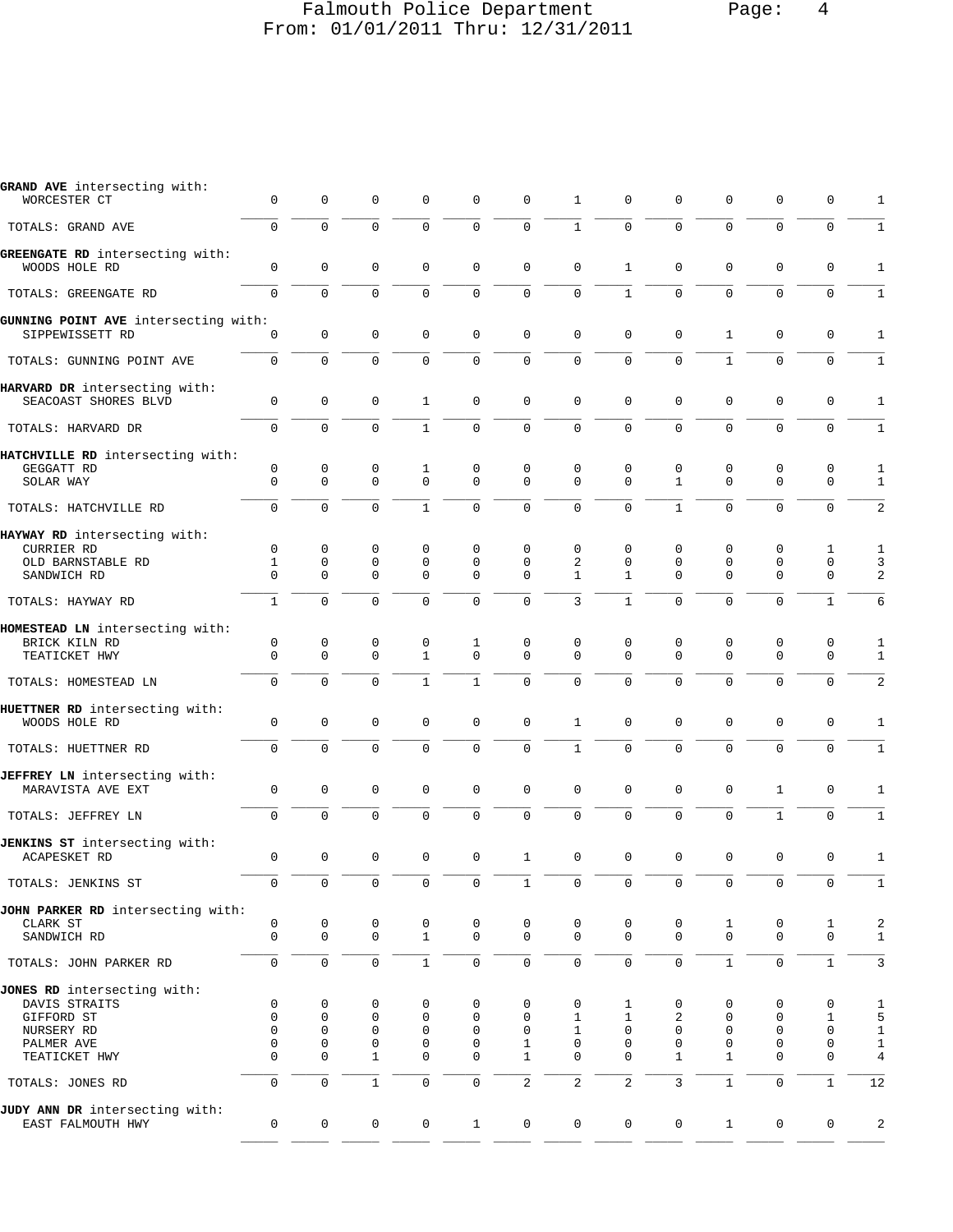## Falmouth Police Department Page: 4 From: 01/01/2011 Thru: 12/31/2011

| GRAND AVE intersecting with:<br>WORCESTER CT          | $\mathbf 0$                | $\mathbf 0$             | $\mathbf 0$             | 0                       | $\mathbf 0$             | $\mathbf 0$                | 1                       | 0                           | 0                       | $\mathbf 0$                | $\mathbf 0$             | 0                          | 1                 |
|-------------------------------------------------------|----------------------------|-------------------------|-------------------------|-------------------------|-------------------------|----------------------------|-------------------------|-----------------------------|-------------------------|----------------------------|-------------------------|----------------------------|-------------------|
| TOTALS: GRAND AVE                                     | $\mathbf 0$                | $\Omega$                | $\Omega$                | $\Omega$                | $\mathbf 0$             | $\mathbf 0$                | $\mathbf{1}$            | $\Omega$                    | $\Omega$                | $\Omega$                   | $\Omega$                | 0                          | $\mathbf{1}$      |
| GREENGATE RD intersecting with:<br>WOODS HOLE RD      | $\Omega$                   | $\mathbf 0$             | $\mathbf 0$             | $\mathbf 0$             | $\mathbf 0$             | $\mathbf 0$                | $\Omega$                | $\mathbf{1}$                | $\mathbf 0$             | $\mathbf 0$                | $\Omega$                | 0                          | 1                 |
| TOTALS: GREENGATE RD                                  | $\Omega$                   | $\Omega$                | $\Omega$                | $\Omega$                | $\mathbf 0$             | $\mathbf 0$                | $\mathbf 0$             | $\mathbf{1}$                | $\Omega$                | $\mathbf 0$                | $\Omega$                | $\mathbf 0$                | $\mathbf{1}$      |
| GUNNING POINT AVE intersecting with:                  |                            |                         |                         |                         |                         |                            |                         |                             |                         |                            |                         |                            |                   |
| SIPPEWISSETT RD                                       | $\mathbf 0$                | $\mathbf{0}$            | $\Omega$                | $\mathbf 0$             | $\mathbf 0$             | $\mathbf 0$                | $\Omega$                | $\mathbf 0$                 | $\mathbf 0$             | $\mathbf{1}$               | $\mathbf 0$             | $\mathbf 0$                | $\mathbf{1}$      |
| TOTALS: GUNNING POINT AVE                             | $\Omega$                   | $\Omega$                | $\Omega$                | $\Omega$                | $\mathbf 0$             | $\mathbf 0$                | $\Omega$                | $\Omega$                    | $\Omega$                | $\mathbf{1}$               | $\Omega$                | 0                          | $\mathbf{1}$      |
| HARVARD DR intersecting with:<br>SEACOAST SHORES BLVD | $\mathbf 0$                | $\mathbf{0}$            | $\mathbf 0$             | $\mathbf{1}$            | $\mathbf 0$             | $\mathbf 0$                | $\mathbf 0$             | $\mathbf 0$                 | $\mathbf 0$             | $\mathbf 0$                | $\mathbf 0$             | $\mathbf 0$                | $\mathbf{1}$      |
| TOTALS: HARVARD DR                                    | $\Omega$                   | $\Omega$                | $\mathbf 0$             | $\mathbf{1}$            | $\mathbf 0$             | $\mathbf 0$                | $\overline{0}$          | 0                           | $\Omega$                | $\mathbf 0$                | $\Omega$                | $\Omega$                   | $\mathbf{1}$      |
| HATCHVILLE RD intersecting with:                      |                            |                         |                         |                         |                         |                            |                         |                             |                         |                            |                         |                            |                   |
| GEGGATT RD<br>SOLAR WAY                               | $\mathbf 0$<br>$\Omega$    | 0<br>$\Omega$           | 0<br>$\Omega$           | 1<br>$\Omega$           | 0<br>$\Omega$           | $\mathbf 0$<br>$\Omega$    | $\mathbf 0$<br>$\Omega$ | 0<br>$\Omega$               | 0<br>$\mathbf{1}$       | 0<br>$\mathbf 0$           | 0<br>$\Omega$           | 0<br>$\mathbf 0$           | 1<br>$\mathbf{1}$ |
| TOTALS: HATCHVILLE RD                                 | $\Omega$                   | $\Omega$                | $\Omega$                | $\mathbf{1}$            | $\Omega$                | $\mathbf 0$                | $\Omega$                | $\Omega$                    | $\mathbf{1}$            | $\Omega$                   | $\Omega$                | $\Omega$                   | 2                 |
| HAYWAY RD intersecting with:                          |                            |                         |                         |                         |                         |                            |                         |                             |                         |                            |                         |                            |                   |
| CURRIER RD                                            | $\mathbf 0$                | $\mathbf 0$             | $\mathbf 0$             | 0                       | $\Omega$                | $\Omega$                   | $\mathbf 0$             | $\mathbf 0$                 | 0                       | $\mathbf 0$                | 0                       | 1                          | 1                 |
| OLD BARNSTABLE RD<br>SANDWICH RD                      | $\mathbf{1}$<br>$\Omega$   | $\mathbf 0$<br>$\Omega$ | $\mathsf 0$<br>$\Omega$ | $\mathbf 0$<br>$\Omega$ | $\mathbf 0$<br>$\Omega$ | $\mathbf 0$<br>$\Omega$    | 2<br>$\mathbf{1}$       | $\mathbf 0$<br>$\mathbf{1}$ | $\mathbf 0$<br>$\Omega$ | $\mathbf 0$<br>$\mathbf 0$ | $\mathbf 0$<br>$\Omega$ | $\mathbf 0$<br>$\mathbf 0$ | 3<br>2            |
| TOTALS: HAYWAY RD                                     | $\mathbf{1}$               | $\Omega$                | $\Omega$                | $\Omega$                | $\Omega$                | $\Omega$                   | 3                       | $\mathbf{1}$                | $\Omega$                | $\Omega$                   | $\Omega$                | $\mathbf{1}$               | 6                 |
|                                                       |                            |                         |                         |                         |                         |                            |                         |                             |                         |                            |                         |                            |                   |
| HOMESTEAD LN intersecting with:<br>BRICK KILN RD      | $\mathbf 0$                | $\mathbf 0$             | 0                       | 0                       | 1                       | 0                          | $\Omega$                | 0                           | 0                       | $\mathbf 0$                | $\mathbf 0$             | 0                          | 1                 |
| TEATICKET HWY                                         | $\mathbf 0$                | $\Omega$                | $\Omega$                | $\mathbf{1}$            | $\mathbf 0$             | $\Omega$                   | $\Omega$                | $\Omega$                    | $\Omega$                | $\Omega$                   | $\Omega$                | $\mathbf 0$                | $\mathbf{1}$      |
| TOTALS: HOMESTEAD LN                                  | $\Omega$                   | $\Omega$                | $\Omega$                | $\mathbf{1}$            | $\mathbf{1}$            | $\mathbf 0$                | $\Omega$                | $\mathbf 0$                 | $\Omega$                | $\Omega$                   | $\Omega$                | $\mathbf 0$                | 2                 |
| HUETTNER RD intersecting with:<br>WOODS HOLE RD       | $\mathbf 0$                | $\mathbf{0}$            | $\mathbf 0$             | $\mathbf 0$             | $\mathbf 0$             | $\mathbf 0$                | $\mathbf{1}$            | $\mathbf 0$                 | $\mathbf 0$             | $\mathbf 0$                | $\mathbf 0$             | $\mathbf 0$                | $\mathbf{1}$      |
| TOTALS: HUETTNER RD                                   | $\Omega$                   | $\Omega$                | $\Omega$                | $\Omega$                | $\Omega$                | $\Omega$                   | $\mathbf{1}$            | $\mathbf 0$                 | $\Omega$                | $\Omega$                   | $\Omega$                | $\mathbf 0$                | $\mathbf{1}$      |
| JEFFREY LN intersecting with:<br>MARAVISTA AVE EXT    | $\Omega$                   | $\mathbf 0$             | $\mathbf 0$             | 0                       | $\mathbf 0$             | $\mathbf 0$                | $\Omega$                | $\mathbf 0$                 | $\Omega$                | $\mathbf 0$                | 1                       | 0                          | 1                 |
| TOTALS: JEFFREY LN                                    | $\mathbf 0$                | $\mathbf{0}$            | $\Omega$                | $\Omega$                | $\mathbf 0$             | $\mathbf 0$                | $\mathbf 0$             | $\mathbf 0$                 | $\mathbf 0$             | $\mathbf 0$                | $\mathbf{1}$            | $\mathbf 0$                | $\mathbf{1}$      |
| JENKINS ST intersecting with:                         |                            |                         |                         |                         |                         |                            |                         |                             |                         |                            |                         |                            |                   |
| <b>ACAPESKET RD</b>                                   | $\mathbf 0$                | $\Omega$                | $\Omega$                | $\Omega$                | $\mathbf 0$             | $\mathbf{1}$               | $\mathbf 0$             | $\mathbf 0$                 | $\mathbf 0$             | $\mathbf 0$                | $\mathbf 0$             | 0                          | 1                 |
| TOTALS: JENKINS ST                                    | $\overline{0}$             | $\overline{0}$          | $\overline{0}$          | $\overline{0}$          | $\mathbf{0}$            | $\mathbf{1}$               | $\overline{0}$          | $\overline{0}$              | $\mathbf 0$             | $\mathbf 0$                | $\mathbf 0$             | 0                          | 1                 |
| JOHN PARKER RD intersecting with:                     |                            |                         |                         |                         |                         |                            |                         |                             |                         |                            |                         |                            |                   |
| CLARK ST<br>SANDWICH RD                               | 0<br>$\mathbf 0$           | 0<br>$\mathbf 0$        | 0<br>$\mathbf 0$        | 0<br>$\mathbf{1}$       | 0<br>$\mathbf 0$        | $\mathbf 0$<br>$\mathbf 0$ | 0<br>$\mathbf 0$        | 0<br>$\mathbf 0$            | 0<br>$\mathbf 0$        | 1<br>$\mathbf 0$           | 0<br>$\mathbf 0$        | 1<br>$\mathsf 0$           | 2<br>$\mathbf{1}$ |
| TOTALS: JOHN PARKER RD                                | 0                          | $\mathbf 0$             | $\mathsf{O}\xspace$     | $\mathbf{1}$            | $\mathsf{O}\xspace$     | $\mathsf{O}\xspace$        | $\mathbf 0$             | $\mathbf 0$                 | $\mathbf 0$             | $\mathbf{1}$               | $\mathsf{O}\xspace$     | $\mathbf{1}$               | 3                 |
| JONES RD intersecting with:                           |                            |                         |                         |                         |                         |                            |                         |                             |                         |                            |                         |                            |                   |
| DAVIS STRAITS                                         | $\mathbf 0$<br>$\mathbf 0$ | 0<br>$\mathbf 0$        | 0<br>$\mathbf 0$        | 0<br>$\mathbf 0$        | 0<br>$\mathbf 0$        | 0<br>$\mathbf 0$           | 0<br>$\mathbf{1}$       | 1<br>$\mathbf{1}$           | 0                       | 0<br>$\mathbf 0$           | 0<br>$\mathbf 0$        | 0<br>$\mathbf{1}$          | 1                 |
| GIFFORD ST<br>NURSERY RD                              | $\Omega$                   | $\mathbf 0$             | $\mathbf 0$             | 0                       | 0                       | 0                          | $\mathbf{1}$            | $\mathbf 0$                 | 2<br>0                  | $\mathbf 0$                | 0                       | $\mathbf 0$                | 5<br>$\mathbf{1}$ |
| PALMER AVE                                            | $\Omega$                   | $\mathbf{0}$            | $\mathbf 0$             | $\mathbf 0$             | $\mathbf 0$             | $\mathbf{1}$               | $\mathbf 0$             | $\mathbf 0$                 | $\mathbf 0$             | $\mathbf 0$                | 0                       | 0                          | $\mathbf{1}$      |
| TEATICKET HWY                                         | $\mathbf 0$                | $\mathbf 0$             | $\mathbf{1}$            | $\mathbf 0$             | 0                       | $\mathbf{1}$               | $\mathbf 0$             | $\mathbf 0$                 | $\mathbf{1}$            | $\mathbf{1}$               | $\mathbf 0$             | $\mathbf 0$                | $\overline{4}$    |
| TOTALS: JONES RD                                      | $\mathbf 0$                | $\mathbf 0$             | $\mathbf{1}$            | 0                       | $\mathsf 0$             | $\overline{c}$             | $\overline{c}$          | $\overline{2}$              | $\mathbf{3}$            | $\mathbf{1}$               | $\mathsf 0$             | $\mathbf{1}$               | 12                |
| JUDY ANN DR intersecting with:<br>EAST FALMOUTH HWY   | 0                          | $\mathbf 0$             | $\mathbf 0$             | $\mathsf{O}$            | $\mathbf{1}$            | $\mathbf 0$                | $\mathbf 0$             | $\mathbf 0$                 | 0                       | $\mathbf{1}$               | 0                       | 0                          | $\overline{a}$    |
|                                                       |                            |                         |                         |                         |                         |                            |                         |                             |                         |                            |                         |                            |                   |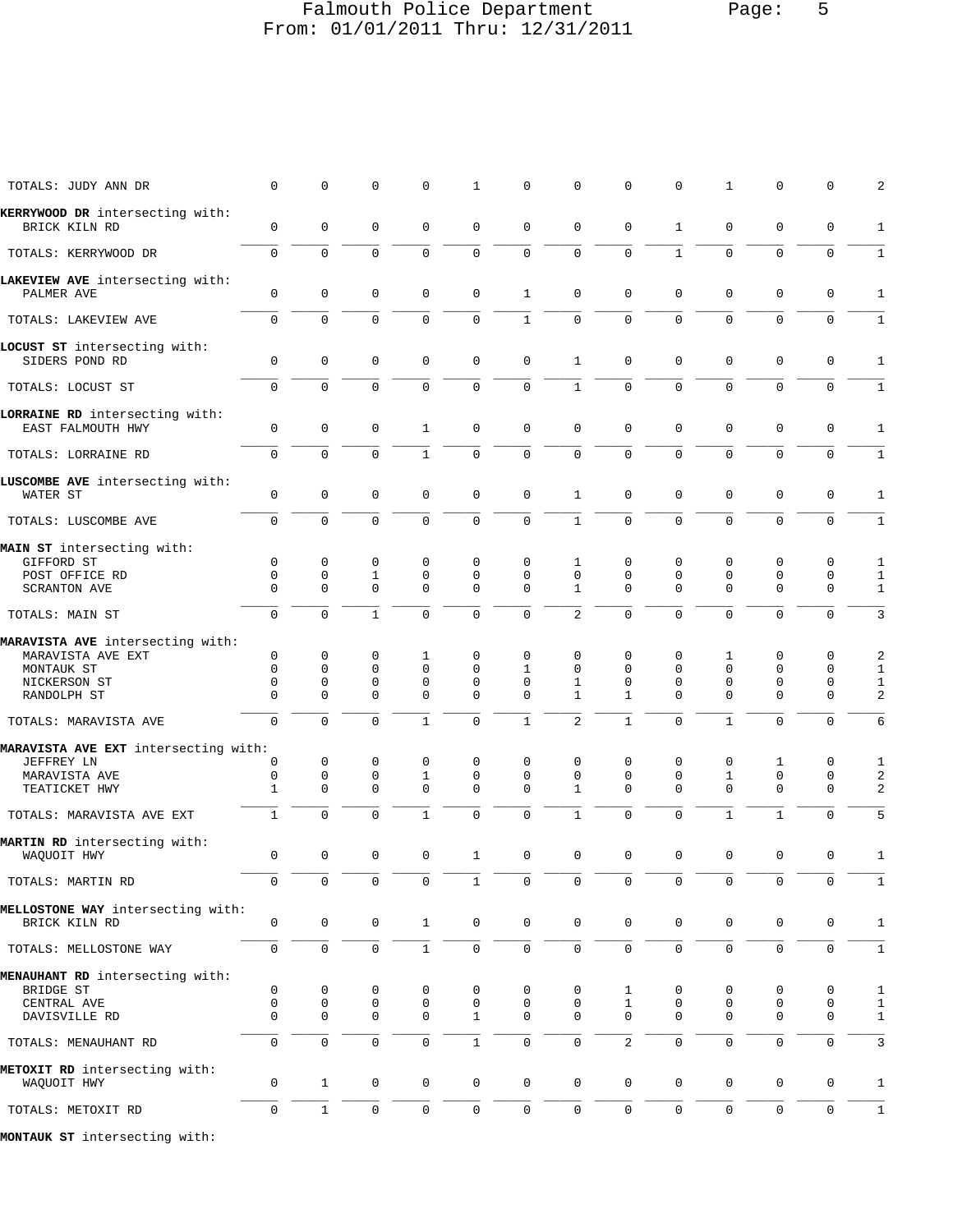### Falmouth Police Department Page: 5 From: 01/01/2011 Thru: 12/31/2011

| TOTALS: JUDY ANN DR                                                                                | $\mathbf 0$                                            | 0                                                      | $\mathbf 0$                                 | $\Omega$                                    | $\mathbf{1}$                                       | $\mathbf 0$                  | $\mathbf 0$                                  | $\Omega$                                    | $\Omega$                                    | $\mathbf{1}$                                 | $\Omega$                                              | 0                          | 2                                      |
|----------------------------------------------------------------------------------------------------|--------------------------------------------------------|--------------------------------------------------------|---------------------------------------------|---------------------------------------------|----------------------------------------------------|------------------------------|----------------------------------------------|---------------------------------------------|---------------------------------------------|----------------------------------------------|-------------------------------------------------------|----------------------------|----------------------------------------|
| KERRYWOOD DR intersecting with:                                                                    |                                                        |                                                        |                                             |                                             |                                                    |                              |                                              |                                             |                                             |                                              |                                                       |                            |                                        |
| BRICK KILN RD                                                                                      | $\mathbf 0$                                            | 0                                                      | $\mathbf 0$                                 | 0                                           | $\mathbf 0$                                        | $\mathbf 0$                  | $\Omega$                                     | $\mathbf 0$                                 | $\mathbf{1}$                                | $\mathbf 0$                                  | $\mathbf 0$                                           | 0                          | 1                                      |
| TOTALS: KERRYWOOD DR                                                                               | $\mathbf 0$                                            | $\Omega$                                               | $\mathbf 0$                                 | $\Omega$                                    | $\mathbf 0$                                        | $\mathbf 0$                  | $\mathbf 0$                                  | $\Omega$                                    | $\mathbf{1}$                                | $\mathbf 0$                                  | $\Omega$                                              | $\mathbf 0$                | $\mathbf{1}$                           |
| LAKEVIEW AVE intersecting with:<br>PALMER AVE                                                      | $\mathbf{0}$                                           | 0                                                      | $\mathbf 0$                                 | 0                                           | $\mathbf 0$                                        | $\mathbf{1}$                 | $\mathbf 0$                                  | $\mathbf 0$                                 | $\mathbf 0$                                 | $\mathbf{0}$                                 | $\mathbf 0$                                           | 0                          | 1                                      |
| TOTALS: LAKEVIEW AVE                                                                               | $\Omega$                                               | $\Omega$                                               | $\Omega$                                    | $\Omega$                                    | $\Omega$                                           | $\mathbf{1}$                 | $\Omega$                                     | $\Omega$                                    | $\Omega$                                    | $\Omega$                                     | $\Omega$                                              | $\mathbf 0$                | $\mathbf{1}$                           |
| LOCUST ST intersecting with:<br>SIDERS POND RD                                                     | $\mathbf 0$                                            | $\mathbf 0$                                            | $\mathbf 0$                                 | $\mathbf 0$                                 | $\mathbf 0$                                        | $\mathbf 0$                  | $\mathbf{1}$                                 | $\mathbf 0$                                 | $\mathbf 0$                                 | $\mathbf{0}$                                 | $\mathbf 0$                                           | $\mathsf 0$                | 1                                      |
| TOTALS: LOCUST ST                                                                                  | $\Omega$                                               | $\Omega$                                               | $\Omega$                                    | $\Omega$                                    | $\mathbf 0$                                        | $\mathbf 0$                  | $\mathbf{1}$                                 | $\Omega$                                    | $\Omega$                                    | $\mathsf{O}$                                 | $\Omega$                                              | $\Omega$                   | $\mathbf{1}$                           |
| LORRAINE RD intersecting with:<br>EAST FALMOUTH HWY                                                | $\mathbf 0$                                            | $\mathbf 0$                                            | $\mathbf 0$                                 | $\mathbf{1}$                                | $\mathbf 0$                                        | $\mathbf 0$                  | $\mathbf 0$                                  | $\mathbf{0}$                                | $\mathbf 0$                                 | $\mathbf{0}$                                 | $\mathbf 0$                                           | $\mathbf 0$                | 1                                      |
| TOTALS: LORRAINE RD                                                                                | $\Omega$                                               | $\Omega$                                               | $\Omega$                                    | $\mathbf{1}$                                | $\Omega$                                           | $\Omega$                     | $\mathbf 0$                                  | $\mathbf 0$                                 | $\Omega$                                    | $\Omega$                                     | $\Omega$                                              | $\Omega$                   | $\mathbf{1}$                           |
| LUSCOMBE AVE intersecting with:<br>WATER ST                                                        | $\mathbf 0$                                            | $\mathbf 0$                                            | $\mathbf 0$                                 | $\mathbf 0$                                 | $\mathbf 0$                                        | $\mathbf 0$                  | $\mathbf{1}$                                 | $\mathbf{0}$                                | $\mathbf 0$                                 | $\mathbf{0}$                                 | $\mathbf 0$                                           | $\mathbf 0$                | $\mathbf{1}$                           |
| TOTALS: LUSCOMBE AVE                                                                               | $\Omega$                                               | $\Omega$                                               | $\Omega$                                    | $\Omega$                                    | $\mathbf 0$                                        | $\mathbf 0$                  | $\mathbf{1}$                                 | $\Omega$                                    | $\Omega$                                    | $\Omega$                                     | $\Omega$                                              | $\mathbf 0$                | $\mathbf{1}$                           |
| MAIN ST intersecting with:<br>GIFFORD ST<br>POST OFFICE RD                                         | $\mathbf 0$<br>$\mathbf 0$                             | $\mathbf 0$<br>$\mathbf{0}$                            | 0                                           | 0<br>$\mathbf 0$                            | $\mathbf 0$<br>$\mathbf 0$                         | 0<br>$\Omega$                | 1<br>$\mathbf 0$                             | $\mathbf 0$<br>$\mathbf 0$                  | $\mathbf 0$<br>$\mathbf 0$                  | 0<br>$\mathbf 0$                             | 0<br>$\mathbf 0$                                      | 0<br>$\mathbf 0$           | 1                                      |
| <b>SCRANTON AVE</b>                                                                                | $\Omega$                                               | $\mathbf 0$                                            | $\mathbf{1}$<br>$\Omega$                    | $\Omega$                                    | $\Omega$                                           | $\Omega$                     | $\mathbf{1}$                                 | $\Omega$                                    | $\Omega$                                    | $\mathbf{0}$                                 | $\mathbf 0$                                           | $\mathbf 0$                | $\mathbf{1}$<br>$\mathbf{1}$           |
| TOTALS: MAIN ST                                                                                    | $\mathbf 0$                                            | $\Omega$                                               | $\mathbf{1}$                                | $\Omega$                                    | $\Omega$                                           | $\Omega$                     | 2                                            | $\Omega$                                    | $\Omega$                                    | $\Omega$                                     | $\Omega$                                              | $\mathbf 0$                | 3                                      |
| MARAVISTA AVE intersecting with:<br>MARAVISTA AVE EXT<br>MONTAUK ST<br>NICKERSON ST<br>RANDOLPH ST | $\mathbf 0$<br>$\mathbf 0$<br>$\mathbf{0}$<br>$\Omega$ | $\mathbf 0$<br>$\mathbf{0}$<br>$\mathbf 0$<br>$\Omega$ | 0<br>$\mathbf 0$<br>$\mathbf 0$<br>$\Omega$ | 1<br>$\mathbf 0$<br>$\mathbf 0$<br>$\Omega$ | $\mathbf 0$<br>$\Omega$<br>$\mathbf 0$<br>$\Omega$ | 0<br>1<br>0<br>$\Omega$      | $\mathbf 0$<br>$\Omega$<br>1<br>$\mathbf{1}$ | $\mathbf 0$<br>$\Omega$<br>$\mathbf 0$<br>1 | 0<br>$\mathbf 0$<br>$\mathbf 0$<br>$\Omega$ | 1<br>$\mathbf 0$<br>$\mathbf{0}$<br>$\Omega$ | $\mathbf 0$<br>$\mathbf 0$<br>$\mathbf 0$<br>$\Omega$ | 0<br>0<br>0<br>$\mathbf 0$ | 2<br>$\mathbf{1}$<br>$\mathbf{1}$<br>2 |
| TOTALS: MARAVISTA AVE                                                                              | $\Omega$                                               | $\mathbf 0$                                            | $\Omega$                                    | 1                                           | $\Omega$                                           | $\mathbf{1}$                 | 2                                            | $\mathbf{1}$                                | $\Omega$                                    | $\mathbf{1}$                                 | $\mathbf 0$                                           | 0                          | 6                                      |
| MARAVISTA AVE EXT intersecting with:<br>JEFFREY LN<br>MARAVISTA AVE<br>TEATICKET HWY               | 0<br>$\mathbf 0$<br>1                                  | 0<br>$\mathbf 0$<br>$\Omega$                           | $\mathbf 0$<br>$\mathbf 0$<br>$\mathbf 0$   | 0<br>$\mathbf{1}$<br>$\Omega$               | $\mathbf 0$<br>$\mathbf 0$<br>$\Omega$             | 0<br>$\mathbf 0$<br>$\Omega$ | $\mathbf 0$<br>$\mathbf 0$<br>1              | 0<br>$\mathbf 0$<br>$\Omega$                | $\mathbf 0$<br>$\mathbf 0$<br>$\Omega$      | 0<br>$\mathbf{1}$<br>$\Omega$                | 1<br>$\mathbf 0$<br>$\mathbf 0$                       | 0<br>0<br>$\mathbf 0$      | 1<br>$\overline{a}$<br>2               |
| TOTALS: MARAVISTA AVE EXT                                                                          | $\mathbf 1$                                            | $\mathbf 0$                                            | $\Omega$                                    | 1                                           | $\Omega$                                           | $\mathbf 0$                  | 1                                            | $\Omega$                                    | $\Omega$                                    | $\mathbf{1}$                                 | $\mathbf{1}$                                          | 0                          | 5                                      |
| MARTIN RD intersecting with:<br>WAQUOIT HWY                                                        | 0                                                      | $\mathbf 0$                                            | $\mathbf 0$                                 | $\mathbf 0$                                 | $\mathbf{1}$                                       | $\mathbf 0$                  | $\mathbf 0$                                  | $\mathbf 0$                                 | $\mathbf 0$                                 | $\mathbf 0$                                  | $\mathbf 0$                                           | 0                          | 1                                      |
| TOTALS: MARTIN RD                                                                                  | 0                                                      | $\mathsf{O}\xspace$                                    | 0                                           | 0                                           | $\mathbf{1}$                                       | 0                            | 0                                            | 0                                           | $\mathbf 0$                                 | 0                                            | 0                                                     | 0                          | $\mathbf{1}$                           |
| MELLOSTONE WAY intersecting with:<br>BRICK KILN RD                                                 | 0                                                      | $\mathsf{O}$                                           | 0                                           | $\mathbf{1}$                                | $\mathsf{O}\xspace$                                | $\mathbf 0$                  | $\mathsf{O}\xspace$                          | $\mathbf 0$                                 | $\mathbf 0$                                 | $\mathbf 0$                                  | $\mathbf 0$                                           | $\mathbf 0$                | $\mathbf{1}$                           |
| TOTALS: MELLOSTONE WAY                                                                             | $\mathsf{O}$                                           | $\mathsf 0$                                            | 0                                           | $\mathbf{1}$                                | $\mathsf{O}$                                       | 0                            | $\mathbf 0$                                  | $\mathsf{O}$                                | $\mathsf{O}$                                | $\mathsf{O}\xspace$                          | $\mathsf{O}\xspace$                                   | $\mathsf 0$                | $1\,$                                  |
| MENAUHANT RD intersecting with:<br>BRIDGE ST                                                       | 0                                                      | 0                                                      | 0                                           | 0                                           | 0                                                  | 0                            | 0                                            | 1                                           | 0                                           | 0                                            | 0                                                     | 0                          | $\mathbf{1}$                           |
| CENTRAL AVE<br>DAVISVILLE RD                                                                       | 0<br>$\mathbf 0$                                       | 0<br>$\mathbf 0$                                       | 0<br>$\mathbf 0$                            | 0<br>$\mathbf 0$                            | 0<br>$\mathbf{1}$                                  | 0<br>$\mathbf 0$             | 0<br>$\mathbf 0$                             | $\mathbf{1}$<br>$\mathbf{0}$                | 0<br>$\mathbf 0$                            | 0<br>$\mathbf{0}$                            | 0<br>$\mathbf 0$                                      | 0<br>$\mathbf 0$           | $\mathbf{1}$<br>$\mathbf{1}$           |
| TOTALS: MENAUHANT RD                                                                               | $\mathbf 0$                                            | $\mathbf 0$                                            | $\mathsf 0$                                 | 0                                           | $\mathbf{1}$                                       | $\mathsf 0$                  | $\mathbf 0$                                  | $\overline{2}$                              | $\mathbf 0$                                 | $\mathsf 0$                                  | $\mathsf 0$                                           | $\mathsf 0$                | $\mathbf{3}$                           |
| METOXIT RD intersecting with:<br>WAQUOIT HWY                                                       | 0                                                      | $\mathbf{1}$                                           | $\mathbf 0$                                 | $\mathsf{O}$                                | $\mathbf 0$                                        | $\mathbf 0$                  | $\mathbf 0$                                  | 0                                           | $\mathbf 0$                                 | $\mathbf 0$                                  | 0                                                     | 0                          | $\mathbf{1}$                           |
| TOTALS: METOXIT RD                                                                                 | 0                                                      | $\mathbf{1}$                                           | $\mathsf{O}\xspace$                         | 0                                           | $\mathsf{O}$                                       | 0                            | $\mathsf{O}\xspace$                          | $\mathsf{O}$                                | $\mathsf{O}$                                | $\mathsf{O}\xspace$                          | $\mathbf 0$                                           | 0                          | $\mathbf 1$                            |
| MONTAIN OF intersecting with:                                                                      |                                                        |                                                        |                                             |                                             |                                                    |                              |                                              |                                             |                                             |                                              |                                                       |                            |                                        |

**MONTAUK ST** intersecting with: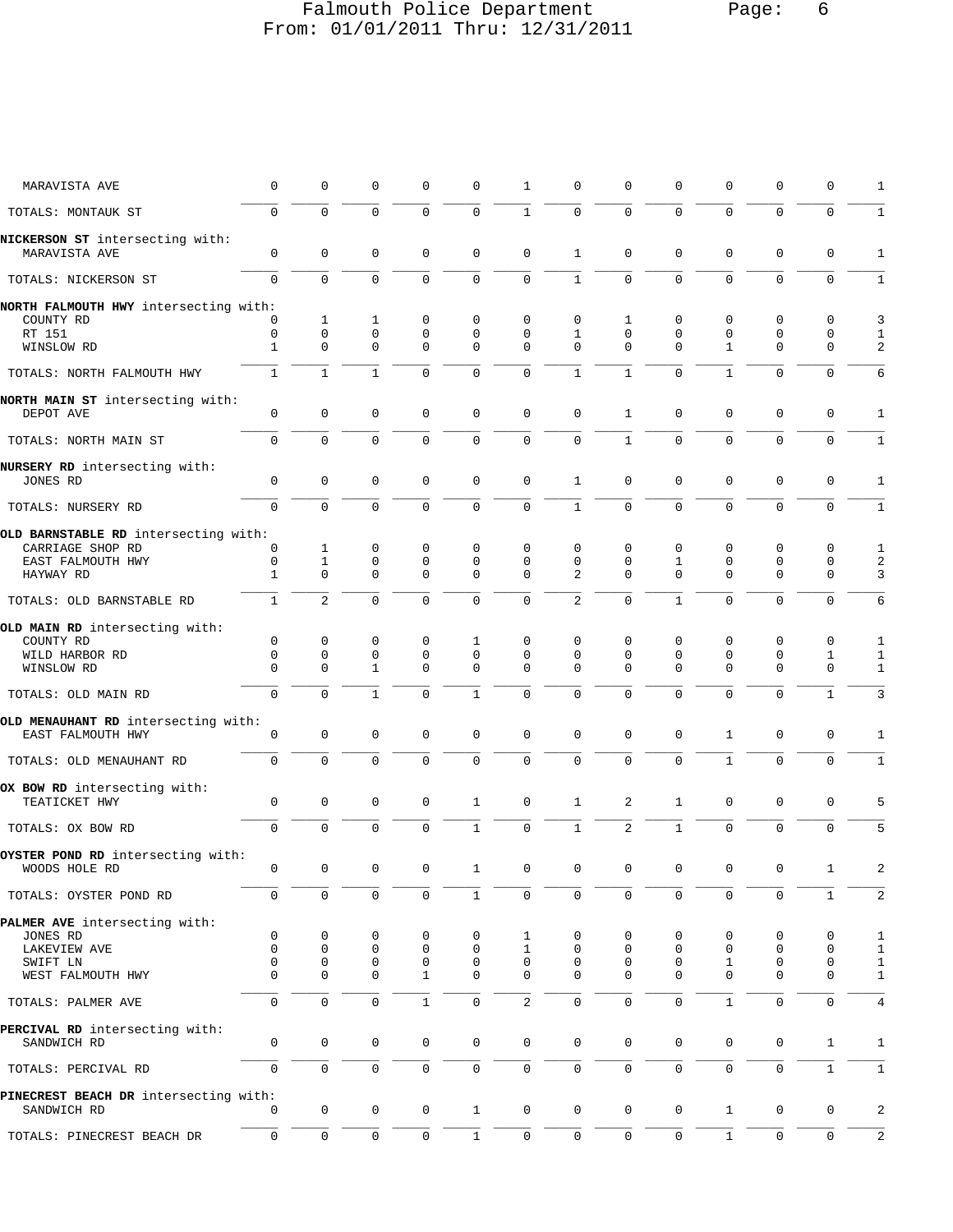## Falmouth Police Department Page: 6 From: 01/01/2011 Thru: 12/31/2011

| MARAVISTA AVE                                            | 0            | 0              | 0                   | 0            | 0              | 1           | $\mathbf 0$    | $\Omega$     | 0            | 0            | 0            | 0            | 1            |
|----------------------------------------------------------|--------------|----------------|---------------------|--------------|----------------|-------------|----------------|--------------|--------------|--------------|--------------|--------------|--------------|
| TOTALS: MONTAUK ST                                       | $\Omega$     | $\overline{0}$ | $\mathbf 0$         | $\mathbf 0$  | $\mathbf{0}$   | $\mathbf 1$ | $\mathbf 0$    | $\Omega$     | 0            | $\mathbf 0$  | $\mathbf 0$  | $\Omega$     | $1\,$        |
| NICKERSON ST intersecting with:<br>MARAVISTA AVE         | 0            | $\mathbf 0$    | 0                   | 0            | 0              | 0           | 1              | 0            | 0            | 0            | 0            | 0            | 1            |
| TOTALS: NICKERSON ST                                     | $\mathbf 0$  | $\mathbf{0}$   | $\mathbf 0$         | $\mathbf 0$  | $\mathbf 0$    | $\mathbf 0$ | $\mathbf{1}$   | 0            | $\mathbf 0$  | $\mathbf 0$  | $\mathbf{0}$ | $\mathbf 0$  | $\mathbf{1}$ |
| NORTH FALMOUTH HWY intersecting with:                    |              |                |                     |              |                |             |                |              |              |              |              |              |              |
| COUNTY RD                                                | 0            | $\mathbf{1}$   | 1                   | 0            | 0              | 0           | $\mathbf 0$    | 1            | 0            | 0            | 0            | $\mathbf 0$  | 3            |
| RT 151                                                   | 0            | $\mathbf 0$    | $\mathsf 0$         | $\mathbf 0$  | $\mathbf{0}$   | $\mathbf 0$ | $\mathbf{1}$   | $\mathbf 0$  | $\mathbf 0$  | $\mathbf 0$  | $\mathbf{0}$ | 0            | 1            |
| WINSLOW RD                                               | 1            | 0              | 0                   | $\mathbf 0$  | 0              | 0           | $\Omega$       | $\Omega$     | 0            | $\mathbf 1$  | 0            | 0            | 2            |
| TOTALS: NORTH FALMOUTH HWY                               | $\mathbf{1}$ | $\mathbf{1}$   | $\mathbf{1}$        | $\mathbf 0$  | $\mathbf 0$    | $\mathbf 0$ | $\mathbf{1}$   | $\mathbf{1}$ | $\mathbf 0$  | $\mathbf{1}$ | $\mathbf{0}$ | $\mathbf 0$  | 6            |
| NORTH MAIN ST intersecting with:                         |              |                |                     |              |                |             |                |              |              |              |              |              |              |
| DEPOT AVE                                                | 0            | $\mathbf 0$    | $\mathbf 0$         | $\mathbf 0$  | $\mathbf{0}$   | $\mathsf 0$ | $\mathbf 0$    | $\mathbf{1}$ | 0            | $\mathbf 0$  | 0            | $\mathbf 0$  | 1            |
| TOTALS: NORTH MAIN ST                                    | 0            | 0              | $\mathbf 0$         | $\mathbf 0$  | $\mathbf 0$    | 0           | $\mathbf 0$    | $\mathbf{1}$ | $\mathbf 0$  | $\mathbf 0$  | $\mathbf{0}$ | 0            | $1\,$        |
| NURSERY RD intersecting with:<br>JONES RD                | 0            | 0              | $\mathbf 0$         | 0            | $\mathbf 0$    | $\mathbf 0$ | 1              | 0            | $\mathbf 0$  | $\mathbf 0$  | 0            | $\mathbf 0$  | 1            |
| TOTALS: NURSERY RD                                       | $\mathbf 0$  | 0              | $\mathbf 0$         | $\Omega$     | $\mathbf 0$    | $\mathbf 0$ | $\mathbf{1}$   | $\mathbf 0$  | $\mathbf 0$  | $\mathbf 0$  | $\mathbf 0$  | $\mathbf 0$  | $\mathbf{1}$ |
| OLD BARNSTABLE RD intersecting with:                     |              |                |                     |              |                |             |                |              |              |              |              |              |              |
| CARRIAGE SHOP RD                                         | 0            | $\mathbf{1}$   | 0                   | 0            | 0              | 0           | $\mathbf 0$    | 0            | 0            | 0            | 0            | 0            | 1            |
| EAST FALMOUTH HWY                                        | 0            | 1              | 0                   | 0            | 0              | 0           | $\mathbf 0$    | 0            | 1            | $\mathbf 0$  | $\mathbf 0$  | 0            | 2            |
| HAYWAY RD                                                | 1            | $\Omega$       | $\Omega$            | $\Omega$     | $\mathbf{0}$   | 0           | 2              | $\Omega$     | $\Omega$     | $\Omega$     | $\Omega$     | 0            | 3            |
| TOTALS: OLD BARNSTABLE RD                                | $\mathbf{1}$ | $\overline{2}$ | $\mathbf 0$         | $\Omega$     | $\mathbf 0$    | $\mathbf 0$ | $\overline{2}$ | $\mathbf{0}$ | $\mathbf{1}$ | $\Omega$     | $\mathbf 0$  | $\mathbf 0$  | 6            |
| OLD MAIN RD intersecting with:                           |              |                |                     |              |                |             |                |              |              |              |              |              |              |
| COUNTY RD                                                | 0            | 0              | 0                   | $\mathbf 0$  | 1              | 0           | $\mathbf 0$    | 0            | 0            | $\mathbf 0$  | 0            | 0            | 1            |
| WILD HARBOR RD                                           | 0            | 0              | 0                   | 0            | 0              | 0           | $\mathbf 0$    | 0            | $\mathbf 0$  | $\mathbf 0$  | 0            | 1            | 1            |
| WINSLOW RD                                               | $\Omega$     | $\Omega$       | 1                   | $\Omega$     | $\Omega$       | $\Omega$    | $\Omega$       | $\Omega$     | $\Omega$     | $\Omega$     | $\Omega$     | 0            | $\mathbf{1}$ |
| TOTALS: OLD MAIN RD                                      | 0            | 0              | $\mathbf{1}$        | $\mathbf 0$  | $\mathbf{1}$   | $\mathbf 0$ | $\mathbf 0$    | $\mathbf{0}$ | 0            | $\mathbf 0$  | $\mathbf 0$  | $\mathbf{1}$ | 3            |
|                                                          |              |                |                     |              |                |             |                |              |              |              |              |              |              |
| OLD MENAUHANT RD intersecting with:<br>EAST FALMOUTH HWY | $\mathbf 0$  | 0              | $\mathbf 0$         | 0            | $\mathbf{0}$   | $\mathbf 0$ | $\mathbf{0}$   | $\mathbf 0$  | $\mathbf 0$  | $\mathbf{1}$ | $\mathbf{0}$ | $\mathbf 0$  | 1            |
| TOTALS: OLD MENAUHANT RD                                 | $\mathbf 0$  | $\mathbf 0$    | $\mathbf 0$         | $\mathbf 0$  | $\mathbf 0$    | $\mathbf 0$ | $\mathbf 0$    | $\Omega$     | 0            | $\mathbf{1}$ | $\mathbf 0$  | $\mathbf 0$  | $\mathbf{1}$ |
| OX BOW RD intersecting with:                             |              |                |                     |              |                |             |                |              |              |              |              |              |              |
| TEATICKET HWY                                            | 0            | 0              | $\mathsf 0$         | 0            | 1              | $\mathsf 0$ | 1              | 2            | 1            | 0            | 0            | 0            | 5            |
| TOTALS: OX BOW RD                                        | $\mathbf 0$  | $\mathbf 0$    | $\mathbf 0$         | $\mathbf 0$  | $\mathbf{1}$   | $\mathbf 0$ | $\mathbf{1}$   | 2            | $\mathbf{1}$ | $\mathbf 0$  | $\mathbf 0$  | $\mathbf 0$  | 5            |
| OYSTER POND RD intersecting with:                        |              |                |                     |              |                |             |                |              |              |              |              |              |              |
| WOODS HOLE RD                                            | $\cap$       | $\bigcap$      | $\cap$              | $\cap$       | $\overline{1}$ | $\cap$      | $\cap$         | $\cap$       | $\cap$       | $\cap$       | $\cap$       |              | 2            |
| TOTALS: OYSTER POND RD                                   | $\mathbf 0$  | 0              | $\mathbf 0$         | 0            | 1              | 0           | $\mathbf 0$    | $\Omega$     | 0            | $\mathbf 0$  | 0            | 1            | 2            |
| PALMER AVE intersecting with:                            |              |                |                     |              |                |             |                |              |              |              |              |              |              |
| JONES RD                                                 | 0            | 0              | 0                   | 0            | 0              | 1           | 0              | 0            | 0            | 0            | 0            | 0            | 1            |
| LAKEVIEW AVE                                             | 0            | 0              | 0                   | 0            | $\mathbf 0$    | 1           | 0              | 0            | 0            | 0            | $\mathbf 0$  | 0            | 1            |
| SWIFT LN                                                 | 0            | 0              | 0                   | 0            | 0              | 0           | 0              | 0            | 0            | 1            | $\mathbf 0$  | 0            | 1            |
| WEST FALMOUTH HWY                                        | $\Omega$     | $\Omega$       | 0                   | 1            | 0              | 0           | $\Omega$       | $\Omega$     | 0            | $\Omega$     | $\Omega$     | 0            | 1            |
| TOTALS: PALMER AVE                                       | 0            | $\mathbf 0$    | $\mathsf 0$         | $\mathbf{1}$ | $\mathbf 0$    | 2           | $\mathsf 0$    | $\mathbf 0$  | $\mathbf 0$  | $\mathbf{1}$ | $\mathbf 0$  | $\mathbf 0$  | 4            |
| PERCIVAL RD intersecting with:                           |              |                |                     |              |                |             |                |              |              |              |              |              |              |
| SANDWICH RD                                              | $\mathbf 0$  | 0              | $\mathsf 0$         | 0            | $\mathsf 0$    | 0           | $\mathsf 0$    | 0            | 0            | 0            | 0            | $\mathbf 1$  | 1            |
| TOTALS: PERCIVAL RD                                      | $\mathbf 0$  | $\mathbf 0$    | $\mathbf 0$         | $\mathbf 0$  | $\mathbf 0$    | $\mathbf 0$ | $\mathbf 0$    | 0            | 0            | $\mathbf 0$  | $\mathsf 0$  | $\mathbf{1}$ | $\mathbf{1}$ |
| PINECREST BEACH DR intersecting with:                    | 0            | 0              | $\mathbf 0$         | 0            | $\mathbf{1}$   | 0           | $\mathsf 0$    | 0            | 0            | $\mathbf{1}$ | $\mathsf 0$  | $\mathbf 0$  | 2            |
| SANDWICH RD                                              |              |                |                     |              |                |             |                |              |              |              |              |              |              |
| TOTALS: PINECREST BEACH DR                               | 0            | $\mathsf 0$    | $\mathsf{O}\xspace$ | 0            | $1\,$          | $\mathbb O$ | $\mathsf 0$    | $\mathbf 0$  | $\mathbf 0$  | $1\,$        | $\mathsf 0$  | $\mathbf 0$  | 2            |
|                                                          |              |                |                     |              |                |             |                |              |              |              |              |              |              |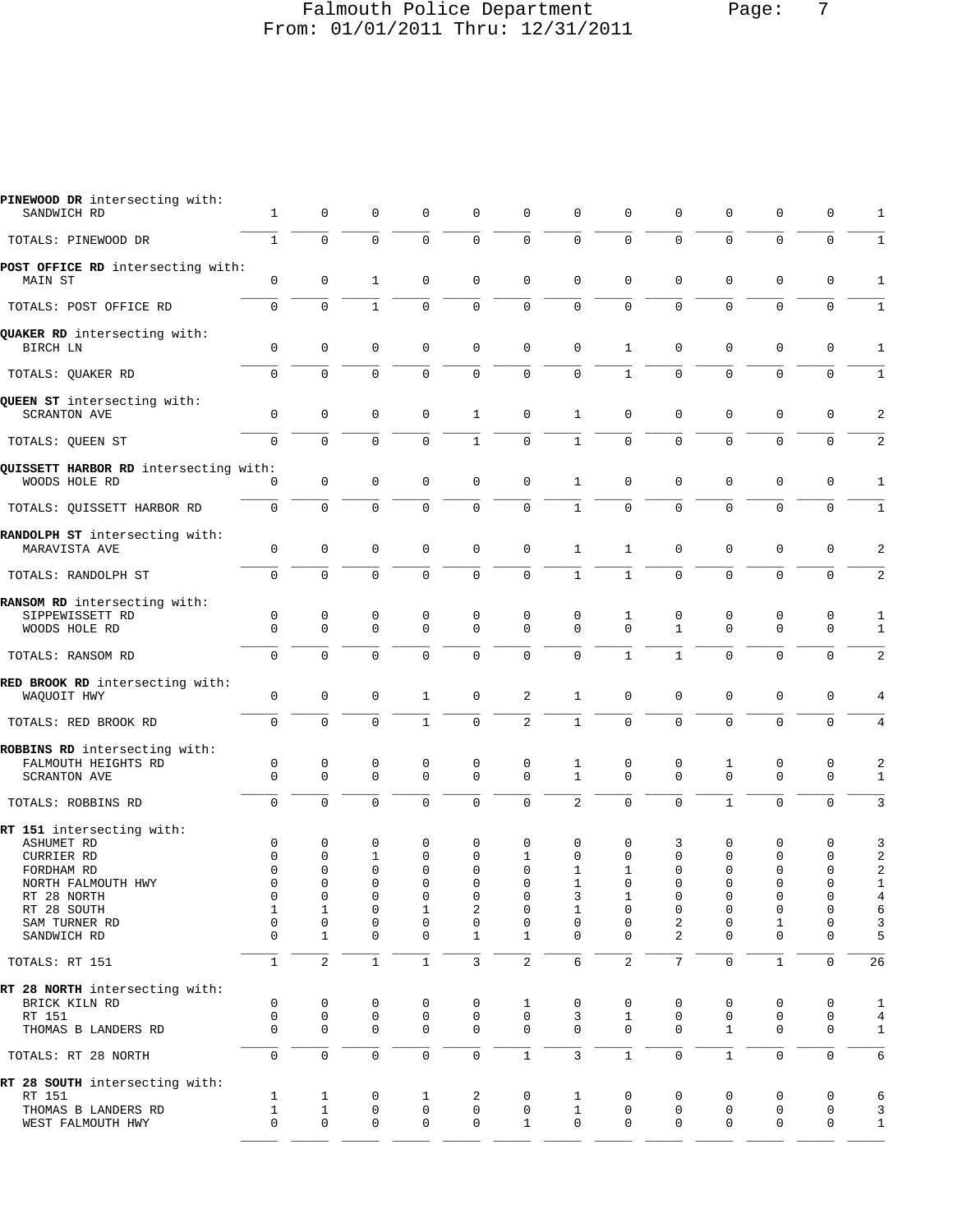### Falmouth Police Department Page: 7 From: 01/01/2011 Thru: 12/31/2011

| PINEWOOD DR intersecting with:<br>SANDWICH RD                                                                                                                  | $\mathbf{1}$                                                               | $\mathbf 0$                                                                           | $\mathbf 0$                                                                          | 0                                           | $\mathbf 0$                                                      | $\mathbf 0$                                                                           | $\mathsf 0$                                                                | 0                                                      | $\mathbf 0$                                              | $\mathbf 0$                                                                                   | $\mathbf 0$                                                                                     | $\mathbf 0$                                                                                   | 1                                                                         |
|----------------------------------------------------------------------------------------------------------------------------------------------------------------|----------------------------------------------------------------------------|---------------------------------------------------------------------------------------|--------------------------------------------------------------------------------------|---------------------------------------------|------------------------------------------------------------------|---------------------------------------------------------------------------------------|----------------------------------------------------------------------------|--------------------------------------------------------|----------------------------------------------------------|-----------------------------------------------------------------------------------------------|-------------------------------------------------------------------------------------------------|-----------------------------------------------------------------------------------------------|---------------------------------------------------------------------------|
| TOTALS: PINEWOOD DR                                                                                                                                            | $\mathbf{1}$                                                               | $\mathbf 0$                                                                           | 0                                                                                    | 0                                           | $\mathbf 0$                                                      | $\mathbf 0$                                                                           | $\mathbf 0$                                                                | $\mathbf 0$                                            | $\mathbf 0$                                              | $\mathbf 0$                                                                                   | 0                                                                                               | $\mathbf 0$                                                                                   | $\mathbf{1}$                                                              |
| POST OFFICE RD intersecting with:<br>MAIN ST                                                                                                                   | $\mathbf 0$                                                                | $\mathsf 0$                                                                           | 1                                                                                    | 0                                           | $\mathbf 0$                                                      | $\mathbf 0$                                                                           | $\mathbf 0$                                                                | 0                                                      | $\Omega$                                                 | $\mathbf 0$                                                                                   | $\mathbf 0$                                                                                     | $\mathbf 0$                                                                                   | 1                                                                         |
| TOTALS: POST OFFICE RD                                                                                                                                         | $\mathbf 0$                                                                | $\mathbf 0$                                                                           | $\mathbf{1}$                                                                         | $\Omega$                                    | $\mathbf 0$                                                      | $\mathbf 0$                                                                           | $\mathbf 0$                                                                | 0                                                      | $\Omega$                                                 | $\Omega$                                                                                      | $\Omega$                                                                                        | $\mathbf 0$                                                                                   | $\mathbf{1}$                                                              |
| QUAKER RD intersecting with:<br>BIRCH LN                                                                                                                       | $\mathbf 0$                                                                | $\mathsf 0$                                                                           | 0                                                                                    | 0                                           | $\mathbf 0$                                                      | $\mathbf 0$                                                                           | $\mathbf 0$                                                                | 1                                                      | $\mathbf 0$                                              | $\mathbf 0$                                                                                   | $\mathbf 0$                                                                                     | 0                                                                                             | $\mathbf{1}$                                                              |
| TOTALS: QUAKER RD                                                                                                                                              | $\mathbf 0$                                                                | $\mathbf 0$                                                                           | $\Omega$                                                                             | 0                                           | $\mathbf 0$                                                      | $\mathbf 0$                                                                           | $\mathbf 0$                                                                | $\mathbf{1}$                                           | $\Omega$                                                 | $\mathbf 0$                                                                                   | $\Omega$                                                                                        | $\mathbf 0$                                                                                   | $\mathbf{1}$                                                              |
| QUEEN ST intersecting with:<br><b>SCRANTON AVE</b>                                                                                                             | $\mathbf 0$                                                                | $\mathbf 0$                                                                           | $\mathbf 0$                                                                          | 0                                           | $\mathbf{1}$                                                     | $\mathbf 0$                                                                           | $\mathbf{1}$                                                               | 0                                                      | $\mathbf 0$                                              | $\mathbf{0}$                                                                                  | $\Omega$                                                                                        | $\mathbf 0$                                                                                   | $\sqrt{2}$                                                                |
| TOTALS: QUEEN ST                                                                                                                                               | $\mathbf 0$                                                                | 0                                                                                     | 0                                                                                    | 0                                           | $\mathbf{1}$                                                     | $\mathsf 0$                                                                           | $\mathbf{1}$                                                               | 0                                                      | $\mathbf 0$                                              | $\mathbf 0$                                                                                   | $\mathbf{0}$                                                                                    | $\mathbf 0$                                                                                   | 2                                                                         |
| QUISSETT HARBOR RD intersecting with:<br>WOODS HOLE RD                                                                                                         | 0                                                                          | $\mathsf 0$                                                                           | $\mathbf 0$                                                                          | 0                                           | $\mathbf 0$                                                      | $\mathbf 0$                                                                           | $\mathbf{1}$                                                               | 0                                                      | $\mathbf 0$                                              | $\mathbf 0$                                                                                   | $\mathbf 0$                                                                                     | $\mathbf 0$                                                                                   | 1                                                                         |
| TOTALS: QUISSETT HARBOR RD                                                                                                                                     | $\mathbf 0$                                                                | $\Omega$                                                                              | $\Omega$                                                                             | $\Omega$                                    | $\Omega$                                                         | $\mathbf 0$                                                                           | $\mathbf{1}$                                                               | $\Omega$                                               | $\Omega$                                                 | $\Omega$                                                                                      | $\Omega$                                                                                        | $\mathbf 0$                                                                                   | $\mathbf{1}$                                                              |
| RANDOLPH ST intersecting with:<br>MARAVISTA AVE                                                                                                                | $\mathsf{O}\xspace$                                                        | $\mathsf 0$                                                                           | $\mathbf 0$                                                                          | 0                                           | $\mathsf 0$                                                      | $\mathbf 0$                                                                           | $\mathbf{1}$                                                               | 1                                                      | $\mathbf 0$                                              | $\mathbf 0$                                                                                   | 0                                                                                               | $\mathbf 0$                                                                                   | 2                                                                         |
| TOTALS: RANDOLPH ST                                                                                                                                            | $\mathbf 0$                                                                | $\mathbf 0$                                                                           | 0                                                                                    | 0                                           | $\mathbf 0$                                                      | $\mathbf 0$                                                                           | $\mathbf{1}$                                                               | $\mathbf{1}$                                           | $\mathbf 0$                                              | $\mathbf 0$                                                                                   | $\Omega$                                                                                        | $\mathbf 0$                                                                                   | 2                                                                         |
| RANSOM RD intersecting with:<br>SIPPEWISSETT RD<br>WOODS HOLE RD                                                                                               | $\mathbf 0$<br>$\Omega$                                                    | $\mathsf 0$<br>$\mathbf 0$                                                            | 0<br>$\Omega$                                                                        | 0<br>$\Omega$                               | 0<br>$\Omega$                                                    | 0<br>$\Omega$                                                                         | 0<br>$\Omega$                                                              | 1<br>$\Omega$                                          | 0<br>$\mathbf{1}$                                        | 0<br>$\mathbf 0$                                                                              | 0<br>$\Omega$                                                                                   | 0<br>$\mathbf 0$                                                                              | 1<br>$\mathbf{1}$                                                         |
| TOTALS: RANSOM RD                                                                                                                                              | $\mathbf 0$                                                                | $\Omega$                                                                              | $\Omega$                                                                             | $\Omega$                                    | $\Omega$                                                         | $\Omega$                                                                              | $\Omega$                                                                   | $\mathbf{1}$                                           | $\mathbf{1}$                                             | $\Omega$                                                                                      | $\Omega$                                                                                        | $\mathbf 0$                                                                                   | 2                                                                         |
| RED BROOK RD intersecting with:<br>WAQUOIT HWY                                                                                                                 | $\mathbf 0$                                                                | $\mathsf 0$                                                                           | $\mathbf 0$                                                                          | 1                                           | $\mathbf 0$                                                      | 2                                                                                     | 1                                                                          | 0                                                      | $\mathbf 0$                                              | $\mathbf 0$                                                                                   | $\mathbf 0$                                                                                     | $\mathbf 0$                                                                                   | 4                                                                         |
| TOTALS: RED BROOK RD                                                                                                                                           | $\mathbf 0$                                                                | $\mathbf 0$                                                                           | $\Omega$                                                                             | $\mathbf{1}$                                | $\mathbf 0$                                                      | $\overline{2}$                                                                        | $\mathbf{1}$                                                               | 0                                                      | $\mathbf 0$                                              | $\mathbf 0$                                                                                   | $\mathbf 0$                                                                                     | $\mathbf 0$                                                                                   | 4                                                                         |
| ROBBINS RD intersecting with:<br>FALMOUTH HEIGHTS RD<br><b>SCRANTON AVE</b>                                                                                    | 0<br>$\mathbf 0$                                                           | 0<br>$\mathbf 0$                                                                      | 0<br>$\Omega$                                                                        | 0<br>$\mathbf 0$                            | 0<br>$\mathbf 0$                                                 | 0<br>$\mathbf 0$                                                                      | 1<br>$\mathbf{1}$                                                          | 0<br>$\Omega$                                          | 0<br>$\Omega$                                            | 1<br>$\mathbf 0$                                                                              | 0<br>$\Omega$                                                                                   | 0<br>$\mathbf 0$                                                                              | $\overline{\mathbf{c}}$<br>$\mathbf{1}$                                   |
| TOTALS: ROBBINS RD                                                                                                                                             | $\mathbf 0$                                                                | $\Omega$                                                                              | $\Omega$                                                                             | $\Omega$                                    | $\mathbf 0$                                                      | $\mathbf 0$                                                                           | $\overline{2}$                                                             | $\Omega$                                               | $\Omega$                                                 | $\mathbf{1}$                                                                                  | $\Omega$                                                                                        | $\Omega$                                                                                      | 3                                                                         |
| RT 151 intersecting with:<br><b>ASHUMET RD</b><br>CURRIER RD<br>FORDHAM RD<br>NORTH FALMOUTH HWY<br>RT 28 NORTH<br>RT 28 SOUTH<br>SAM TURNER RD<br>SANDWICH RD | $\mathsf 0$<br>$\mathsf 0$<br>$\Omega$<br>0<br>0<br>$\mathbf{1}$<br>0<br>0 | $\mathbf 0$<br>0<br>$\Omega$<br>0<br>0<br>$\mathbf{1}$<br>$\mathsf 0$<br>$\mathbf{1}$ | 0<br>$\mathbf{1}$<br>$\Omega$<br>0<br>$\mathbf 0$<br>0<br>$\mathsf 0$<br>$\mathbf 0$ | 0<br>0<br>$\Omega$<br>0<br>0<br>1<br>0<br>0 | 0<br>$\mathbf 0$<br>$\Omega$<br>0<br>0<br>2<br>0<br>$\mathbf{1}$ | 0<br>$\mathbf{1}$<br>$\Omega$<br>0<br>$\mathbf 0$<br>$\mathbf 0$<br>0<br>$\mathbf{1}$ | 0<br>$\mathbf 0$<br>$\mathbf{1}$<br>1<br>3<br>1<br>$\mathsf 0$<br>$\Omega$ | 0<br>0<br>$\mathbf{1}$<br>0<br>1<br>0<br>0<br>$\Omega$ | 3<br>$\mathbf 0$<br>$\Omega$<br>0<br>0<br>0<br>2<br>2    | $\mathbf 0$<br>$\mathbf 0$<br>$\Omega$<br>0<br>0<br>$\mathbf 0$<br>$\mathsf 0$<br>$\mathbf 0$ | 0<br>$\mathbf 0$<br>$\Omega$<br>0<br>$\mathbf{0}$<br>$\mathbf 0$<br>$\mathbf{1}$<br>$\mathbf 0$ | 0<br>$\mathbf 0$<br>$\Omega$<br>$\mathbf 0$<br>$\mathbf 0$<br>0<br>$\mathbf 0$<br>$\mathbf 0$ | 3<br>2<br>$\overline{a}$<br>$\mathbf{1}$<br>$\overline{4}$<br>6<br>3<br>5 |
| TOTALS: RT 151                                                                                                                                                 | $\mathbf{1}$                                                               | $\overline{2}$                                                                        | $\mathbf{1}$                                                                         | $\mathbf{1}$                                | 3                                                                | $\sqrt{2}$                                                                            | 6                                                                          | $\overline{a}$                                         | $\overline{7}$                                           | $\mathsf 0$                                                                                   | $1\,$                                                                                           | $\mathbf 0$                                                                                   | 26                                                                        |
| RT 28 NORTH intersecting with:<br>BRICK KILN RD<br>RT 151<br>THOMAS B LANDERS RD<br>TOTALS: RT 28 NORTH                                                        | $\mathsf 0$<br>$\mathbf 0$<br>0<br>$\mathbf 0$                             | $\mathsf 0$<br>$\mathsf 0$<br>$\mathbf 0$<br>$\mathbf 0$                              | 0<br>0<br>$\mathbf 0$<br>$\mathbf 0$                                                 | 0<br>0<br>0<br>0                            | $\mathsf 0$<br>$\mathbf 0$<br>$\mathbf 0$<br>$\mathsf{O}\xspace$ | 1<br>$\mathbf 0$<br>$\mathbf 0$<br>$\mathbf{1}$                                       | 0<br>3<br>$\Omega$<br>3                                                    | 0<br>$\mathbf{1}$<br>0<br>$\mathbf{1}$                 | $\mathbf 0$<br>$\mathbf 0$<br>$\mathbf 0$<br>$\mathbf 0$ | 0<br>$\mathbf 0$<br>$\mathbf{1}$<br>$\mathbf{1}$                                              | $\mathbf 0$<br>$\mathbf 0$<br>$\mathbf 0$<br>$\mathbf 0$                                        | 0<br>$\mathbf 0$<br>$\mathbf 0$<br>$\mathbf 0$                                                | 1<br>$\overline{4}$<br>$\mathbf{1}$<br>6                                  |
| RT 28 SOUTH intersecting with:<br>RT 151<br>THOMAS B LANDERS RD<br>WEST FALMOUTH HWY                                                                           | $\mathbf{1}$<br>$\mathbf{1}$<br>0                                          | 1<br>$\mathbf{1}$<br>$\mathbf 0$                                                      | 0<br>0<br>$\mathbf 0$                                                                | 1<br>0<br>0                                 | 2<br>$\mathbf 0$<br>$\mathbf 0$                                  | 0<br>$\mathbf 0$<br>$\mathbf{1}$                                                      | 1<br>$\mathbf{1}$<br>$\mathbf 0$                                           | 0<br>$\mathsf 0$<br>$\mathbf 0$                        | $\mathbf 0$<br>$\mathbf 0$<br>$\mathbf 0$                | 0<br>$\mathbf 0$<br>$\mathbf 0$                                                               | $\mathbf 0$<br>$\mathbf 0$<br>$\mathbf 0$                                                       | 0<br>$\mathbf 0$<br>$\mathbf 0$                                                               | 6<br>3<br>$\mathbf{1}$                                                    |
|                                                                                                                                                                |                                                                            |                                                                                       |                                                                                      |                                             |                                                                  |                                                                                       |                                                                            |                                                        |                                                          |                                                                                               |                                                                                                 |                                                                                               |                                                                           |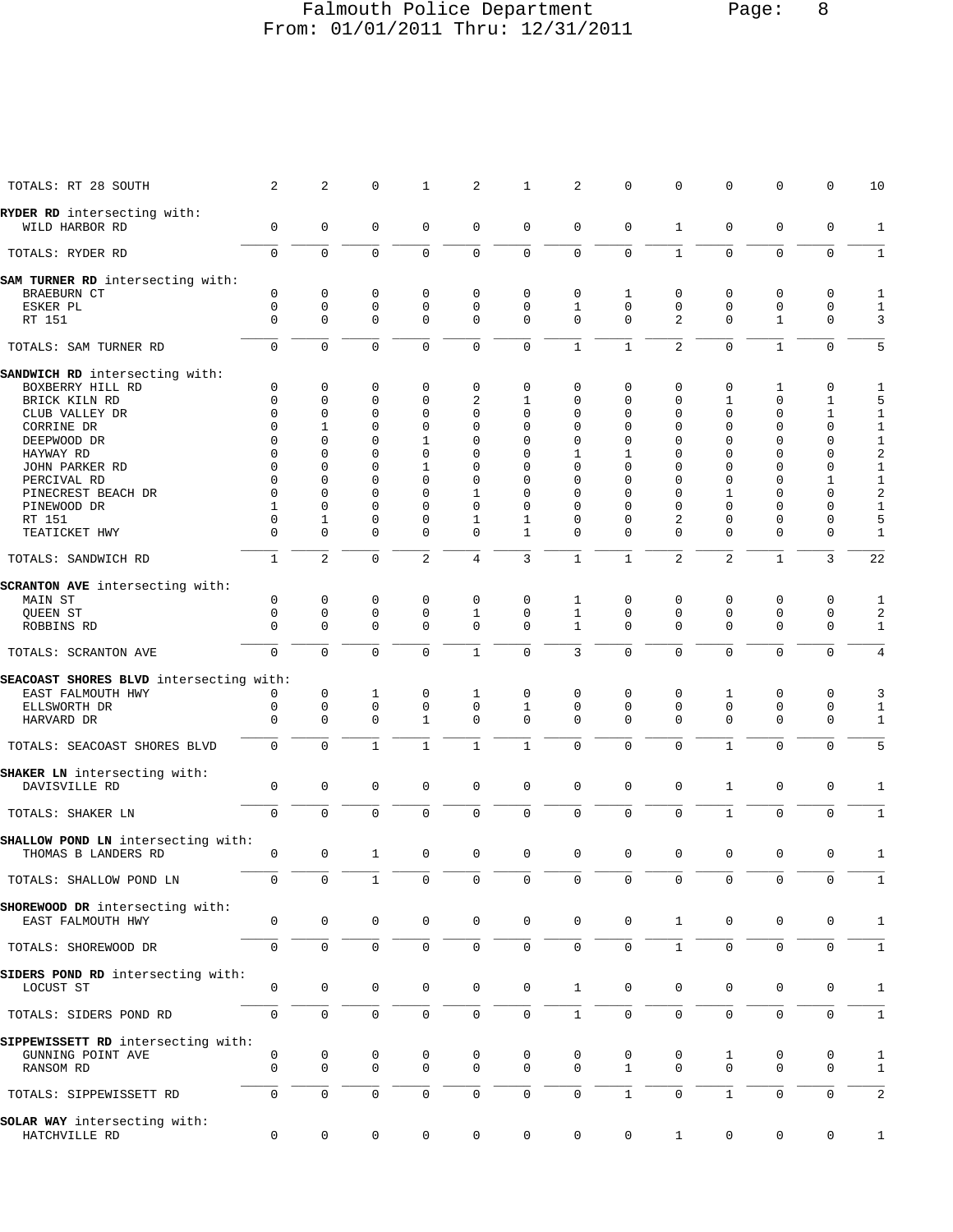## Falmouth Police Department Page: 8 From: 01/01/2011 Thru: 12/31/2011

| TOTALS: RT 28 SOUTH                           | 2            | 2                   | $\mathbf 0$         | $\mathbf{1}$ | 2              | $\mathbf{1}$        | 2            | $\mathbf 0$  | $\mathsf 0$    | $\mathbf 0$    | $\mathbf 0$  | 0            | 10             |
|-----------------------------------------------|--------------|---------------------|---------------------|--------------|----------------|---------------------|--------------|--------------|----------------|----------------|--------------|--------------|----------------|
| RYDER RD intersecting with:                   |              |                     |                     |              |                |                     |              |              |                |                |              |              |                |
| WILD HARBOR RD                                | 0            | $\mathbf 0$         | $\mathbf 0$         | $\mathbf 0$  | $\mathbf 0$    | $\mathbf 0$         | $\mathbf 0$  | $\mathbf 0$  | $\mathbf{1}$   | $\mathbf 0$    | $\mathbf 0$  | 0            | 1              |
| TOTALS: RYDER RD                              | $\mathbf 0$  | $\mathbf 0$         | $\Omega$            | $\mathbf 0$  | 0              | $\mathbf 0$         | $\mathbf 0$  | $\Omega$     | $\mathbf{1}$   | $\Omega$       | $\Omega$     | $\mathbf 0$  | $\mathbf{1}$   |
| SAM TURNER RD intersecting with:              |              |                     |                     |              |                |                     |              |              |                |                |              |              |                |
| BRAEBURN CT                                   | 0            | 0                   | 0                   | $\mathbf 0$  | 0              | 0                   | 0            | 1            | 0              | 0              | $\mathbf 0$  | 0            | 1              |
| ESKER PL                                      | $\mathbf 0$  | $\mathbf 0$         | $\mathbf 0$         | $\mathbf 0$  | 0              | $\mathbf 0$         | $\mathbf{1}$ | $\Omega$     | $\mathbf 0$    | $\mathbf 0$    | $\mathbf 0$  | $\mathbf 0$  | $\mathbf{1}$   |
| RT 151                                        | $\Omega$     | $\Omega$            | $\Omega$            | $\Omega$     | $\mathbf 0$    | $\mathbf 0$         | $\Omega$     | $\Omega$     | $\overline{2}$ | $\Omega$       | $\mathbf{1}$ | $\mathbf 0$  | 3              |
| TOTALS: SAM TURNER RD                         | $\mathbf 0$  | $\mathbf 0$         | $\mathbf 0$         | $\Omega$     | 0              | $\mathbf 0$         | $\mathbf{1}$ | $\mathbf{1}$ | 2              | $\Omega$       | $\mathbf{1}$ | $\mathbf 0$  | 5              |
| SANDWICH RD intersecting with:                |              |                     |                     |              |                |                     |              |              |                |                |              |              |                |
| BOXBERRY HILL RD                              | 0            | 0                   | $\mathbf 0$         | $\mathbf 0$  | 0              | 0                   | 0            | 0            | 0              | 0              | 1            | 0            | 1              |
| BRICK KILN RD                                 | $\mathbf 0$  | $\Omega$            | $\Omega$            | $\Omega$     | $\overline{c}$ | 1                   | $\Omega$     | $\Omega$     | $\Omega$       | $\mathbf{1}$   | $\Omega$     | $\mathbf{1}$ | 5              |
| CLUB VALLEY DR                                | $\Omega$     | $\mathbf 0$         | $\Omega$            | $\Omega$     | 0              | 0                   | $\Omega$     | $\Omega$     | $\Omega$       | $\mathbf 0$    | $\mathbf 0$  | $\mathbf{1}$ | $\mathbf{1}$   |
| CORRINE DR                                    | $\Omega$     | $\mathbf{1}$        | $\Omega$            | $\Omega$     | $\Omega$       | $\Omega$            | $\Omega$     | $\Omega$     | $\Omega$       | $\Omega$       | $\Omega$     | $\mathbf 0$  | $\mathbf{1}$   |
| DEEPWOOD DR                                   | $\Omega$     | $\Omega$            | $\Omega$            | $\mathbf{1}$ | $\Omega$       | $\Omega$            | $\Omega$     | $\Omega$     | $\Omega$       | $\Omega$       | $\Omega$     | 0            | $\mathbf{1}$   |
| HAYWAY RD                                     | $\Omega$     | $\Omega$            | $\Omega$            | $\Omega$     | $\Omega$       | 0                   | 1            | 1            | $\Omega$       | $\Omega$       | $\Omega$     | 0            | $\overline{a}$ |
| JOHN PARKER RD                                | $\Omega$     | $\Omega$            | $\Omega$            | 1            | $\Omega$       | $\Omega$            | $\Omega$     | $\Omega$     | $\Omega$       | $\Omega$       | $\Omega$     | $\mathsf 0$  | $\mathbf 1$    |
| PERCIVAL RD                                   | $\Omega$     | $\Omega$            | $\Omega$            | $\Omega$     | $\Omega$       | $\Omega$            | $\Omega$     | $\Omega$     | $\Omega$       | $\Omega$       | $\Omega$     | $\mathbf{1}$ | $1\,$          |
| PINECREST BEACH DR                            | $\Omega$     | $\Omega$            | $\Omega$            | $\Omega$     | 1              | $\Omega$            | $\Omega$     | $\Omega$     | $\Omega$       | 1              | $\Omega$     | $\mathbf 0$  | $\sqrt{2}$     |
| PINEWOOD DR                                   | $\mathbf{1}$ | $\Omega$            | $\Omega$            | $\Omega$     | $\Omega$       | 0                   | $\Omega$     | $\Omega$     | $\Omega$       | $\Omega$       | $\Omega$     | $\mathbf 0$  | $\mathbf{1}$   |
| RT 151                                        | $\Omega$     | 1                   | $\Omega$            | $\Omega$     | 1              | $\mathbf{1}$        | $\Omega$     | $\Omega$     | $\overline{a}$ | $\Omega$       | $\Omega$     | $\mathbf 0$  | 5              |
| TEATICKET HWY                                 | $\Omega$     | $\mathbf 0$         | $\Omega$            | $\mathbf 0$  | 0              | $\mathbf{1}$        | $\mathbf{0}$ | $\Omega$     | $\Omega$       | $\mathbf 0$    | $\mathbf 0$  | $\mathbf 0$  | $\mathbf{1}$   |
| TOTALS: SANDWICH RD                           | $\mathbf{1}$ | $\mathbf{2}$        | $\Omega$            | 2            | 4              | 3                   | $\mathbf{1}$ | $\mathbf{1}$ | 2              | $\overline{2}$ | $\mathbf{1}$ | 3            | 22             |
| <b>SCRANTON AVE</b> intersecting with:        |              |                     |                     |              |                |                     |              |              |                |                |              |              |                |
| MAIN ST                                       | 0            | $\mathbf 0$         | 0                   | $\mathbf{0}$ | 0              | $\mathbf 0$         | 1            | $\mathbf 0$  | $\mathbf 0$    | $\mathbf 0$    | 0            | 0            | 1              |
| QUEEN ST                                      | $\mathbf 0$  | 0                   | $\Omega$            | $\Omega$     | $\mathbf{1}$   | $\Omega$            | $\mathbf{1}$ | $\Omega$     | $\mathbf 0$    | $\Omega$       | $\mathbf 0$  | $\mathbf 0$  | 2              |
| ROBBINS RD                                    | $\mathbf 0$  | 0                   | $\Omega$            | $\Omega$     | $\Omega$       | $\Omega$            | $\mathbf{1}$ | $\Omega$     | $\Omega$       | $\Omega$       | $\mathbf 0$  | $\mathbf 0$  | $\mathbf{1}$   |
| TOTALS: SCRANTON AVE                          | $\mathbf 0$  | $\Omega$            | $\Omega$            | $\Omega$     | $\mathbf{1}$   | $\Omega$            | 3            | $\Omega$     | $\Omega$       | $\Omega$       | $\Omega$     | $\mathbf 0$  | 4              |
| SEACOAST SHORES BLVD intersecting with:       |              |                     |                     |              |                |                     |              |              |                |                |              |              |                |
| EAST FALMOUTH HWY                             | 0            | 0                   | 1                   | $\mathbf 0$  | 1              | 0                   | $\mathbf 0$  | 0            | 0              | 1              | 0            | 0            | 3              |
| ELLSWORTH DR                                  | $\mathbf 0$  | $\mathbf 0$         | $\mathbf 0$         | $\Omega$     | $\mathbf 0$    | $\mathbf{1}$        | $\Omega$     | $\Omega$     | $\mathbf 0$    | $\Omega$       | $\mathbf 0$  | $\mathbf 0$  | $\mathbf{1}$   |
| HARVARD DR                                    | $\mathbf 0$  | 0                   | $\Omega$            | $\mathbf{1}$ | $\Omega$       | $\Omega$            | $\Omega$     | $\Omega$     | $\Omega$       | $\Omega$       | $\mathbf 0$  | $\mathbf 0$  | $\mathbf{1}$   |
| TOTALS: SEACOAST SHORES BLVD                  | 0            | $\Omega$            | $\mathbf{1}$        | $\mathbf{1}$ | $\mathbf{1}$   | $\mathbf{1}$        | $\Omega$     | $\Omega$     | $\Omega$       | $\mathbf{1}$   | $\Omega$     | $\mathbf 0$  | 5              |
| SHAKER LN intersecting with:                  |              |                     |                     |              |                |                     |              |              |                |                |              |              |                |
| DAVISVILLE RD                                 | 0            | $\mathbf 0$         | 0                   | $\mathbf 0$  | $\mathbf{0}$   | $\mathbf 0$         | $\mathbf 0$  | $\mathbf 0$  | $\mathbf 0$    | $\mathbf{1}$   | $\mathbf 0$  | 0            | 1              |
| TOTALS: SHAKER LN                             | $\mathbf 0$  | $\mathbf 0$         | $\mathbf 0$         | $\mathbf 0$  | $\mathbf 0$    | $\mathbf 0$         | $\mathbf 0$  | $\mathbf 0$  | $\mathbf 0$    | $\mathbf{1}$   | $\mathbf 0$  | $\mathbf 0$  | $1\,$          |
| SHALLOW POND LN intersecting with:            |              |                     |                     |              |                |                     |              |              |                |                |              |              |                |
| THOMAS B LANDERS RD                           | 0            | 0                   | 1                   | $\mathbf 0$  | $\mathbf 0$    | $\mathbf 0$         | $\mathbf 0$  | $\mathbf 0$  | $\mathbf 0$    | $\mathbf 0$    | $\mathbf 0$  | 0            | $\mathbf{1}$   |
|                                               |              |                     |                     |              |                |                     |              |              |                |                |              |              |                |
| TOTALS: SHALLOW POND LN                       | U            |                     | $\pm$               | 0            | U              | U                   | 0            | U            | 0              | 0              |              |              | $\perp$        |
| SHOREWOOD DR intersecting with:               |              |                     |                     |              |                |                     |              |              |                |                |              |              |                |
| EAST FALMOUTH HWY                             | 0            | $\mathsf 0$         | 0                   | 0            | 0              | $\mathbf 0$         | $\mathbf 0$  | 0            | 1              | $\mathbf 0$    | 0            | 0            | 1              |
| TOTALS: SHOREWOOD DR                          | 0            | $\mathsf 0$         | $\mathbf 0$         | $\mathbf 0$  | 0              | $\mathsf{O}\xspace$ | $\mathbf 0$  | 0            | $\mathbf{1}$   | $\mathbf 0$    | $\mathbf 0$  | 0            | $\mathbf{1}$   |
| SIDERS POND RD intersecting with:             |              |                     |                     |              |                |                     |              |              |                |                |              |              |                |
|                                               | 0            | 0                   | $\mathbf 0$         | 0            | $\mathbf 0$    | $\mathsf{O}$        | $\mathbf{1}$ | $\mathbf 0$  | $\mathbf 0$    | 0              | $\mathbf 0$  | $\mathbf 0$  | $\mathbf{1}$   |
| LOCUST ST                                     |              |                     |                     |              |                |                     |              |              |                |                |              |              |                |
| TOTALS: SIDERS POND RD                        | $\mathbf 0$  | $\mathsf{O}\xspace$ | $\mathsf{O}\xspace$ | $\mathbf 0$  | 0              | $\mathsf{O}\xspace$ | $1\,$        | $\mathbf 0$  | $\mathbf 0$    | $\mathsf 0$    | $\mathbf 0$  | $\mathbf 0$  | $\mathbf 1$    |
|                                               |              |                     |                     |              |                |                     |              |              |                |                |              |              |                |
| SIPPEWISSETT RD intersecting with:            |              |                     |                     |              |                |                     |              |              |                |                |              |              |                |
| GUNNING POINT AVE                             | 0            | 0                   | 0                   | 0            | 0              | 0                   | 0            | 0            | 0              | 1              | 0            | 0            | 1              |
| RANSOM RD                                     | $\mathbf 0$  | 0                   | $\mathbf 0$         | $\Omega$     | $\mathbf 0$    | $\mathbf 0$         | $\Omega$     | $\mathbf{1}$ | $\Omega$       | $\mathbf 0$    | $\mathbf 0$  | $\mathbf 0$  | 1              |
| TOTALS: SIPPEWISSETT RD                       | 0            | 0                   | $\mathbf 0$         | 0            | $\mathbf 0$    | 0                   | $\mathbf 0$  | $\mathbf{1}$ | $\mathbf 0$    | $\mathbf{1}$   | $\mathbf 0$  | 0            | 2              |
|                                               |              |                     |                     |              |                |                     |              |              |                |                |              |              |                |
| SOLAR WAY intersecting with:<br>HATCHVILLE RD | 0            | $\mathbf 0$         | $\mathbf 0$         | 0            | $\mathbf 0$    | $\mathbf 0$         | $\mathbf 0$  | 0            | 1              | 0              | $\mathbf 0$  | 0            | $\mathbf{1}$   |
|                                               |              |                     |                     |              |                |                     |              |              |                |                |              |              |                |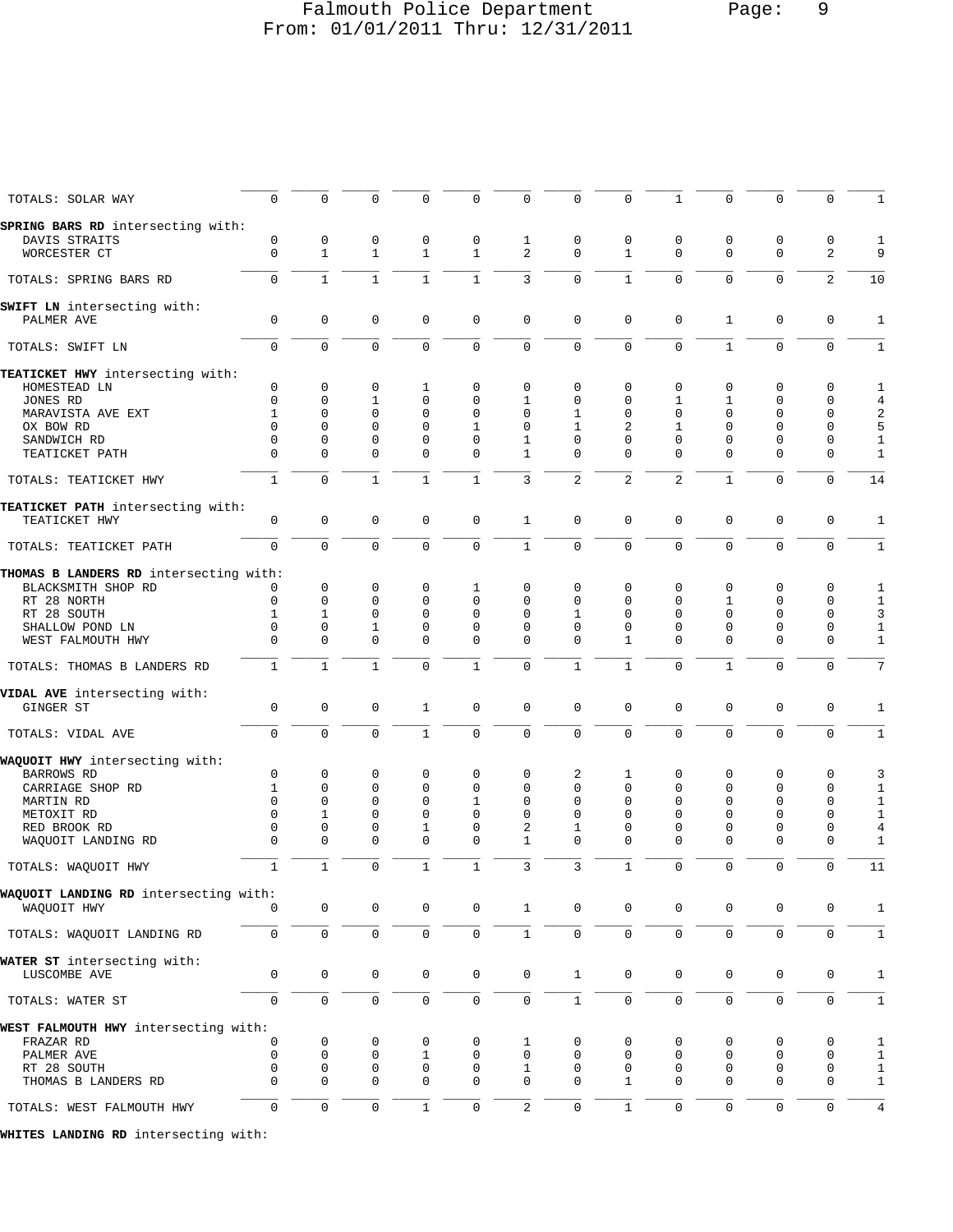## Falmouth Police Department Page: 9 From: 01/01/2011 Thru: 12/31/2011

| $\Omega$                             | 0                                                                                                                                                                                                                          | $\Omega$                                                                               | 0                                                                                                                           | 0                                                                                               | 0                                                                                 | 0                                                                                           | 0                                                                                                       | $\mathbf{1}$                                                                                    | $\mathbf 0$                                                                              | $\Omega$                                                                                        | $\mathbf 0$                                                                                                         | $\mathbf{1}$                                                                                                    |
|--------------------------------------|----------------------------------------------------------------------------------------------------------------------------------------------------------------------------------------------------------------------------|----------------------------------------------------------------------------------------|-----------------------------------------------------------------------------------------------------------------------------|-------------------------------------------------------------------------------------------------|-----------------------------------------------------------------------------------|---------------------------------------------------------------------------------------------|---------------------------------------------------------------------------------------------------------|-------------------------------------------------------------------------------------------------|------------------------------------------------------------------------------------------|-------------------------------------------------------------------------------------------------|---------------------------------------------------------------------------------------------------------------------|-----------------------------------------------------------------------------------------------------------------|
|                                      |                                                                                                                                                                                                                            |                                                                                        |                                                                                                                             |                                                                                                 |                                                                                   |                                                                                             |                                                                                                         |                                                                                                 |                                                                                          |                                                                                                 |                                                                                                                     |                                                                                                                 |
|                                      |                                                                                                                                                                                                                            |                                                                                        |                                                                                                                             |                                                                                                 |                                                                                   |                                                                                             |                                                                                                         |                                                                                                 |                                                                                          |                                                                                                 |                                                                                                                     | 1                                                                                                               |
| $\mathbf 0$                          | $\mathbf{1}$                                                                                                                                                                                                               | $\mathbf{1}$                                                                           | $\mathbf{1}$                                                                                                                | $\mathbf{1}$                                                                                    | $\overline{2}$                                                                    | $\Omega$                                                                                    | $\mathbf{1}$                                                                                            | $\Omega$                                                                                        | $\mathbf{0}$                                                                             | $\mathbf 0$                                                                                     | 2                                                                                                                   | 9                                                                                                               |
| $\mathbf 0$                          | $1\,$                                                                                                                                                                                                                      | $\mathbf{1}$                                                                           | $\mathbf{1}$                                                                                                                | $\mathbf{1}$                                                                                    | $\mathsf 3$                                                                       | $\mathbf 0$                                                                                 | $\mathbf{1}$                                                                                            | $\mathbf 0$                                                                                     | $\mathbf 0$                                                                              | $\mathbf 0$                                                                                     | $\overline{2}$                                                                                                      | 10                                                                                                              |
|                                      |                                                                                                                                                                                                                            |                                                                                        |                                                                                                                             |                                                                                                 |                                                                                   |                                                                                             |                                                                                                         |                                                                                                 |                                                                                          |                                                                                                 |                                                                                                                     |                                                                                                                 |
| $\mathbf 0$                          | $\mathbf 0$                                                                                                                                                                                                                | $\mathbf 0$                                                                            | 0                                                                                                                           | $\mathbf 0$                                                                                     | $\mathbf 0$                                                                       | $\mathsf 0$                                                                                 | 0                                                                                                       | $\mathbf 0$                                                                                     | $\mathbf{1}$                                                                             | $\mathbf 0$                                                                                     | 0                                                                                                                   | $\mathbf{1}$                                                                                                    |
| $\mathbf 0$                          | 0                                                                                                                                                                                                                          | $\mathbf 0$                                                                            | 0                                                                                                                           | $\mathbf 0$                                                                                     | $\mathbf 0$                                                                       | 0                                                                                           | 0                                                                                                       | $\mathbf 0$                                                                                     | $\mathbf{1}$                                                                             | $\Omega$                                                                                        | $\mathbf 0$                                                                                                         | $\mathbf{1}$                                                                                                    |
|                                      |                                                                                                                                                                                                                            |                                                                                        |                                                                                                                             |                                                                                                 |                                                                                   |                                                                                             |                                                                                                         |                                                                                                 |                                                                                          |                                                                                                 |                                                                                                                     |                                                                                                                 |
|                                      |                                                                                                                                                                                                                            |                                                                                        |                                                                                                                             |                                                                                                 |                                                                                   |                                                                                             |                                                                                                         |                                                                                                 |                                                                                          |                                                                                                 |                                                                                                                     |                                                                                                                 |
|                                      |                                                                                                                                                                                                                            |                                                                                        |                                                                                                                             |                                                                                                 |                                                                                   |                                                                                             |                                                                                                         |                                                                                                 |                                                                                          |                                                                                                 |                                                                                                                     | 1                                                                                                               |
|                                      |                                                                                                                                                                                                                            |                                                                                        |                                                                                                                             |                                                                                                 |                                                                                   |                                                                                             |                                                                                                         |                                                                                                 |                                                                                          |                                                                                                 |                                                                                                                     | 4                                                                                                               |
|                                      |                                                                                                                                                                                                                            |                                                                                        |                                                                                                                             |                                                                                                 |                                                                                   |                                                                                             |                                                                                                         |                                                                                                 |                                                                                          |                                                                                                 |                                                                                                                     | 2                                                                                                               |
| $\Omega$                             |                                                                                                                                                                                                                            |                                                                                        |                                                                                                                             |                                                                                                 |                                                                                   |                                                                                             |                                                                                                         |                                                                                                 |                                                                                          |                                                                                                 |                                                                                                                     | 5                                                                                                               |
|                                      |                                                                                                                                                                                                                            |                                                                                        |                                                                                                                             |                                                                                                 |                                                                                   |                                                                                             |                                                                                                         |                                                                                                 |                                                                                          |                                                                                                 |                                                                                                                     | 1                                                                                                               |
|                                      |                                                                                                                                                                                                                            |                                                                                        |                                                                                                                             |                                                                                                 |                                                                                   |                                                                                             |                                                                                                         |                                                                                                 |                                                                                          |                                                                                                 |                                                                                                                     |                                                                                                                 |
|                                      |                                                                                                                                                                                                                            |                                                                                        |                                                                                                                             |                                                                                                 |                                                                                   |                                                                                             |                                                                                                         |                                                                                                 |                                                                                          |                                                                                                 |                                                                                                                     | 1                                                                                                               |
| $\mathbf{1}$                         | $\overline{0}$                                                                                                                                                                                                             | $\mathbf{1}$                                                                           | $\mathbf{1}$                                                                                                                | $\mathbf{1}$                                                                                    | 3                                                                                 | 2                                                                                           | $\overline{2}$                                                                                          | $\overline{c}$                                                                                  | $\mathbf{1}$                                                                             | $\Omega$                                                                                        | $\mathbf 0$                                                                                                         | 14                                                                                                              |
|                                      |                                                                                                                                                                                                                            |                                                                                        |                                                                                                                             |                                                                                                 |                                                                                   |                                                                                             |                                                                                                         |                                                                                                 |                                                                                          |                                                                                                 |                                                                                                                     |                                                                                                                 |
| 0                                    | 0                                                                                                                                                                                                                          | $\mathbf 0$                                                                            | 0                                                                                                                           | $\mathsf 0$                                                                                     | $\mathbf{1}$                                                                      | $\mathbf 0$                                                                                 | 0                                                                                                       | $\mathbf 0$                                                                                     | $\mathbf 0$                                                                              | $\mathbf 0$                                                                                     | 0                                                                                                                   | 1                                                                                                               |
| $\Omega$                             | $\mathbf 0$                                                                                                                                                                                                                | $\Omega$                                                                               | 0                                                                                                                           | $\mathbf 0$                                                                                     | $\mathbf{1}$                                                                      | $\Omega$                                                                                    | $\Omega$                                                                                                | $\Omega$                                                                                        | $\mathbf{0}$                                                                             | $\mathbf 0$                                                                                     | $\mathbf 0$                                                                                                         | $\mathbf{1}$                                                                                                    |
|                                      |                                                                                                                                                                                                                            |                                                                                        |                                                                                                                             |                                                                                                 |                                                                                   |                                                                                             |                                                                                                         |                                                                                                 |                                                                                          |                                                                                                 |                                                                                                                     |                                                                                                                 |
|                                      |                                                                                                                                                                                                                            |                                                                                        |                                                                                                                             |                                                                                                 |                                                                                   |                                                                                             |                                                                                                         |                                                                                                 |                                                                                          |                                                                                                 |                                                                                                                     | 1                                                                                                               |
|                                      |                                                                                                                                                                                                                            |                                                                                        |                                                                                                                             |                                                                                                 |                                                                                   |                                                                                             |                                                                                                         |                                                                                                 |                                                                                          |                                                                                                 |                                                                                                                     |                                                                                                                 |
|                                      |                                                                                                                                                                                                                            |                                                                                        |                                                                                                                             |                                                                                                 |                                                                                   |                                                                                             |                                                                                                         |                                                                                                 |                                                                                          |                                                                                                 |                                                                                                                     | $1\,$                                                                                                           |
|                                      |                                                                                                                                                                                                                            |                                                                                        |                                                                                                                             |                                                                                                 |                                                                                   |                                                                                             |                                                                                                         |                                                                                                 |                                                                                          |                                                                                                 |                                                                                                                     | 3                                                                                                               |
| 0                                    | 0                                                                                                                                                                                                                          |                                                                                        |                                                                                                                             | 0                                                                                               | 0                                                                                 | $\Omega$                                                                                    | 0                                                                                                       | 0                                                                                               | 0                                                                                        | 0                                                                                               |                                                                                                                     | 1                                                                                                               |
| $\Omega$                             | 0                                                                                                                                                                                                                          | $\Omega$                                                                               | $\Omega$                                                                                                                    | $\Omega$                                                                                        | $\Omega$                                                                          | $\Omega$                                                                                    | $\mathbf{1}$                                                                                            | $\Omega$                                                                                        | $\Omega$                                                                                 | $\Omega$                                                                                        | $\mathbf 0$                                                                                                         | 1                                                                                                               |
| $\mathbf{1}$                         | $\mathbf{1}$                                                                                                                                                                                                               | $\mathbf{1}$                                                                           | 0                                                                                                                           | $\mathbf{1}$                                                                                    | $\mathbf 0$                                                                       | $\mathbf{1}$                                                                                | $\mathbf{1}$                                                                                            | $\mathbf 0$                                                                                     | $\mathbf{1}$                                                                             | $\Omega$                                                                                        | $\mathbf 0$                                                                                                         | 7                                                                                                               |
|                                      |                                                                                                                                                                                                                            |                                                                                        |                                                                                                                             |                                                                                                 |                                                                                   |                                                                                             |                                                                                                         |                                                                                                 |                                                                                          |                                                                                                 |                                                                                                                     |                                                                                                                 |
| $\mathbf 0$                          | 0                                                                                                                                                                                                                          | $\mathbf 0$                                                                            | $\mathbf{1}$                                                                                                                | $\mathsf 0$                                                                                     | $\mathbf 0$                                                                       | $\mathbf 0$                                                                                 | 0                                                                                                       | $\mathbf 0$                                                                                     | $\mathbf 0$                                                                              | $\mathbf 0$                                                                                     | 0                                                                                                                   | 1                                                                                                               |
| $\mathbf 0$                          | 0                                                                                                                                                                                                                          | $\mathbf 0$                                                                            | $\mathbf{1}$                                                                                                                | $\mathbf 0$                                                                                     | $\mathbf 0$                                                                       | $\Omega$                                                                                    | $\Omega$                                                                                                | $\Omega$                                                                                        | $\mathbf 0$                                                                              | $\mathbf 0$                                                                                     | $\mathbf 0$                                                                                                         | $\mathbf{1}$                                                                                                    |
|                                      |                                                                                                                                                                                                                            |                                                                                        |                                                                                                                             |                                                                                                 |                                                                                   |                                                                                             |                                                                                                         |                                                                                                 |                                                                                          |                                                                                                 |                                                                                                                     |                                                                                                                 |
|                                      |                                                                                                                                                                                                                            |                                                                                        |                                                                                                                             |                                                                                                 |                                                                                   |                                                                                             |                                                                                                         |                                                                                                 |                                                                                          |                                                                                                 |                                                                                                                     | 3                                                                                                               |
|                                      |                                                                                                                                                                                                                            |                                                                                        |                                                                                                                             |                                                                                                 |                                                                                   |                                                                                             |                                                                                                         |                                                                                                 |                                                                                          |                                                                                                 |                                                                                                                     |                                                                                                                 |
|                                      |                                                                                                                                                                                                                            |                                                                                        |                                                                                                                             |                                                                                                 |                                                                                   |                                                                                             |                                                                                                         |                                                                                                 |                                                                                          |                                                                                                 |                                                                                                                     | 1                                                                                                               |
|                                      |                                                                                                                                                                                                                            |                                                                                        |                                                                                                                             |                                                                                                 |                                                                                   |                                                                                             |                                                                                                         |                                                                                                 |                                                                                          |                                                                                                 |                                                                                                                     | 1                                                                                                               |
| $\Omega$                             | 1                                                                                                                                                                                                                          | 0                                                                                      | 0                                                                                                                           | 0                                                                                               | 0                                                                                 | 0                                                                                           | $\Omega$                                                                                                | $\Omega$                                                                                        | 0                                                                                        | 0                                                                                               | 0                                                                                                                   | 1                                                                                                               |
| 0                                    |                                                                                                                                                                                                                            | 0                                                                                      |                                                                                                                             | 0                                                                                               |                                                                                   | 1                                                                                           | 0                                                                                                       | 0                                                                                               | 0                                                                                        | 0                                                                                               |                                                                                                                     | 4                                                                                                               |
| 0                                    | 0                                                                                                                                                                                                                          | 0                                                                                      | 0                                                                                                                           | 0                                                                                               | $\mathbf{1}$                                                                      | 0                                                                                           | 0                                                                                                       | $\Omega$                                                                                        | $\mathbf 0$                                                                              | 0                                                                                               | 0                                                                                                                   | 1                                                                                                               |
| $\mathbf{1}$                         | $\mathbf{1}$                                                                                                                                                                                                               | $\mathbf 0$                                                                            | $\mathbf{1}$                                                                                                                | $\mathbf{1}$                                                                                    | 3                                                                                 | 3                                                                                           | $\mathbf{1}$                                                                                            | $\mathbf 0$                                                                                     | $\mathbf 0$                                                                              | $\mathbf 0$                                                                                     | $\mathbf 0$                                                                                                         | 11                                                                                                              |
|                                      |                                                                                                                                                                                                                            |                                                                                        |                                                                                                                             |                                                                                                 |                                                                                   |                                                                                             |                                                                                                         |                                                                                                 |                                                                                          |                                                                                                 |                                                                                                                     |                                                                                                                 |
| 0                                    | 0                                                                                                                                                                                                                          | 0                                                                                      | 0                                                                                                                           | 0                                                                                               | $\mathbf{1}$                                                                      | $\mathbf 0$                                                                                 | 0                                                                                                       | 0                                                                                               | 0                                                                                        | 0                                                                                               | 0                                                                                                                   | 1                                                                                                               |
| $\mathsf{O}\xspace$                  | $\mathsf 0$                                                                                                                                                                                                                | 0                                                                                      | 0                                                                                                                           | $\mathsf{O}$                                                                                    | $\mathbf{1}$                                                                      | $\mathsf{O}$                                                                                | 0                                                                                                       | $\mathsf{O}\xspace$                                                                             | $\mathsf{O}\xspace$                                                                      | 0                                                                                               | 0                                                                                                                   | $\mathbf{1}$                                                                                                    |
|                                      |                                                                                                                                                                                                                            |                                                                                        |                                                                                                                             |                                                                                                 |                                                                                   |                                                                                             |                                                                                                         |                                                                                                 |                                                                                          |                                                                                                 |                                                                                                                     |                                                                                                                 |
|                                      |                                                                                                                                                                                                                            |                                                                                        |                                                                                                                             |                                                                                                 |                                                                                   |                                                                                             |                                                                                                         |                                                                                                 |                                                                                          |                                                                                                 |                                                                                                                     | 1                                                                                                               |
|                                      |                                                                                                                                                                                                                            |                                                                                        |                                                                                                                             |                                                                                                 |                                                                                   |                                                                                             |                                                                                                         |                                                                                                 |                                                                                          |                                                                                                 |                                                                                                                     |                                                                                                                 |
| $\mathbf 0$                          | 0                                                                                                                                                                                                                          | 0                                                                                      | 0                                                                                                                           | $\mathsf 0$                                                                                     | $\mathsf 0$                                                                       | $\mathbf{1}$                                                                                | 0                                                                                                       | $\mathsf 0$                                                                                     | $\mathbf 0$                                                                              | 0                                                                                               | $\mathsf 0$                                                                                                         | $\mathbf 1$                                                                                                     |
| WEST FALMOUTH HWY intersecting with: |                                                                                                                                                                                                                            |                                                                                        |                                                                                                                             |                                                                                                 |                                                                                   |                                                                                             |                                                                                                         |                                                                                                 |                                                                                          |                                                                                                 |                                                                                                                     |                                                                                                                 |
|                                      |                                                                                                                                                                                                                            |                                                                                        |                                                                                                                             |                                                                                                 |                                                                                   |                                                                                             |                                                                                                         |                                                                                                 |                                                                                          |                                                                                                 |                                                                                                                     | 1                                                                                                               |
| 0                                    | 0                                                                                                                                                                                                                          | 0                                                                                      | 1                                                                                                                           | 0                                                                                               |                                                                                   | 0                                                                                           | 0                                                                                                       | 0                                                                                               | $\mathbf 0$                                                                              | 0                                                                                               | 0                                                                                                                   | 1                                                                                                               |
| 0                                    | 0                                                                                                                                                                                                                          | 0                                                                                      | 0                                                                                                                           | 0                                                                                               | 1                                                                                 | $\mathbf 0$                                                                                 | 0                                                                                                       | 0                                                                                               | $\mathbf 0$                                                                              | $\mathbf 0$                                                                                     | 0                                                                                                                   | 1                                                                                                               |
| $\Omega$                             | 0                                                                                                                                                                                                                          | 0                                                                                      | 0                                                                                                                           | 0                                                                                               | $\mathbf 0$                                                                       | $\Omega$                                                                                    | $\mathbf{1}$                                                                                            | $\Omega$                                                                                        | $\mathbf{0}$                                                                             | $\mathbf 0$                                                                                     | $\mathbf 0$                                                                                                         | $\mathbf{1}$                                                                                                    |
| $\mathbf 0$                          | $\mathsf 0$                                                                                                                                                                                                                | $\mathbf 0$                                                                            | $\mathbf{1}$                                                                                                                | $\mathsf{O}\xspace$                                                                             | $\overline{c}$                                                                    | 0                                                                                           | $\mathbf{1}$                                                                                            | $\mathbf 0$                                                                                     | $\mathbf{0}$                                                                             | $\mathbf 0$                                                                                     | $\mathsf 0$                                                                                                         | 4                                                                                                               |
| WHITES LANDING RD intersecting with: |                                                                                                                                                                                                                            |                                                                                        |                                                                                                                             |                                                                                                 |                                                                                   |                                                                                             |                                                                                                         |                                                                                                 |                                                                                          |                                                                                                 |                                                                                                                     |                                                                                                                 |
|                                      | $\mathbf 0$<br>$\mathbf 0$<br>$\Omega$<br>1<br>0<br>$\Omega$<br>THOMAS B LANDERS RD intersecting with:<br>0<br>$\mathbf 0$<br>1<br>0<br>1<br>$\Omega$<br>WAQUOIT LANDING RD intersecting with:<br>$\mathsf{O}\xspace$<br>0 | 0<br>0<br>0<br>0<br>0<br>0<br>0<br>0<br>0<br>1<br>0<br>0<br>0<br>0<br>$\mathsf 0$<br>0 | 0<br>0<br>1<br>0<br>0<br>0<br>$\Omega$<br>$\mathbf 0$<br>$\mathbf 0$<br>$\mathbf 0$<br>1<br>0<br>0<br>0<br>$\mathbf 0$<br>0 | 0<br>1<br>$\Omega$<br>0<br>0<br>0<br>$\Omega$<br>0<br>0<br>0<br>0<br>0<br>0<br>0<br>1<br>0<br>0 | 0<br>0<br>0<br>0<br>1<br>0<br>0<br>1<br>0<br>0<br>0<br>0<br>1<br>$\mathsf 0$<br>0 | 1<br>0<br>1<br>0<br>0<br>1<br>1<br>0<br>0<br>0<br>0<br>0<br>0<br>2<br>$\mathsf 0$<br>1<br>0 | 0<br>0<br>$\Omega$<br>1<br>1<br>$\Omega$<br>$\Omega$<br>0<br>0<br>1<br>2<br>0<br>0<br>$\mathbf{1}$<br>0 | 0<br>0<br>$\Omega$<br>0<br>2<br>0<br>$\Omega$<br>0<br>0<br>0<br>1<br>0<br>0<br>$\mathbf 0$<br>0 | 0<br>0<br>1<br>0<br>1<br>0<br>$\Omega$<br>0<br>0<br>0<br>0<br>0<br>0<br>$\mathbf 0$<br>0 | 0<br>0<br>1<br>0<br>0<br>$\Omega$<br>$\Omega$<br>0<br>1<br>0<br>0<br>0<br>0<br>$\mathbf 0$<br>0 | 0<br>0<br>$\Omega$<br>0<br>0<br>0<br>$\Omega$<br>$\mathbf 0$<br>0<br>0<br>$\mathbf 0$<br>0<br>0<br>$\mathbf 0$<br>0 | 0<br>0<br>0<br>0<br>0<br>$\mathbf 0$<br>0<br>0<br>$\mathbf 0$<br>0<br>0<br>0<br>0<br>0<br>0<br>$\mathbf 0$<br>0 |